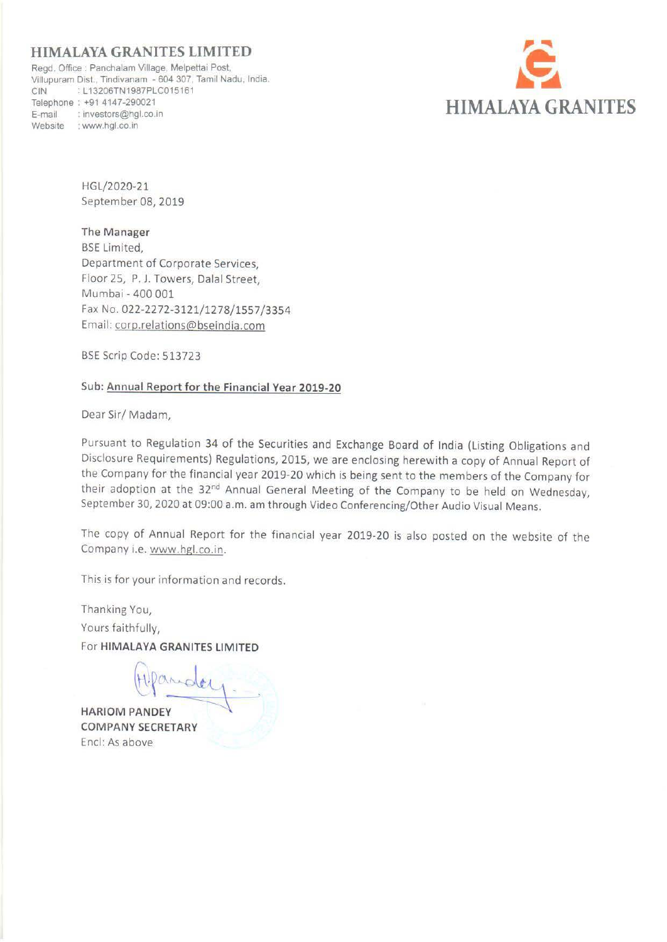### **HIMALAYA GRANITES LIMITED**

Regd. Office: Panchalam Village, Melpettai Post, Villupuram Dist, Tindivanam - 604 307, Tamil Nadu, India. GIN :L13206TN1987PLC015161 Telephone : +91 4147-290021 E-mail : investors@hgl.co.in Website : www.hgl.co.in



HGL/2020-21 September 08, 2019

**The Manager**  BSE Limited, Department of Corporate Services, Floor 25, P. J. Towers, Dalal Street, Mumbai - 400 001 Fax No. 022-2272-3121/1278/1557/3354 Email: corp.relations@bseindia.com

BSE Scrip Code: 513723

#### **Sub: Annual Report for the Financial Year 2019-20**

Dear Sir/ Madam,

Pursuant to Regulation 34 of the Securities and Exchange Board of India (Listing Obligations and Disclosure Requirements) Regulations, 2015, we are enclosing herewith a copy of Annual Report of the Company for the financial year 2019-20 which is being sent to the members of the Company for their adoption at the 32<sup>nd</sup> Annual General Meeting of the Company to be held on Wednesday, September 30, 2020 at 09:00 a.m. am through Video Conferencing/Other Audio Visual Means.

The copy of Annual Report for the financial year 2019-20 is also posted on the website of the Company i.e. www.hgl.co.in.

This is for your information and records.

Thanking You, Yours faithfully, For **HIMALAYA GRANITES LIMITED** 

**HARIOM PANDEY COMPANY SECRETARY**  Encl: As above

 $D$  $\overline{\mathcal{A}}$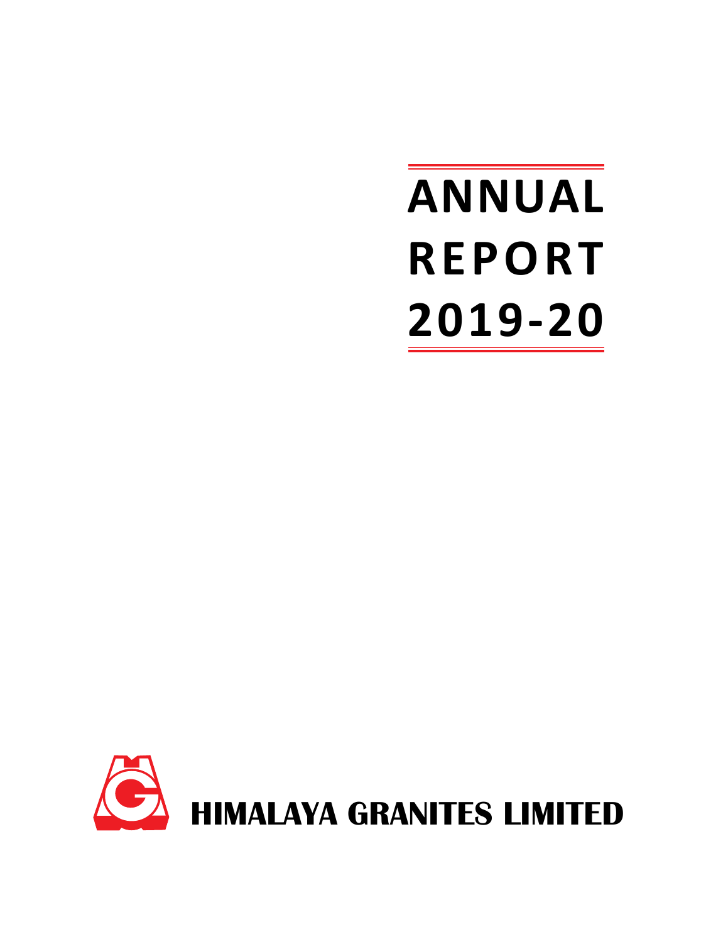# **ANNUAL REPORT 2019-20**

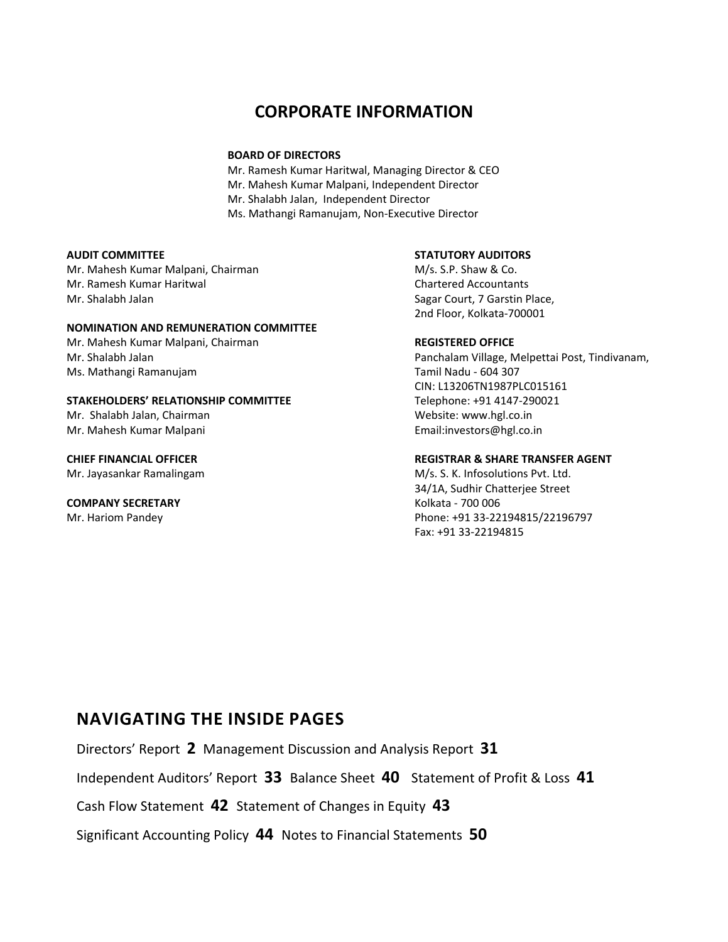### **CORPORATE INFORMATION**

#### **BOARD OF DIRECTORS**

Mr. Ramesh Kumar Haritwal, Managing Director & CEO Mr. Mahesh Kumar Malpani, Independent Director Mr. Shalabh Jalan, Independent Director Ms. Mathangi Ramanujam, Non-Executive Director

#### **AUDIT COMMITTEE**

Mr. Mahesh Kumar Malpani, Chairman Mr. Ramesh Kumar Haritwal Mr. Shalabh Jalan

#### **NOMINATION AND REMUNERATION COMMITTEE**

Mr. Mahesh Kumar Malpani, Chairman Mr. Shalabh Jalan Ms. Mathangi Ramanujam

#### **STAKEHOLDERS' RELATIONSHIP COMMITTEE**

Mr. Shalabh Jalan, Chairman Mr. Mahesh Kumar Malpani

**CHIEF FINANCIAL OFFICER** Mr. Jayasankar Ramalingam

**COMPANY SECRETARY** Mr. Hariom Pandey

#### **STATUTORY AUDITORS**

M/s. S.P. Shaw & Co. Chartered Accountants Sagar Court, 7 Garstin Place, 2nd Floor, Kolkata-700001

#### **REGISTERED OFFICE**

Panchalam Village, Melpettai Post, Tindivanam, Tamil Nadu - 604 307 CIN: L13206TN1987PLC015161 Telephone: +91 4147-290021 Website: www.hgl.co.in Email:investors@hgl.co.in

#### **REGISTRAR & SHARE TRANSFER AGENT**

M/s. S. K. Infosolutions Pvt. Ltd. 34/1A, Sudhir Chatterjee Street Kolkata - 700 006 Phone: +91 33-22194815/22196797 Fax: +91 33-22194815

### **Navigating the inside pages**

Directors' Report **2** Management Discussion and Analysis Report **31**

Independent Auditors' Report **33** Balance Sheet **40** Statement of Profit & Loss **41** 

Cash Flow Statement **42** Statement of Changes in Equity **43** 

Significant Accounting Policy **44** Notes to Financial Statements **50**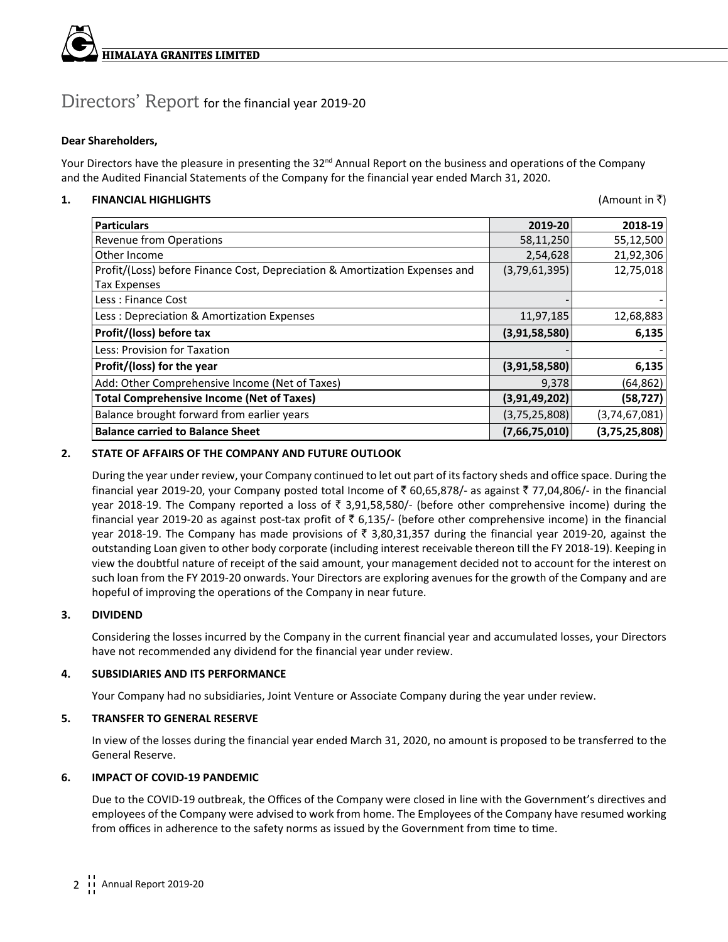

### Directors' Report for the financial year 2019-20

#### **Dear Shareholders,**

Your Directors have the pleasure in presenting the 32<sup>nd</sup> Annual Report on the business and operations of the Company and the Audited Financial Statements of the Company for the financial year ended March 31, 2020.

#### **1. FINANCIAL HIGHLIGHTS** (Amount in `)

| <b>Particulars</b>                                                          | 2019-20       | 2018-19       |
|-----------------------------------------------------------------------------|---------------|---------------|
| <b>Revenue from Operations</b>                                              | 58,11,250     | 55,12,500     |
| Other Income                                                                | 2,54,628      | 21,92,306     |
| Profit/(Loss) before Finance Cost, Depreciation & Amortization Expenses and | (3,79,61,395) | 12,75,018     |
| <b>Tax Expenses</b>                                                         |               |               |
| Less: Finance Cost                                                          |               |               |
| Less: Depreciation & Amortization Expenses                                  | 11,97,185     | 12,68,883     |
| Profit/(loss) before tax                                                    | (3,91,58,580) | 6,135         |
| Less: Provision for Taxation                                                |               |               |
| Profit/(loss) for the year                                                  | (3,91,58,580) | 6,135         |
| Add: Other Comprehensive Income (Net of Taxes)                              | 9,378         | (64, 862)     |
| <b>Total Comprehensive Income (Net of Taxes)</b>                            | (3,91,49,202) | (58, 727)     |
| Balance brought forward from earlier years                                  | (3,75,25,808) | (3,74,67,081) |
| <b>Balance carried to Balance Sheet</b>                                     | (7,66,75,010) | (3,75,25,808) |

#### **2. STATE OF AFFAIRS OF THE COMPANY AND FUTURE OUTLOOK**

During the year under review, your Company continued to let out part of its factory sheds and office space. During the financial year 2019-20, your Company posted total Income of  $\bar{z}$  60,65,878/- as against  $\bar{z}$  77,04,806/- in the financial year 2018-19. The Company reported a loss of  $\bar{\tau}$  3,91,58,580/- (before other comprehensive income) during the financial year 2019-20 as against post-tax profit of  $\bar{z}$  6,135/- (before other comprehensive income) in the financial year 2018-19. The Company has made provisions of  $\bar{\tau}$  3,80,31,357 during the financial year 2019-20, against the outstanding Loan given to other body corporate (including interest receivable thereon till the FY 2018-19). Keeping in view the doubtful nature of receipt of the said amount, your management decided not to account for the interest on such loan from the FY 2019-20 onwards. Your Directors are exploring avenues for the growth of the Company and are hopeful of improving the operations of the Company in near future.

#### **3. DIVIDEND**

Considering the losses incurred by the Company in the current financial year and accumulated losses, your Directors have not recommended any dividend for the financial year under review.

#### **4. SUBSIDIARIES AND ITS PERFORMANCE**

Your Company had no subsidiaries, Joint Venture or Associate Company during the year under review.

#### **5. TRANSFER TO GENERAL RESERVE**

In view of the losses during the financial year ended March 31, 2020, no amount is proposed to be transferred to the General Reserve.

#### **6. IMPACT OF COVID-19 PANDEMIC**

 Due to the COVID-19 outbreak, the Offices of the Company were closed in line with the Government's directives and employees of the Company were advised to work from home. The Employees of the Company have resumed working from offices in adherence to the safety norms as issued by the Government from time to time.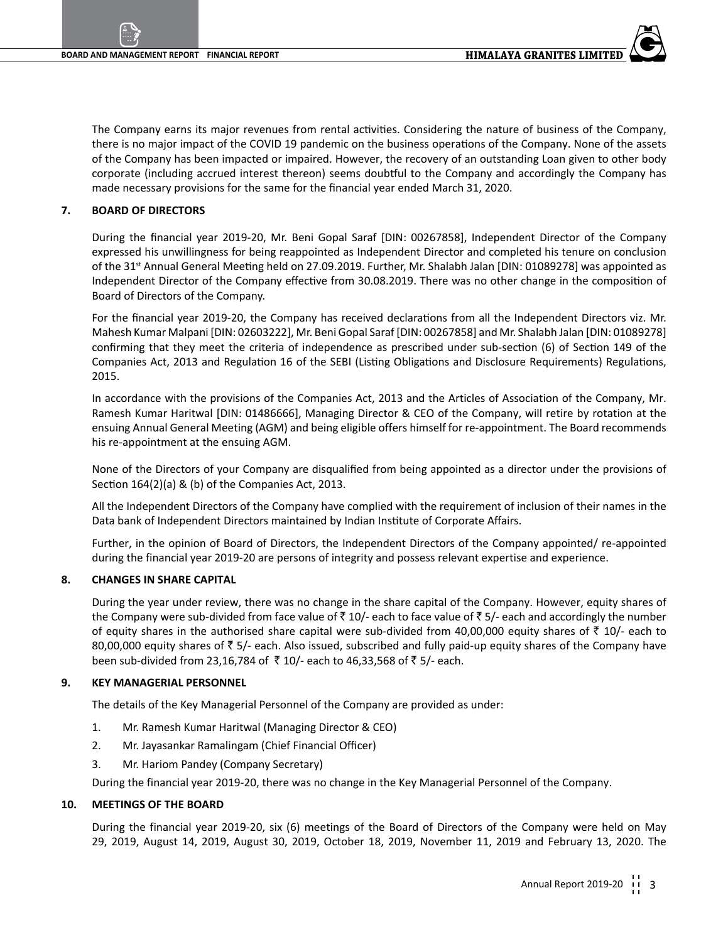The Company earns its major revenues from rental activities. Considering the nature of business of the Company, there is no major impact of the COVID 19 pandemic on the business operations of the Company. None of the assets of the Company has been impacted or impaired. However, the recovery of an outstanding Loan given to other body corporate (including accrued interest thereon) seems doubtful to the Company and accordingly the Company has made necessary provisions for the same for the financial year ended March 31, 2020.

#### **7. BOARD OF DIRECTORS**

During the financial year 2019-20, Mr. Beni Gopal Saraf [DIN: 00267858], Independent Director of the Company expressed his unwillingness for being reappointed as Independent Director and completed his tenure on conclusion of the 31<sup>st</sup> Annual General Meeting held on 27.09.2019. Further, Mr. Shalabh Jalan [DIN: 01089278] was appointed as Independent Director of the Company effective from 30.08.2019. There was no other change in the composition of Board of Directors of the Company.

 For the financial year 2019-20, the Company has received declarations from all the Independent Directors viz. Mr. Mahesh Kumar Malpani [DIN: 02603222], Mr. Beni Gopal Saraf [DIN: 00267858] and Mr. Shalabh Jalan [DIN: 01089278] confirming that they meet the criteria of independence as prescribed under sub-section (6) of Section 149 of the Companies Act, 2013 and Regulation 16 of the SEBI (Listing Obligations and Disclosure Requirements) Regulations, 2015.

In accordance with the provisions of the Companies Act, 2013 and the Articles of Association of the Company, Mr. Ramesh Kumar Haritwal [DIN: 01486666], Managing Director & CEO of the Company, will retire by rotation at the ensuing Annual General Meeting (AGM) and being eligible offers himself for re-appointment. The Board recommends his re-appointment at the ensuing AGM.

None of the Directors of your Company are disqualified from being appointed as a director under the provisions of Section 164(2)(a) & (b) of the Companies Act, 2013.

All the Independent Directors of the Company have complied with the requirement of inclusion of their names in the Data bank of Independent Directors maintained by Indian Institute of Corporate Affairs.

Further, in the opinion of Board of Directors, the Independent Directors of the Company appointed/ re-appointed during the financial year 2019-20 are persons of integrity and possess relevant expertise and experience.

#### **8. CHANGES IN SHARE CAPITAL**

During the year under review, there was no change in the share capital of the Company. However, equity shares of the Company were sub-divided from face value of  $\bar{c}$  10/- each to face value of  $\bar{c}$  5/- each and accordingly the number of equity shares in the authorised share capital were sub-divided from 40,00,000 equity shares of  $\bar{z}$  10/- each to 80,00,000 equity shares of  $\bar{\tau}$  5/- each. Also issued, subscribed and fully paid-up equity shares of the Company have been sub-divided from 23,16,784 of ₹10/- each to 46,33,568 of ₹5/- each.

#### **9. KEY MANAGERIAL PERSONNEL**

The details of the Key Managerial Personnel of the Company are provided as under:

- 1. Mr. Ramesh Kumar Haritwal (Managing Director & CEO)
- 2. Mr. Jayasankar Ramalingam (Chief Financial Officer)
- 3. Mr. Hariom Pandey (Company Secretary)

During the financial year 2019-20, there was no change in the Key Managerial Personnel of the Company.

#### **10. MEETINGS OF THE BOARD**

During the financial year 2019-20, six (6) meetings of the Board of Directors of the Company were held on May 29, 2019, August 14, 2019, August 30, 2019, October 18, 2019, November 11, 2019 and February 13, 2020. The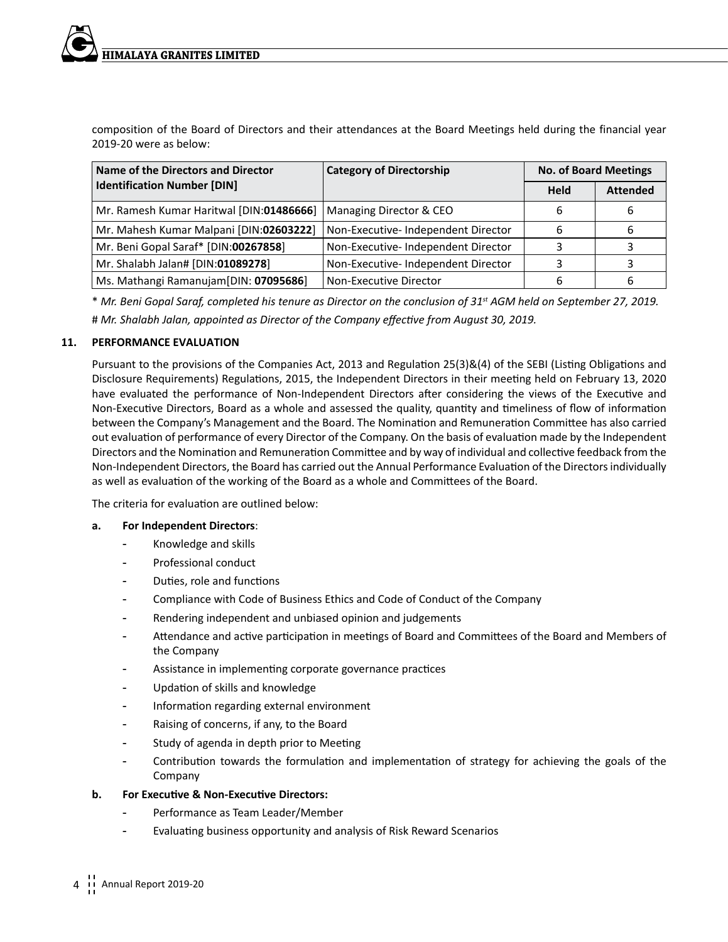composition of the Board of Directors and their attendances at the Board Meetings held during the financial year 2019-20 were as below:

| Name of the Directors and Director       | <b>Category of Directorship</b>     | <b>No. of Board Meetings</b> |                 |  |
|------------------------------------------|-------------------------------------|------------------------------|-----------------|--|
| <b>Identification Number [DIN]</b>       |                                     | Held                         | <b>Attended</b> |  |
| Mr. Ramesh Kumar Haritwal [DIN:01486666] | Managing Director & CEO             |                              | ь               |  |
| Mr. Mahesh Kumar Malpani [DIN:02603222]  | Non-Executive-Independent Director  |                              | ь               |  |
| Mr. Beni Gopal Saraf* [DIN:00267858]     | Non-Executive- Independent Director |                              |                 |  |
| Mr. Shalabh Jalan# [DIN:01089278]        | Non-Executive- Independent Director |                              |                 |  |
| Ms. Mathangi Ramanujam[DIN: 07095686]    | Non-Executive Director              |                              | ь               |  |

\* *Mr. Beni Gopal Saraf, completed his tenure as Director on the conclusion of 31st AGM held on September 27, 2019.* # *Mr. Shalabh Jalan, appointed as Director of the Company effective from August 30, 2019.*

#### **11. PERFORMANCE EVALUATION**

 Pursuant to the provisions of the Companies Act, 2013 and Regulation 25(3)&(4) of the SEBI (Listing Obligations and Disclosure Requirements) Regulations, 2015, the Independent Directors in their meeting held on February 13, 2020 have evaluated the performance of Non-Independent Directors after considering the views of the Executive and Non-Executive Directors, Board as a whole and assessed the quality, quantity and timeliness of flow of information between the Company's Management and the Board. The Nomination and Remuneration Committee has also carried out evaluation of performance of every Director of the Company. On the basis of evaluation made by the Independent Directors and the Nomination and Remuneration Committee and by way of individual and collective feedback from the Non-Independent Directors, the Board has carried out the Annual Performance Evaluation of the Directorsindividually as well as evaluation of the working of the Board as a whole and Committees of the Board.

 The criteria for evaluation are outlined below:

#### **a. For Independent Directors**:

- Knowledge and skills
- Professional conduct
- Duties, role and functions
- Compliance with Code of Business Ethics and Code of Conduct of the Company
- Rendering independent and unbiased opinion and judgements
- Attendance and active participation in meetings of Board and Committees of the Board and Members of the Company
- Assistance in implementing corporate governance practices
- Updation of skills and knowledge
- Information regarding external environment
- Raising of concerns, if any, to the Board
- Study of agenda in depth prior to Meeting
- Contribution towards the formulation and implementation of strategy for achieving the goals of the Company
- **b. For Executive & Non-Executive Directors:**
	- Performance as Team Leader/Member
	- Evaluating business opportunity and analysis of Risk Reward Scenarios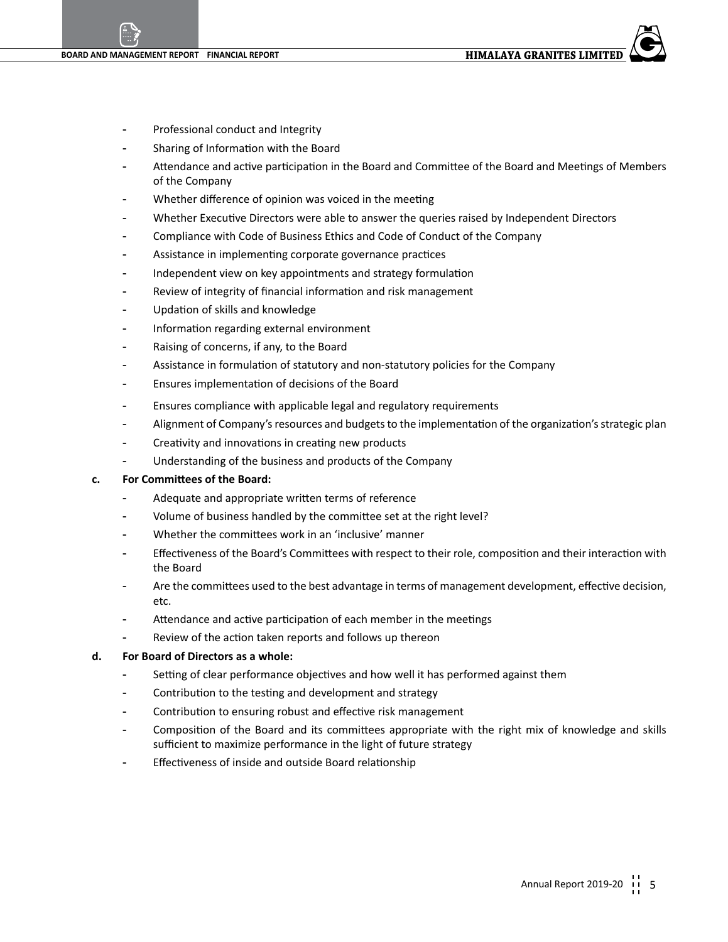- Professional conduct and Integrity
- Sharing of Information with the Board
- Attendance and active participation in the Board and Committee of the Board and Meetings of Members of the Company
- Whether difference of opinion was voiced in the meeting
- Whether Executive Directors were able to answer the queries raised by Independent Directors
- Compliance with Code of Business Ethics and Code of Conduct of the Company
- Assistance in implementing corporate governance practices
- Independent view on key appointments and strategy formulation
- Review of integrity of financial information and risk management
- Updation of skills and knowledge
- Information regarding external environment
- Raising of concerns, if any, to the Board
- Assistance in formulation of statutory and non-statutory policies for the Company
- Ensures implementation of decisions of the Board
- Ensures compliance with applicable legal and regulatory requirements
- Alignment of Company's resources and budgets to the implementation of the organization's strategic plan
- Creativity and innovations in creating new products
- Understanding of the business and products of the Company

#### **c. For Committees of the Board:**

- Adequate and appropriate written terms of reference
- Volume of business handled by the committee set at the right level?
- Whether the committees work in an 'inclusive' manner
- Effectiveness of the Board's Committees with respect to their role, composition and their interaction with the Board
- Are the committees used to the best advantage in terms of management development, effective decision, etc.
- Attendance and active participation of each member in the meetings
- Review of the action taken reports and follows up thereon

#### **d. For Board of Directors as a whole:**

- Setting of clear performance objectives and how well it has performed against them
- Contribution to the testing and development and strategy
- Contribution to ensuring robust and effective risk management
- Composition of the Board and its committees appropriate with the right mix of knowledge and skills sufficient to maximize performance in the light of future strategy
- Effectiveness of inside and outside Board relationship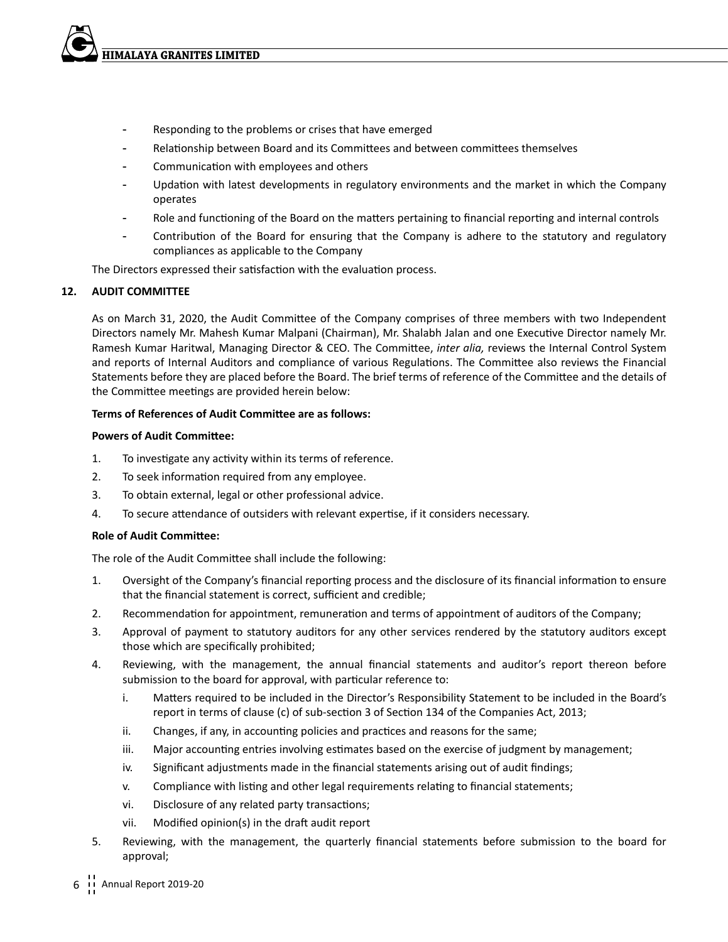- Responding to the problems or crises that have emerged
- Relationship between Board and its Committees and between committees themselves
- Communication with employees and others
- Updation with latest developments in regulatory environments and the market in which the Company operates
- Role and functioning of the Board on the matters pertaining to financial reporting and internal controls
- Contribution of the Board for ensuring that the Company is adhere to the statutory and regulatory compliances as applicable to the Company

 The Directors expressed their satisfaction with the evaluation process.

#### **12. AUDIT COMMITTEE**

As on March 31, 2020, the Audit Committee of the Company comprises of three members with two Independent Directors namely Mr. Mahesh Kumar Malpani (Chairman), Mr. Shalabh Jalan and one Executive Director namely Mr. Ramesh Kumar Haritwal, Managing Director & CEO. The Committee, *inter alia,* reviews the Internal Control System and reports of Internal Auditors and compliance of various Regulations. The Committee also reviews the Financial Statements before they are placed before the Board. The brief terms of reference of the Committee and the details of the Committee meetings are provided herein below:

#### **Terms of References of Audit Committee are as follows:**

#### **Powers of Audit Committee:**

- 1. To investigate any activity within its terms of reference.
- 2. To seek information required from any employee.
- 3. To obtain external, legal or other professional advice.
- 4. To secure attendance of outsiders with relevant expertise, if it considers necessary.

#### **Role of Audit Committee:**

 The role of the Audit Committee shall include the following:

- 1. Oversight of the Company's financial reporting process and the disclosure of its financial information to ensure that the financial statement is correct, sufficient and credible;
- 2. Recommendation for appointment, remuneration and terms of appointment of auditors of the Company;
- 3. Approval of payment to statutory auditors for any other services rendered by the statutory auditors except those which are specifically prohibited;
- 4. Reviewing, with the management, the annual financial statements and auditor's report thereon before submission to the board for approval, with particular reference to:
	- i. Matters required to be included in the Director's Responsibility Statement to be included in the Board's report in terms of clause (c) of sub-section 3 of Section 134 of the Companies Act, 2013;
	- ii. Changes, if any, in accounting policies and practices and reasons for the same;
	- iii. Major accounting entries involving estimates based on the exercise of judgment by management;
	- iv. Significant adjustments made in the financial statements arising out of audit findings;
	- v. Compliance with listing and other legal requirements relating to financial statements;
	- vi. Disclosure of any related party transactions;
	- vii. Modified opinion(s) in the draft audit report
- 5. Reviewing, with the management, the quarterly financial statements before submission to the board for approval;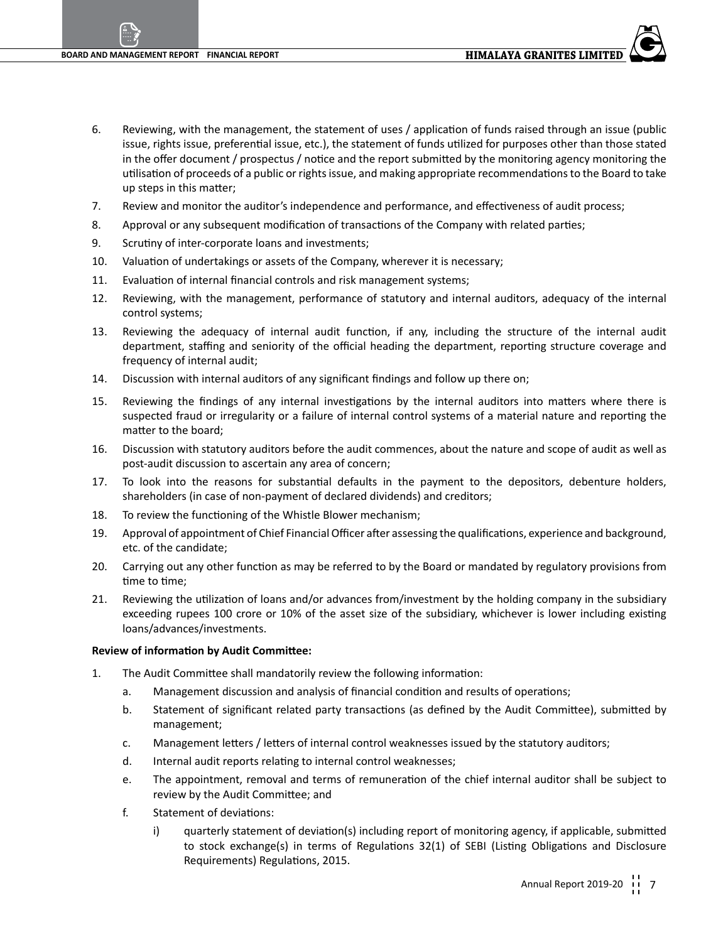- 6. Reviewing, with the management, the statement of uses / application of funds raised through an issue (public issue, rights issue, preferential issue, etc.), the statement of funds utilized for purposes other than those stated in the offer document / prospectus / notice and the report submitted by the monitoring agency monitoring the utilisation of proceeds of a public or rightsissue, and making appropriate recommendationsto the Board to take up steps in this matter;
- 7. Review and monitor the auditor's independence and performance, and effectiveness of audit process;
- 8. Approval or any subsequent modification of transactions of the Company with related parties;
- 9. Scrutiny of inter-corporate loans and investments;
- 10. Valuation of undertakings or assets of the Company, wherever it is necessary;
- 11. Evaluation of internal financial controls and risk management systems:
- 12. Reviewing, with the management, performance of statutory and internal auditors, adequacy of the internal control systems;
- 13. Reviewing the adequacy of internal audit function, if any, including the structure of the internal audit department, staffing and seniority of the official heading the department, reporting structure coverage and frequency of internal audit;
- 14. Discussion with internal auditors of any significant findings and follow up there on;
- 15. Reviewing the findings of any internal investigations by the internal auditors into matters where there is suspected fraud or irregularity or a failure of internal control systems of a material nature and reporting the matter to the board;
- 16. Discussion with statutory auditors before the audit commences, about the nature and scope of audit as well as post-audit discussion to ascertain any area of concern;
- 17. To look into the reasons for substantial defaults in the payment to the depositors, debenture holders, shareholders (in case of non-payment of declared dividends) and creditors;
- 18. To review the functioning of the Whistle Blower mechanism;
- 19. Approval of appointment of Chief FinancialOfficer after assessing the qualifications, experience and background, etc. of the candidate;
- 20. Carrying out any other function as may be referred to by the Board or mandated by regulatory provisions from time to time;
- 21. Reviewing the utilization of loans and/or advances from/investment by the holding company in the subsidiary exceeding rupees 100 crore or 10% of the asset size of the subsidiary, whichever is lower including existing loans/advances/investments.

#### **Review of information by Audit Committee:**

- 1. The Audit Committee shall mandatorily review the following information:
	- a. Management discussion and analysis of financial condition and results of operations;
	- b. Statement of significant related party transactions (as defined by the Audit Committee), submitted by management;
	- c. Management letters / letters of internal control weaknesses issued by the statutory auditors;
	- d. Internal audit reports relating to internal control weaknesses;
	- e. The appointment, removal and terms of remuneration of the chief internal auditor shall be subject to review by the Audit Committee; and
	- f. Statement of deviations:
		- i) quarterly statement of deviation(s) including report of monitoring agency, if applicable, submitted to stock exchange(s) in terms of Regulations 32(1) of SEBI (Listing Obligations and Disclosure Requirements) Regulations, 2015.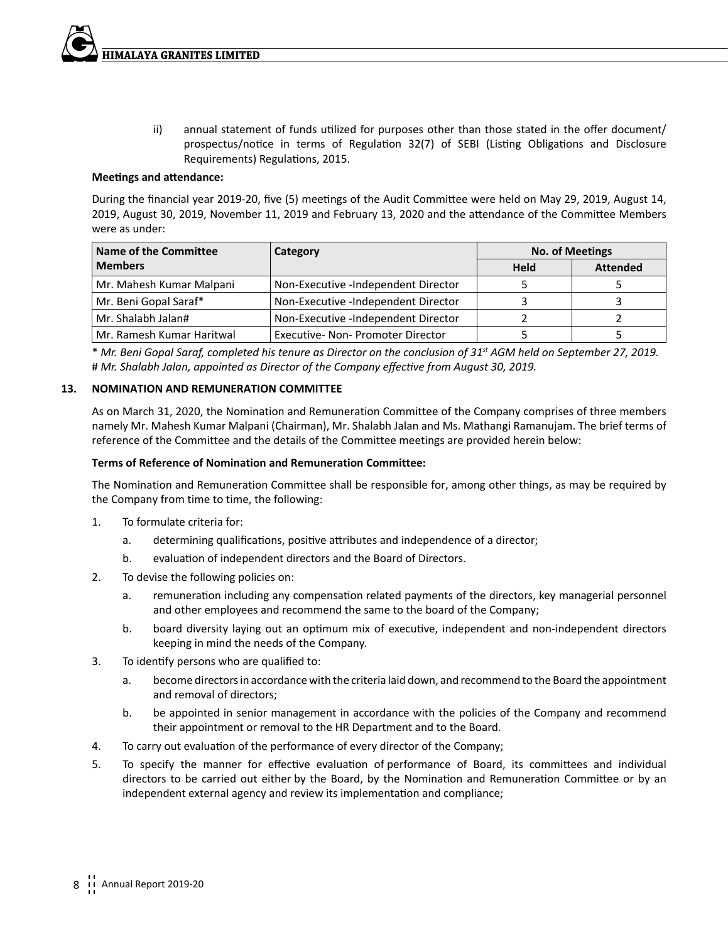ii) annual statement of funds utilized for purposes other than those stated in the offer document/ prospectus/notice in terms of Regulation 32(7) of SEBI (Listing Obligations and Disclosure Requirements) Regulations, 2015.

#### **Meetings and attendance:**

 During the financial year 2019-20, five (5) meetings of the Audit Committee were held on May 29, 2019, August 14, 2019, August 30, 2019, November 11, 2019 and February 13, 2020 and the attendance of the Committee Members were as under:

| Name of the Committee     | Category                            | <b>No. of Meetings</b> |                 |  |
|---------------------------|-------------------------------------|------------------------|-----------------|--|
| <b>Members</b>            |                                     | Held                   | <b>Attended</b> |  |
| Mr. Mahesh Kumar Malpani  | Non-Executive -Independent Director |                        |                 |  |
| Mr. Beni Gopal Saraf*     | Non-Executive -Independent Director |                        |                 |  |
| Mr. Shalabh Jalan#        | Non-Executive -Independent Director |                        |                 |  |
| Mr. Ramesh Kumar Haritwal | Executive- Non- Promoter Director   |                        |                 |  |

\* *Mr. Beni Gopal Saraf, completed his tenure as Director on the conclusion of 31st AGM held on September 27, 2019.* # *Mr. Shalabh Jalan, appointed as Director of the Company effective from August 30, 2019.*

#### **13. NOMINATION AND REMUNERATION COMMITTEE**

As on March 31, 2020, the Nomination and Remuneration Committee of the Company comprises of three members namely Mr. Mahesh Kumar Malpani (Chairman), Mr. Shalabh Jalan and Ms. Mathangi Ramanujam. The brief terms of reference of the Committee and the details of the Committee meetings are provided herein below:

#### **Terms of Reference of Nomination and Remuneration Committee:**

The Nomination and Remuneration Committee shall be responsible for, among other things, as may be required by the Company from time to time, the following:

- 1. To formulate criteria for:
	- a. determining qualifications, positive attributes and independence of a director;
	- b. evaluation of independent directors and the Board of Directors.
- 2. To devise the following policies on:
	- a. remuneration including any compensation related payments of the directors, key managerial personnel and other employees and recommend the same to the board of the Company;
	- b. board diversity laying out an optimum mix of executive, independent and non-independent directors keeping in mind the needs of the Company.
- 3. To identify persons who are qualified to:
	- a. become directors in accordance with the criteria laid down, and recommend to the Board the appointment and removal of directors;
	- b. be appointed in senior management in accordance with the policies of the Company and recommend their appointment or removal to the HR Department and to the Board.
- 4. To carry out evaluation of the performance of every director of the Company;
- 5. To specify the manner for effective evaluation of performance of Board, its committees and individual directors to be carried out either by the Board, by the Nomination and Remuneration Committee or by an independent external agency and review its implementation and compliance;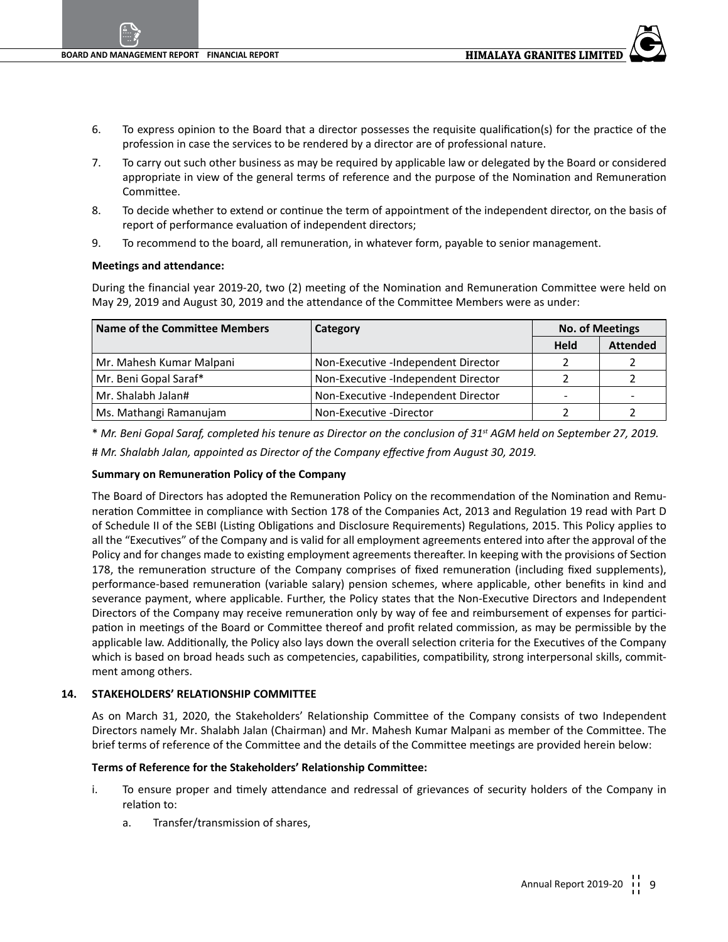- 6. To express opinion to the Board that a director possesses the requisite qualification(s) for the practice of the profession in case the services to be rendered by a director are of professional nature.
- 7. To carry out such other business as may be required by applicable law or delegated by the Board or considered appropriate in view of the general terms of reference and the purpose of the Nomination and Remuneration Committee.
- 8. To decide whether to extend or continue the term of appointment of the independent director, on the basis of report of performance evaluation of independent directors;
- 9. To recommend to the board, all remuneration, in whatever form, payable to senior management.

#### **Meetings and attendance:**

During the financial year 2019-20, two (2) meeting of the Nomination and Remuneration Committee were held on May 29, 2019 and August 30, 2019 and the attendance of the Committee Members were as under:

| Name of the Committee Members | Category                            | <b>No. of Meetings</b> |                 |  |
|-------------------------------|-------------------------------------|------------------------|-----------------|--|
|                               |                                     | <b>Held</b>            | <b>Attended</b> |  |
| Mr. Mahesh Kumar Malpani      | Non-Executive -Independent Director |                        |                 |  |
| Mr. Beni Gopal Saraf*         | Non-Executive -Independent Director |                        |                 |  |
| Mr. Shalabh Jalan#            | Non-Executive -Independent Director |                        |                 |  |
| Ms. Mathangi Ramanujam        | Non-Executive -Director             |                        |                 |  |

\* *Mr. Beni Gopal Saraf, completed his tenure as Director on the conclusion of 31st AGM held on September 27, 2019.*

# *Mr. Shalabh Jalan, appointed as Director of the Company effective from August 30, 2019.*

#### **Summary on Remuneration Policy of the Company**

 The Board of Directors has adopted the Remuneration Policy on the recommendation of the Nomination and Remuneration Committee in compliance with Section 178 of the Companies Act, 2013 and Regulation 19 read with Part D of Schedule II of the SEBI (Listing Obligations and Disclosure Requirements) Regulations, 2015. This Policy applies to all the "Executives" of the Company and is valid for all employment agreements entered into after the approval of the Policy and for changes made to existing employment agreements thereafter. In keeping with the provisions of Section 178, the remuneration structure of the Company comprises of fixed remuneration (including fixed supplements), performance-based remuneration (variable salary) pension schemes, where applicable, other benefits in kind and severance payment, where applicable. Further, the Policy states that the Non-Executive Directors and Independent Directors of the Company may receive remuneration only by way of fee and reimbursement of expenses for participation in meetings of the Board or Committee thereof and profit related commission, as may be permissible by the applicable law. Additionally, the Policy also lays down the overall selection criteria for the Executives of the Company which is based on broad heads such as competencies, capabilities, compatibility, strong interpersonal skills, commitment among others.

#### **14. STAKEHOLDERS' RELATIONSHIP COMMITTEE**

As on March 31, 2020, the Stakeholders' Relationship Committee of the Company consists of two Independent Directors namely Mr. Shalabh Jalan (Chairman) and Mr. Mahesh Kumar Malpani as member of the Committee. The brief terms of reference of the Committee and the details of the Committee meetings are provided herein below:

#### **Terms of Reference for the Stakeholders' Relationship Committee:**

- i. To ensure proper and timely attendance and redressal of grievances of security holders of the Company in relation to:
	- a. Transfer/transmission of shares,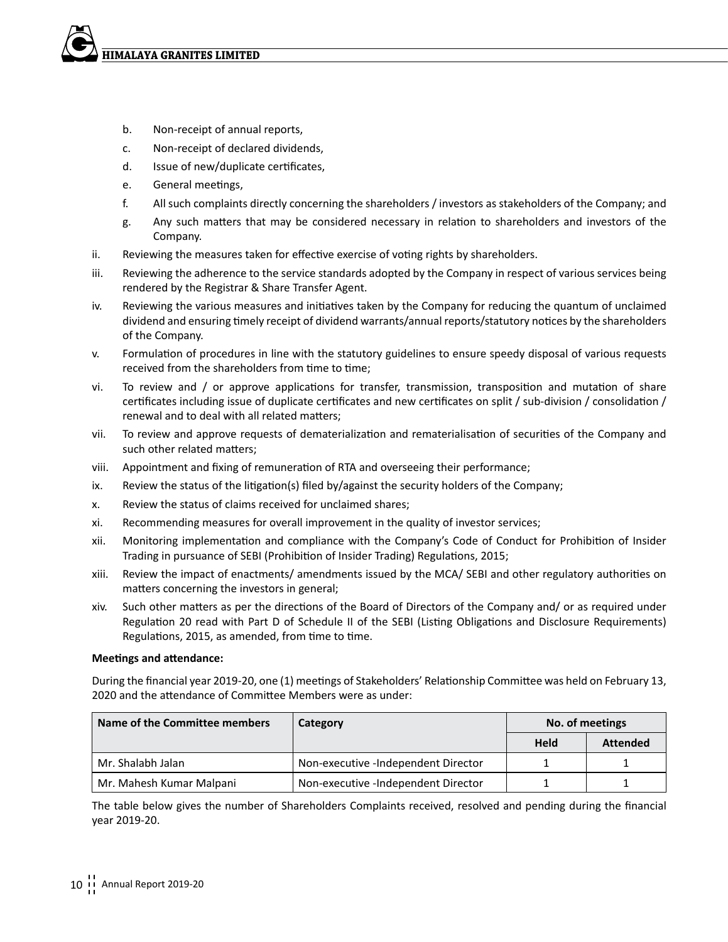- b. Non-receipt of annual reports,
- c. Non-receipt of declared dividends,
- d. Issue of new/duplicate certificates,
- e. General meetings,
- f. All such complaints directly concerning the shareholders / investors as stakeholders of the Company; and
- g. Any such matters that may be considered necessary in relation to shareholders and investors of the Company.
- ii. Reviewing the measures taken for effective exercise of voting rights by shareholders.
- iii. Reviewing the adherence to the service standards adopted by the Company in respect of various services being rendered by the Registrar & Share Transfer Agent.
- iv. Reviewing the various measures and initiatives taken by the Company for reducing the quantum of unclaimed dividend and ensuring timely receipt of dividend warrants/annual reports/statutory notices by the shareholders of the Company.
- v. Formulation of procedures in line with the statutory guidelines to ensure speedy disposal of various requests received from the shareholders from time to time;
- vi. To review and / or approve applications for transfer, transmission, transposition and mutation of share certificates including issue of duplicate certificates and new certificates on split / sub-division / consolidation / renewal and to deal with all related matters;
- vii. To review and approve requests of dematerialization and rematerialisation of securities of the Company and such other related matters;
- viii. Appointment and fixing of remuneration of RTA and overseeing their performance;
- ix. Review the status of the litigation(s) filed by/against the security holders of the Company;
- x. Review the status of claims received for unclaimed shares;
- xi. Recommending measures for overall improvement in the quality of investor services;
- xii. Monitoring implementation and compliance with the Company's Code of Conduct for Prohibition of Insider Trading in pursuance of SEBI (Prohibition of Insider Trading) Regulations, 2015;
- xiii. Review the impact of enactments/ amendments issued by the MCA/ SEBI and other regulatory authorities on matters concerning the investors in general;
- xiv. Such other matters as per the directions of the Board of Directors of the Company and/ or as required under Regulation 20 read with Part D of Schedule II of the SEBI (Listing Obligations and Disclosure Requirements) Regulations, 2015, as amended, from time to time.

#### **Meetings and attendance:**

 During the financial year 2019-20, one (1) meetings of Stakeholders' Relationship Committee was held on February 13, 2020 and the attendance of Committee Members were as under:

| Name of the Committee members | Category                            | No. of meetings |          |
|-------------------------------|-------------------------------------|-----------------|----------|
|                               |                                     | Held            | Attended |
| Mr. Shalabh Jalan             | Non-executive -Independent Director |                 |          |
| Mr. Mahesh Kumar Malpani      | Non-executive -Independent Director |                 |          |

 The table below gives the number of Shareholders Complaints received, resolved and pending during the financial year 2019-20.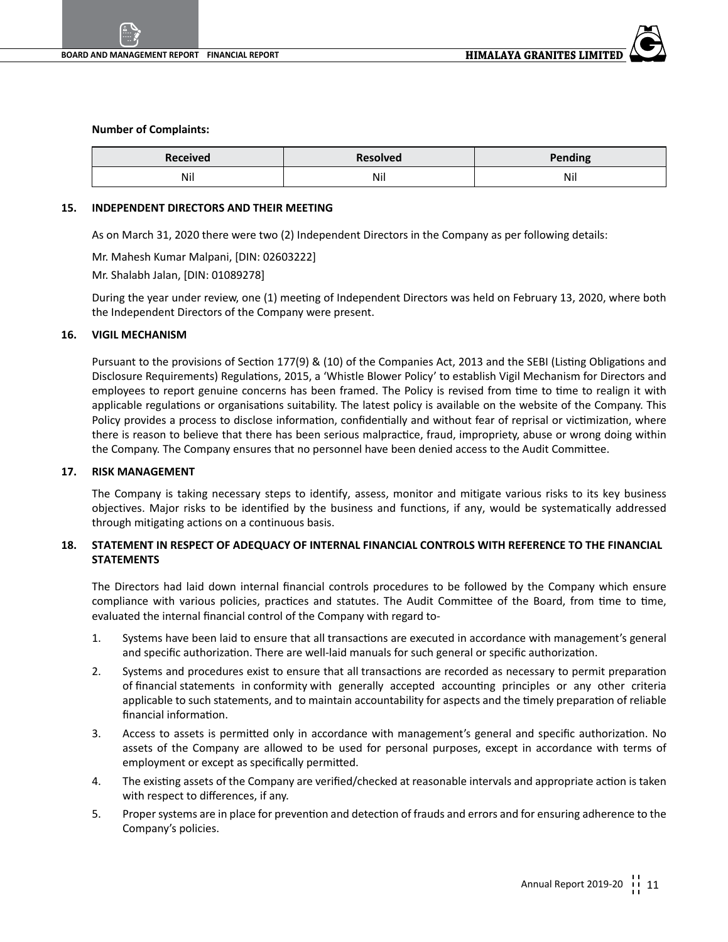#### **Number of Complaints:**

| <b>Received</b> | <b>Resolved</b> | Pending |  |  |
|-----------------|-----------------|---------|--|--|
| Nil             | Nil             | Nil     |  |  |

#### **15. INDEPENDENT DIRECTORS AND THEIR MEETING**

As on March 31, 2020 there were two (2) Independent Directors in the Company as per following details:

Mr. Mahesh Kumar Malpani, [DIN: 02603222]

Mr. Shalabh Jalan, [DIN: 01089278]

 During the year under review, one (1) meeting of Independent Directors was held on February 13, 2020, where both the Independent Directors of the Company were present.

#### **16. VIGIL MECHANISM**

Pursuant to the provisions of Section 177(9) & (10) of the Companies Act, 2013 and the SEBI (Listing Obligations and Disclosure Requirements) Regulations, 2015, a 'Whistle Blower Policy' to establish Vigil Mechanism for Directors and employees to report genuine concerns has been framed. The Policy is revised from time to time to realign it with applicable regulations or organisations suitability. The latest policy is available on the website of the Company. This Policy provides a process to disclose information, confidentially and without fear of reprisal or victimization, where there is reason to believe that there has been serious malpractice, fraud, impropriety, abuse or wrong doing within the Company. The Company ensures that no personnel have been denied access to the Audit Committee.

#### **17. RISK MANAGEMENT**

The Company is taking necessary steps to identify, assess, monitor and mitigate various risks to its key business objectives. Major risks to be identified by the business and functions, if any, would be systematically addressed through mitigating actions on a continuous basis.

#### **18. STATEMENT IN RESPECT OF ADEQUACY OF INTERNAL FINANCIAL CONTROLS WITH REFERENCE TO THE FINANCIAL STATEMENTS**

The Directors had laid down internal financial controls procedures to be followed by the Company which ensure compliance with various policies, practices and statutes. The Audit Committee of the Board, from time to time, evaluated the internal financial control of the Company with regard to-

- 1. Systems have been laid to ensure that all transactions are executed in accordance with management's general and specific authorization. There are well-laid manuals for such general or specific authorization.
- 2. Systems and procedures exist to ensure that all transactions are recorded as necessary to permit preparation of financial statements in conformity with generally accepted accounting principles or any other criteria applicable to such statements, and to maintain accountability for aspects and the timely preparation of reliable financial information.
- 3. Access to assets is permitted only in accordance with management's general and specific authorization. No assets of the Company are allowed to be used for personal purposes, except in accordance with terms of employment or except as specifically permitted.
- 4. The existing assets of the Company are verified/checked at reasonable intervals and appropriate action is taken with respect to differences, if any.
- 5. Propersystems are in place for prevention and detection of frauds and errors and for ensuring adherence to the Company's policies.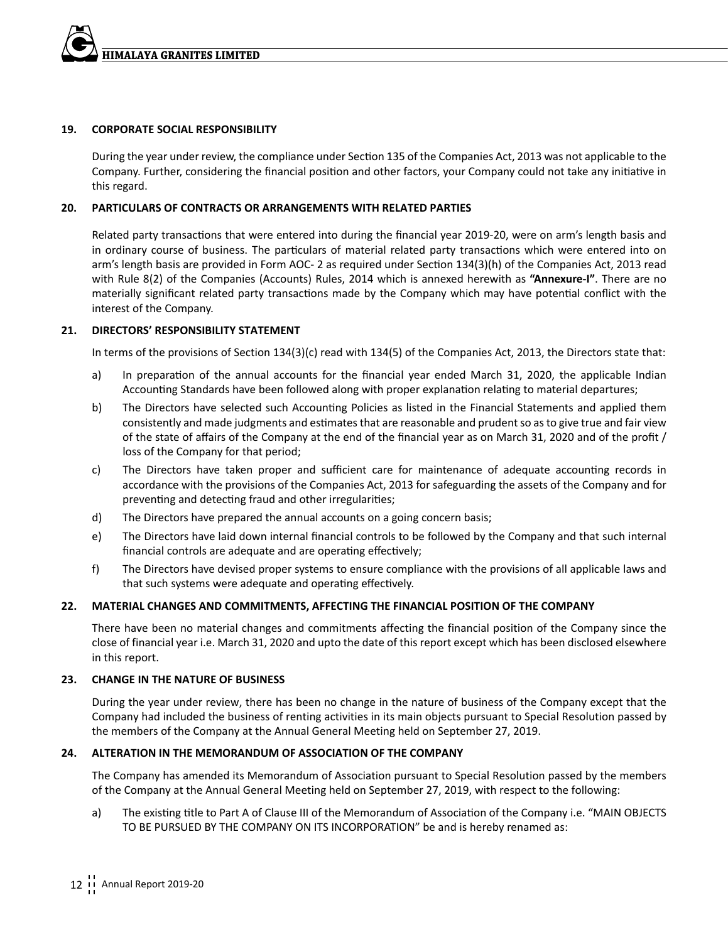

#### **19. CORPORATE SOCIAL RESPONSIBILITY**

During the year under review, the compliance under Section 135 of the Companies Act, 2013 was not applicable to the Company. Further, considering the financial position and other factors, your Company could not take any initiative in this regard.

#### **20. PARTICULARS OF CONTRACTS OR ARRANGEMENTS WITH RELATED PARTIES**

Related party transactions that were entered into during the financial year 2019-20, were on arm's length basis and in ordinary course of business. The particulars of material related party transactions which were entered into on arm's length basis are provided in Form AOC- 2 as required under Section 134(3)(h) of the Companies Act, 2013 read with Rule 8(2) of the Companies (Accounts) Rules, 2014 which is annexed herewith as **"Annexure-I"**. There are no materially significant related party transactions made by the Company which may have potential conflict with the interest of the Company.

#### **21. DIRECTORS' RESPONSIBILITY STATEMENT**

In terms of the provisions of Section 134(3)(c) read with 134(5) of the Companies Act, 2013, the Directors state that:

- a) In preparation of the annual accounts for the financial year ended March 31, 2020, the applicable Indian Accounting Standards have been followed along with proper explanation relating to material departures;
- b) The Directors have selected such Accounting Policies as listed in the Financial Statements and applied them consistently and made judgments and estimates that are reasonable and prudent so as to give true and fair view of the state of affairs of the Company at the end of the financial year as on March 31, 2020 and of the profit / loss of the Company for that period;
- c) The Directors have taken proper and sufficient care for maintenance of adequate accounting records in accordance with the provisions of the Companies Act, 2013 for safeguarding the assets of the Company and for preventing and detecting fraud and other irregularities;
- d) The Directors have prepared the annual accounts on a going concern basis;
- e) The Directors have laid down internal financial controls to be followed by the Company and that such internal financial controls are adequate and are operating effectively;
- f) The Directors have devised proper systems to ensure compliance with the provisions of all applicable laws and that such systems were adequate and operating effectively.

#### **22. MATERIAL CHANGES AND COMMITMENTS, AFFECTING THE FINANCIAL POSITION OF THE COMPANY**

There have been no material changes and commitments affecting the financial position of the Company since the close of financial year i.e. March 31, 2020 and upto the date of this report except which has been disclosed elsewhere in this report.

#### **23. CHANGE IN THE NATURE OF BUSINESS**

During the year under review, there has been no change in the nature of business of the Company except that the Company had included the business of renting activities in its main objects pursuant to Special Resolution passed by the members of the Company at the Annual General Meeting held on September 27, 2019.

#### **24. ALTERATION IN THE MEMORANDUM OF ASSOCIATION OF THE COMPANY**

The Company has amended its Memorandum of Association pursuant to Special Resolution passed by the members of the Company at the Annual General Meeting held on September 27, 2019, with respect to the following:

a) The existing title to Part A of Clause III of the Memorandum of Association of the Company i.e. "MAIN OBJECTS TO BE PURSUED BY THE COMPANY ON ITS INCORPORATION" be and is hereby renamed as: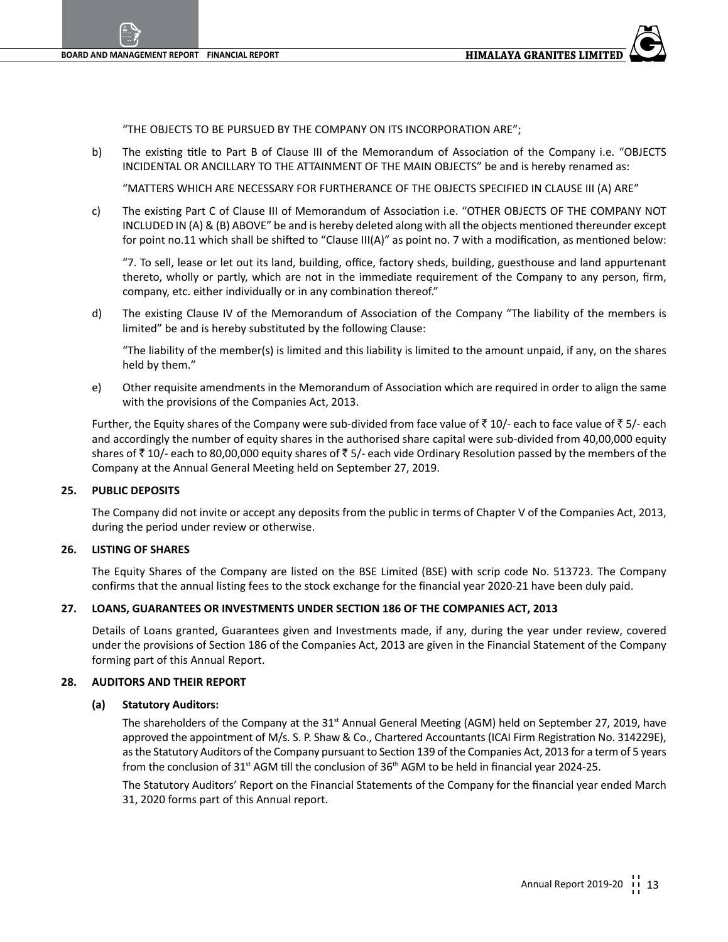"THE OBJECTS TO BE PURSUED BY THE COMPANY ON ITS INCORPORATION ARE";

b) The existing title to Part B of Clause III of the Memorandum of Association of the Company i.e. "OBJECTS INCIDENTAL OR ANCILLARY TO THE ATTAINMENT OF THE MAIN OBJECTS" be and is hereby renamed as:

"MATTERS WHICH ARE NECESSARY FOR FURTHERANCE OF THE OBJECTS SPECIFIED IN CLAUSE III (A) ARE"

c) The existing Part C of Clause III of Memorandum of Association i.e. "OTHER OBJECTS OF THE COMPANY NOT INCLUDED IN (A) & (B) ABOVE" be and is hereby deleted along with all the objects mentioned thereunder except for point no.11 which shall be shifted to "Clause III(A)" as point no. 7 with a modification, as mentioned below:

 "7. To sell, lease or let out its land, building, office, factory sheds, building, guesthouse and land appurtenant thereto, wholly or partly, which are not in the immediate requirement of the Company to any person, firm, company, etc. either individually or in any combination thereof."

d) The existing Clause IV of the Memorandum of Association of the Company "The liability of the members is limited" be and is hereby substituted by the following Clause:

 "The liability of the member(s) is limited and this liability is limited to the amount unpaid, if any, on the shares held by them."

e) Other requisite amendments in the Memorandum of Association which are required in order to align the same with the provisions of the Companies Act, 2013.

Further, the Equity shares of the Company were sub-divided from face value of  $\bar{z}$  10/- each to face value of  $\bar{z}$  5/- each and accordingly the number of equity shares in the authorised share capital were sub-divided from 40,00,000 equity shares of  $\bar{\tau}$  10/- each to 80,00,000 equity shares of  $\bar{\tau}$  5/- each vide Ordinary Resolution passed by the members of the Company at the Annual General Meeting held on September 27, 2019.

#### **25. PUBLIC DEPOSITS**

The Company did not invite or accept any deposits from the public in terms of Chapter V of the Companies Act, 2013, during the period under review or otherwise.

#### **26. LISTING OF SHARES**

The Equity Shares of the Company are listed on the BSE Limited (BSE) with scrip code No. 513723. The Company confirms that the annual listing fees to the stock exchange for the financial year 2020-21 have been duly paid.

#### **27. LOANS, GUARANTEES OR INVESTMENTS UNDER SECTION 186 OF THE COMPANIES ACT, 2013**

Details of Loans granted, Guarantees given and Investments made, if any, during the year under review, covered under the provisions of Section 186 of the Companies Act, 2013 are given in the Financial Statement of the Company forming part of this Annual Report.

#### **28. AUDITORS AND THEIR REPORT**

#### **(a) Statutory Auditors:**

The shareholders of the Company at the  $31<sup>st</sup>$  Annual General Meeting (AGM) held on September 27, 2019, have approved the appointment of M/s. S. P. Shaw & Co., Chartered Accountants (ICAI Firm Registration No. 314229E), asthe Statutory Auditors of the Company pursuant to Section 139 of the Companies Act, 2013 for a term of 5 years from the conclusion of 31<sup>st</sup> AGM till the conclusion of 36<sup>th</sup> AGM to be held in financial year 2024-25.

 The Statutory Auditors' Report on the Financial Statements of the Company for the financial year ended March 31, 2020 forms part of this Annual report.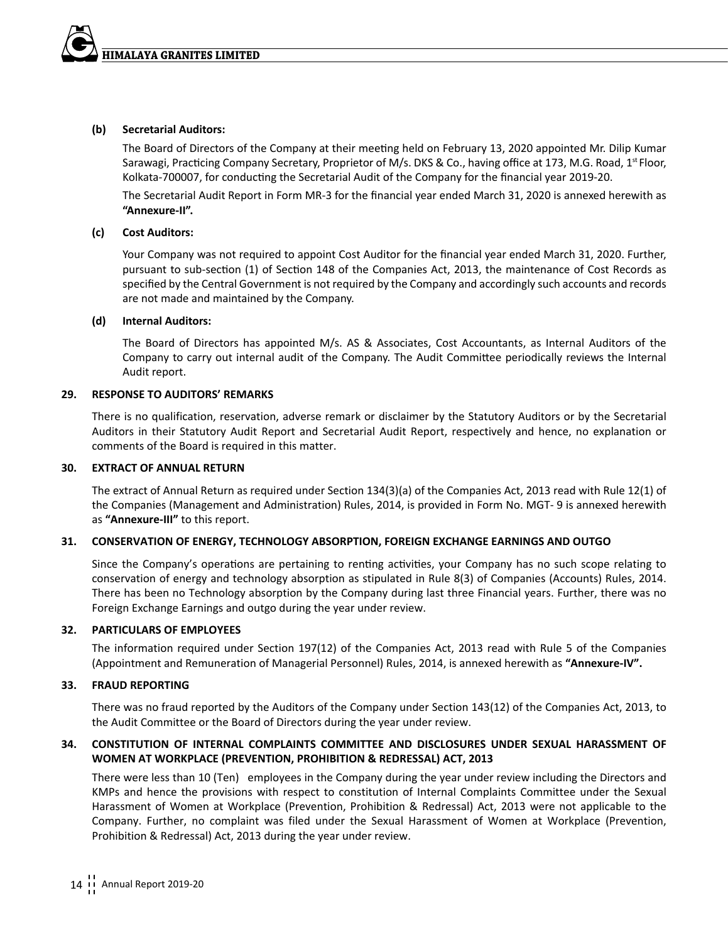#### **(b) Secretarial Auditors:**

 The Board of Directors of the Company at their meeting held on February 13, 2020 appointed Mr. Dilip Kumar Sarawagi, Practicing Company Secretary, Proprietor of M/s. DKS & Co., having office at 173, M.G. Road, 1<sup>st</sup> Floor, Kolkata-700007, for conducting the Secretarial Audit of the Company for the financial year 2019-20.

 The Secretarial Audit Report in Form MR-3 for the financial year ended March 31, 2020 is annexed herewith as **"Annexure-II".**

#### **(c) Cost Auditors:**

 Your Company was not required to appoint Cost Auditor for the financial year ended March 31, 2020. Further, pursuant to sub-section (1) of Section 148 of the Companies Act, 2013, the maintenance of Cost Records as specified by the Central Government is not required by the Company and accordingly such accounts and records are not made and maintained by the Company.

#### **(d) Internal Auditors:**

The Board of Directors has appointed M/s. AS & Associates, Cost Accountants, as Internal Auditors of the Company to carry out internal audit of the Company. The Audit Committee periodically reviews the Internal Audit report.

#### **29. RESPONSE TO AUDITORS' REMARKS**

There is no qualification, reservation, adverse remark or disclaimer by the Statutory Auditors or by the Secretarial Auditors in their Statutory Audit Report and Secretarial Audit Report, respectively and hence, no explanation or comments of the Board is required in this matter.

#### **30. EXTRACT OF ANNUAL RETURN**

The extract of Annual Return as required under Section 134(3)(a) of the Companies Act, 2013 read with Rule 12(1) of the Companies (Management and Administration) Rules, 2014, is provided in Form No. MGT- 9 is annexed herewith as **"Annexure-III"** to this report.

#### **31. CONSERVATION OF ENERGY, TECHNOLOGY ABSORPTION, FOREIGN EXCHANGE EARNINGS AND OUTGO**

 Since the Company's operations are pertaining to renting activities, your Company has no such scope relating to conservation of energy and technology absorption as stipulated in Rule 8(3) of Companies (Accounts) Rules, 2014. There has been no Technology absorption by the Company during last three Financial years. Further, there was no Foreign Exchange Earnings and outgo during the year under review.

#### **32. PARTICULARS OF EMPLOYEES**

The information required under Section 197(12) of the Companies Act, 2013 read with Rule 5 of the Companies (Appointment and Remuneration of Managerial Personnel) Rules, 2014, is annexed herewith as **"Annexure-IV".**

#### **33. FRAUD REPORTING**

There was no fraud reported by the Auditors of the Company under Section 143(12) of the Companies Act, 2013, to the Audit Committee or the Board of Directors during the year under review.

#### **34. CONSTITUTION OF INTERNAL COMPLAINTS COMMITTEE AND DISCLOSURES UNDER SEXUAL HARASSMENT OF WOMEN AT WORKPLACE (PREVENTION, PROHIBITION & REDRESSAL) ACT, 2013**

There were less than 10 (Ten) employees in the Company during the year under review including the Directors and KMPs and hence the provisions with respect to constitution of Internal Complaints Committee under the Sexual Harassment of Women at Workplace (Prevention, Prohibition & Redressal) Act, 2013 were not applicable to the Company. Further, no complaint was filed under the Sexual Harassment of Women at Workplace (Prevention, Prohibition & Redressal) Act, 2013 during the year under review.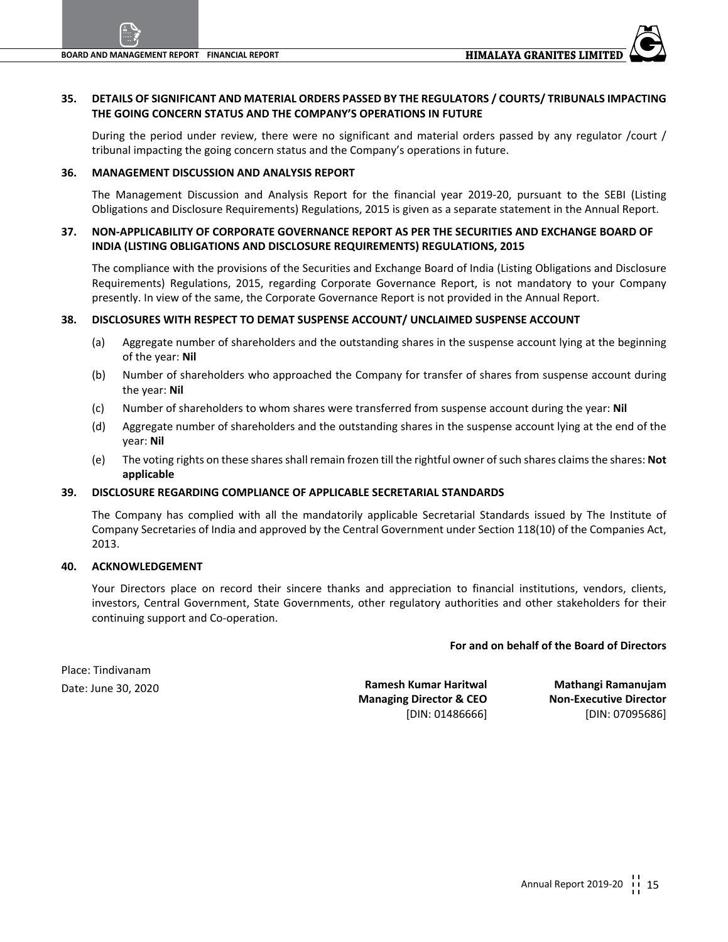#### **35. DETAILS OF SIGNIFICANT AND MATERIAL ORDERS PASSED BY THE REGULATORS / COURTS/ TRIBUNALS IMPACTING THE GOING CONCERN STATUS AND THE COMPANY'S OPERATIONS IN FUTURE**

During the period under review, there were no significant and material orders passed by any regulator /court / tribunal impacting the going concern status and the Company's operations in future.

#### **36. MANAGEMENT DISCUSSION AND ANALYSIS REPORT**

The Management Discussion and Analysis Report for the financial year 2019-20, pursuant to the SEBI (Listing Obligations and Disclosure Requirements) Regulations, 2015 is given as a separate statement in the Annual Report.

#### **37. NON-APPLICABILITY OF CORPORATE GOVERNANCE REPORT AS PER THE SECURITIES AND EXCHANGE BOARD OF INDIA (LISTING OBLIGATIONS AND DISCLOSURE REQUIREMENTS) REGULATIONS, 2015**

The compliance with the provisions of the Securities and Exchange Board of India (Listing Obligations and Disclosure Requirements) Regulations, 2015, regarding Corporate Governance Report, is not mandatory to your Company presently. In view of the same, the Corporate Governance Report is not provided in the Annual Report.

#### **38. DISCLOSURES WITH RESPECT TO DEMAT SUSPENSE ACCOUNT/ UNCLAIMED SUSPENSE ACCOUNT**

- (a) Aggregate number of shareholders and the outstanding shares in the suspense account lying at the beginning of the year: **Nil**
- (b) Number of shareholders who approached the Company for transfer of shares from suspense account during the year: **Nil**
- (c) Number of shareholders to whom shares were transferred from suspense account during the year: **Nil**
- (d) Aggregate number of shareholders and the outstanding shares in the suspense account lying at the end of the year: **Nil**
- (e) The voting rights on these shares shall remain frozen till the rightful owner of such shares claims the shares: **Not applicable**

#### **39. DISCLOSURE REGARDING COMPLIANCE OF APPLICABLE SECRETARIAL STANDARDS**

The Company has complied with all the mandatorily applicable Secretarial Standards issued by The Institute of Company Secretaries of India and approved by the Central Government under Section 118(10) of the Companies Act, 2013.

#### **40. ACKNOWLEDGEMENT**

Your Directors place on record their sincere thanks and appreciation to financial institutions, vendors, clients, investors, Central Government, State Governments, other regulatory authorities and other stakeholders for their continuing support and Co-operation.

**For and on behalf of the Board of Directors**

Place: Tindivanam

Date: June 30, 2020 **Ramesh Kumar Haritwal Managing Director & CEO** [DIN: 01486666]

**Mathangi Ramanujam Non-Executive Director** [DIN: 07095686]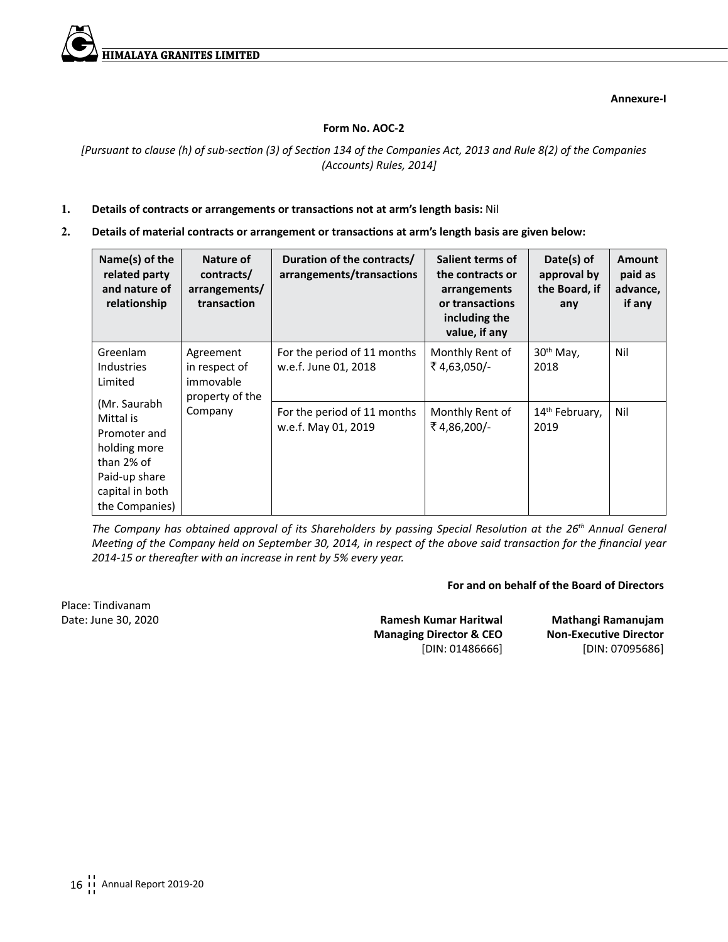**Himalaya Granites Limited**

**Annexure-I**

#### **Form No. AOC-2**

*[Pursuant to clause (h) of sub-section (3) of Section 134 of the Companies Act, 2013 and Rule 8(2) of the Companies (Accounts) Rules, 2014]*

- **1. Details of contracts or arrangements or transactions not at arm's length basis:** Nil
- **2. Details of material contracts or arrangement or transactions at arm's length basis are given below:**

| Name(s) of the<br>related party<br>and nature of<br>relationship                                                              | Nature of<br>contracts/<br>arrangements/<br>transaction    | Duration of the contracts/<br>arrangements/transactions | Salient terms of<br>the contracts or<br>arrangements<br>or transactions<br>including the<br>value, if any | Date(s) of<br>approval by<br>the Board, if<br>any | Amount<br>paid as<br>advance,<br>if any |
|-------------------------------------------------------------------------------------------------------------------------------|------------------------------------------------------------|---------------------------------------------------------|-----------------------------------------------------------------------------------------------------------|---------------------------------------------------|-----------------------------------------|
| Greenlam<br><b>Industries</b><br>Limited                                                                                      | Agreement<br>in respect of<br>immovable<br>property of the | For the period of 11 months<br>w.e.f. June 01, 2018     | Monthly Rent of<br>₹4,63,050/-                                                                            | $30th$ May,<br>2018                               | Nil                                     |
| (Mr. Saurabh<br>Mittal is<br>Promoter and<br>holding more<br>than 2% of<br>Paid-up share<br>capital in both<br>the Companies) | Company                                                    | For the period of 11 months<br>w.e.f. May 01, 2019      | Monthly Rent of<br>₹4,86,200/-                                                                            | 14 <sup>th</sup> February,<br>2019                | Nil                                     |

*The Company has obtained approval of its Shareholders by passing Special Resolution at the 26th Annual General Meeting of the Company held on September 30, 2014, in respect of the above said transaction for the financial year 2014-15 or thereafter with an increase in rent by 5% every year.*

**For and on behalf of the Board of Directors**

Place: Tindivanam

Date: June 30, 2020 **Ramesh Kumar Haritwal Managing Director & CEO** [DIN: 01486666]

**Mathangi Ramanujam Non-Executive Director** [DIN: 07095686]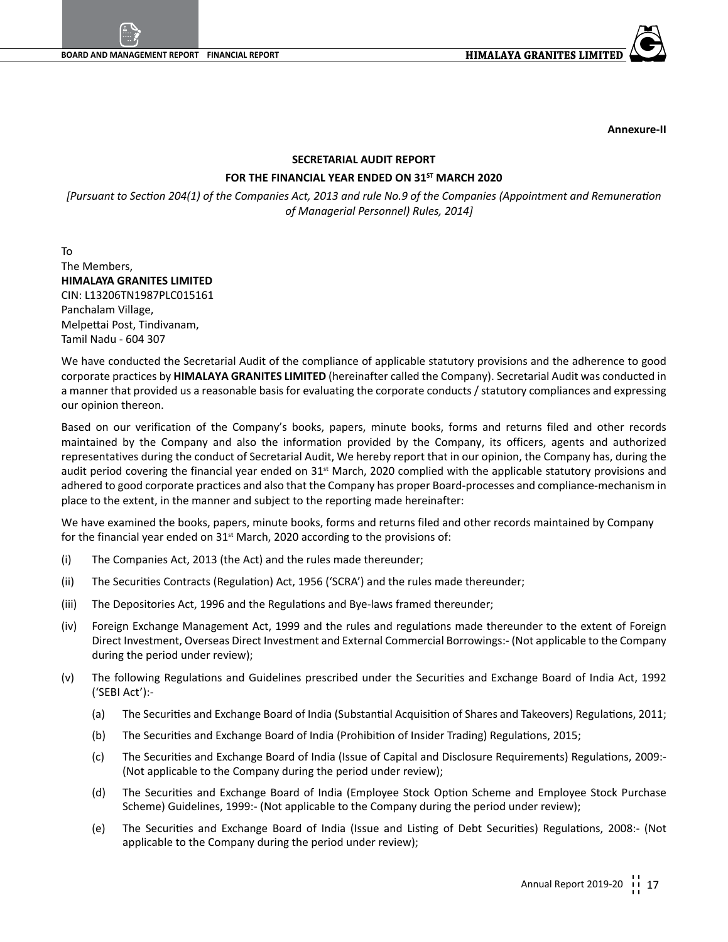**Annexure-II**

#### **SECRETARIAL AUDIT REPORT**

#### **FOR THE FINANCIAL YEAR ENDED ON 31ST MARCH 2020**

*[Pursuant to Section 204(1) of the Companies Act, 2013 and rule No.9 of the Companies (Appointment and Remuneration of Managerial Personnel) Rules, 2014]*

To The Members, **HIMALAYA GRANITES LIMITED** CIN: L13206TN1987PLC015161 Panchalam Village, Melpettai Post, Tindivanam, Tamil Nadu - 604 307

We have conducted the Secretarial Audit of the compliance of applicable statutory provisions and the adherence to good corporate practices by **HIMALAYA GRANITES LIMITED** (hereinafter called the Company). Secretarial Audit was conducted in a manner that provided us a reasonable basis for evaluating the corporate conducts / statutory compliances and expressing our opinion thereon.

Based on our verification of the Company's books, papers, minute books, forms and returns filed and other records maintained by the Company and also the information provided by the Company, its officers, agents and authorized representatives during the conduct of Secretarial Audit, We hereby report that in our opinion, the Company has, during the audit period covering the financial year ended on 31<sup>st</sup> March, 2020 complied with the applicable statutory provisions and adhered to good corporate practices and also that the Company has proper Board-processes and compliance-mechanism in place to the extent, in the manner and subject to the reporting made hereinafter:

We have examined the books, papers, minute books, forms and returns filed and other records maintained by Company for the financial year ended on 31<sup>st</sup> March, 2020 according to the provisions of:

- (i) The Companies Act, 2013 (the Act) and the rules made thereunder;
- (ii) The Securities Contracts (Regulation) Act, 1956 ('SCRA') and the rules made thereunder;
- (iii) The Depositories Act, 1996 and the Regulations and Bye-laws framed thereunder;
- (iv) Foreign Exchange Management Act, 1999 and the rules and regulations made thereunder to the extent of Foreign Direct Investment, Overseas Direct Investment and External Commercial Borrowings:- (Not applicable to the Company during the period under review);
- (v) The following Regulations and Guidelines prescribed under the Securities and Exchange Board of India Act, 1992 ('SEBI Act'):-
	- (a) The Securities and Exchange Board of India (Substantial Acquisition of Shares and Takeovers) Regulations, 2011;
	- (b) The Securities and Exchange Board of India (Prohibition of Insider Trading) Regulations, 2015;
	- (c) The Securities and Exchange Board of India (Issue of Capital and Disclosure Requirements) Regulations, 2009:- (Not applicable to the Company during the period under review);
	- (d) The Securities and Exchange Board of India (Employee Stock Option Scheme and Employee Stock Purchase Scheme) Guidelines, 1999:- (Not applicable to the Company during the period under review);
	- (e) The Securities and Exchange Board of India (Issue and Listing of Debt Securities) Regulations, 2008:- (Not applicable to the Company during the period under review);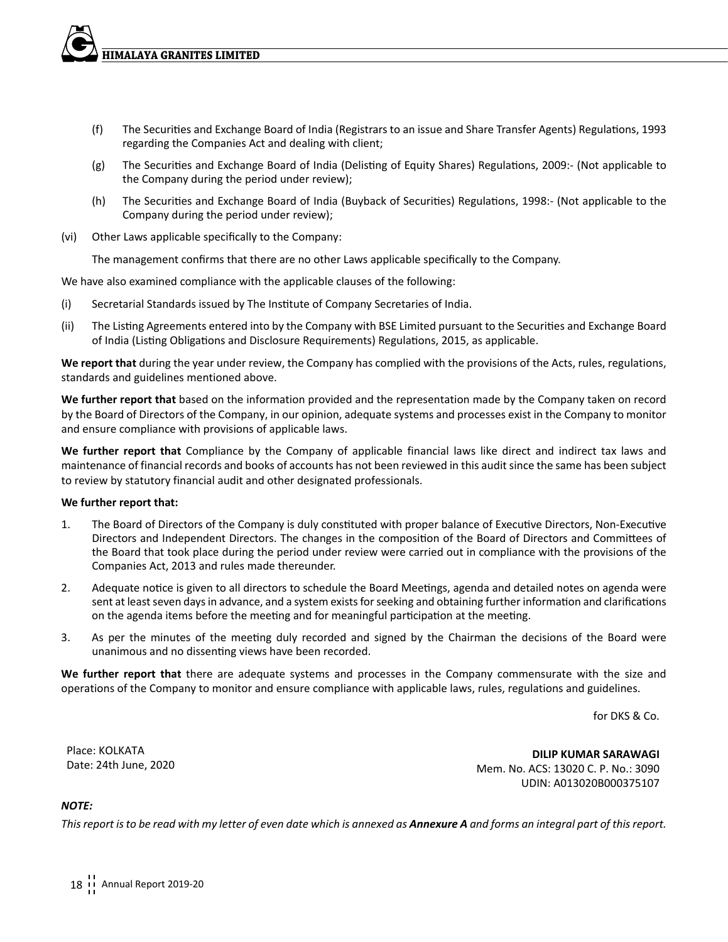- (f) The Securities and Exchange Board of India (Registrars to an issue and Share Transfer Agents) Regulations, 1993 regarding the Companies Act and dealing with client;
- (g) The Securities and Exchange Board of India (Delisting of Equity Shares) Regulations, 2009:- (Not applicable to the Company during the period under review);
- (h) The Securities and Exchange Board of India (Buyback of Securities) Regulations, 1998:- (Not applicable to the Company during the period under review);
- (vi) Other Laws applicable specifically to the Company:

 The management confirms that there are no other Laws applicable specifically to the Company.

We have also examined compliance with the applicable clauses of the following:

- (i) Secretarial Standards issued by The Institute of Company Secretaries of India.
- (ii) The Listing Agreements entered into by the Company with BSE Limited pursuant to the Securities and Exchange Board of India (Listing Obligations and Disclosure Requirements) Regulations, 2015, as applicable.

**We report that** during the year under review, the Company has complied with the provisions of the Acts, rules, regulations, standards and guidelines mentioned above.

**We further report that** based on the information provided and the representation made by the Company taken on record by the Board of Directors of the Company, in our opinion, adequate systems and processes exist in the Company to monitor and ensure compliance with provisions of applicable laws.

**We further report that** Compliance by the Company of applicable financial laws like direct and indirect tax laws and maintenance of financial records and books of accounts has not been reviewed in this audit since the same has been subject to review by statutory financial audit and other designated professionals.

#### **We further report that:**

- 1. The Board of Directors of the Company is duly constituted with proper balance of Executive Directors, Non-Executive Directors and Independent Directors. The changes in the composition of the Board of Directors and Committees of the Board that took place during the period under review were carried out in compliance with the provisions of the Companies Act, 2013 and rules made thereunder.
- 2. Adequate notice is given to all directors to schedule the Board Meetings, agenda and detailed notes on agenda were sent at least seven days in advance, and a system exists for seeking and obtaining further information and clarifications on the agenda items before the meeting and for meaningful participation at the meeting.
- 3. As per the minutes of the meeting duly recorded and signed by the Chairman the decisions of the Board were unanimous and no dissenting views have been recorded.

**We further report that** there are adequate systems and processes in the Company commensurate with the size and operations of the Company to monitor and ensure compliance with applicable laws, rules, regulations and guidelines.

for DKS & Co.

Place: KOLKATA Date: 24th June, 2020

**DILIP KUMAR SARAWAGI** Mem. No. ACS: 13020 C. P. No.: 3090 UDIN: A013020B000375107

#### *NOTE:*

*This report is to be read with my letter of even date which is annexed as Annexure A and forms an integral part of this report.*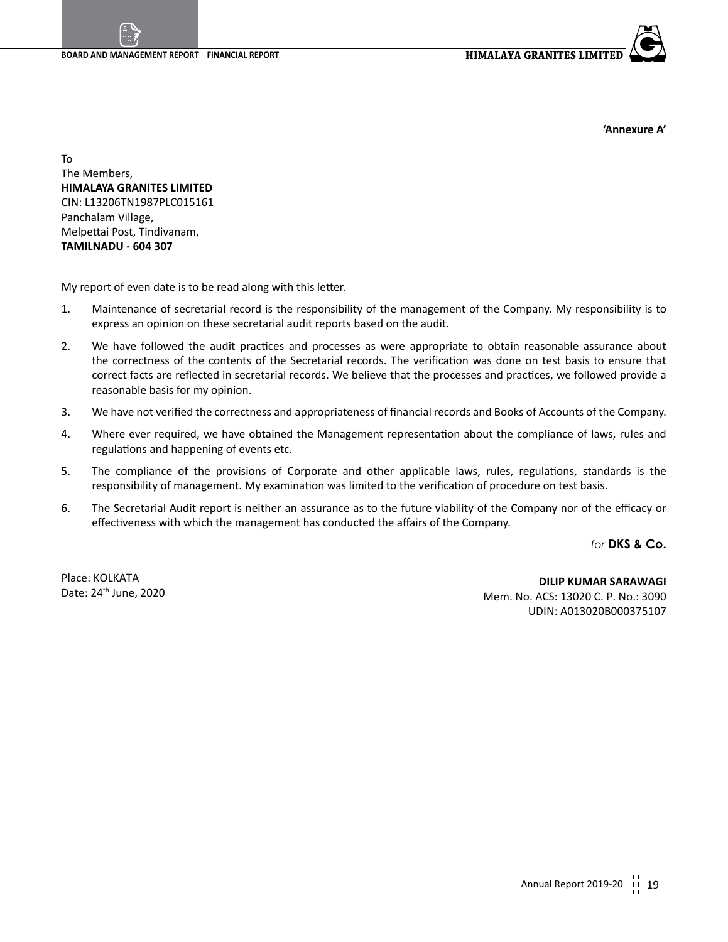**'Annexure A'**

To The Members, **HIMALAYA GRANITES LIMITED** CIN: L13206TN1987PLC015161 Panchalam Village, Melpettai Post, Tindivanam, **TAMILNADU - 604 307**

My report of even date is to be read along with this letter.

- 1. Maintenance of secretarial record is the responsibility of the management of the Company. My responsibility is to express an opinion on these secretarial audit reports based on the audit.
- 2. We have followed the audit practices and processes as were appropriate to obtain reasonable assurance about the correctness of the contents of the Secretarial records. The verification was done on test basis to ensure that correct facts are reflected in secretarial records. We believe that the processes and practices, we followed provide a reasonable basis for my opinion.
- 3. We have not verified the correctness and appropriateness of financial records and Books of Accounts of the Company.
- 4. Where ever required, we have obtained the Management representation about the compliance of laws, rules and regulations and happening of events etc.
- 5. The compliance of the provisions of Corporate and other applicable laws, rules, regulations, standards is the responsibility of management. My examination was limited to the verification of procedure on test basis.
- 6. The Secretarial Audit report is neither an assurance as to the future viability of the Company nor of the efficacy or effectiveness with which the management has conducted the affairs of the Company.

*for* **DKS & Co.**

Place: KOLKATA Date: 24th June, 2020

**DILIP KUMAR SARAWAGI** Mem. No. ACS: 13020 C. P. No.: 3090 UDIN: A013020B000375107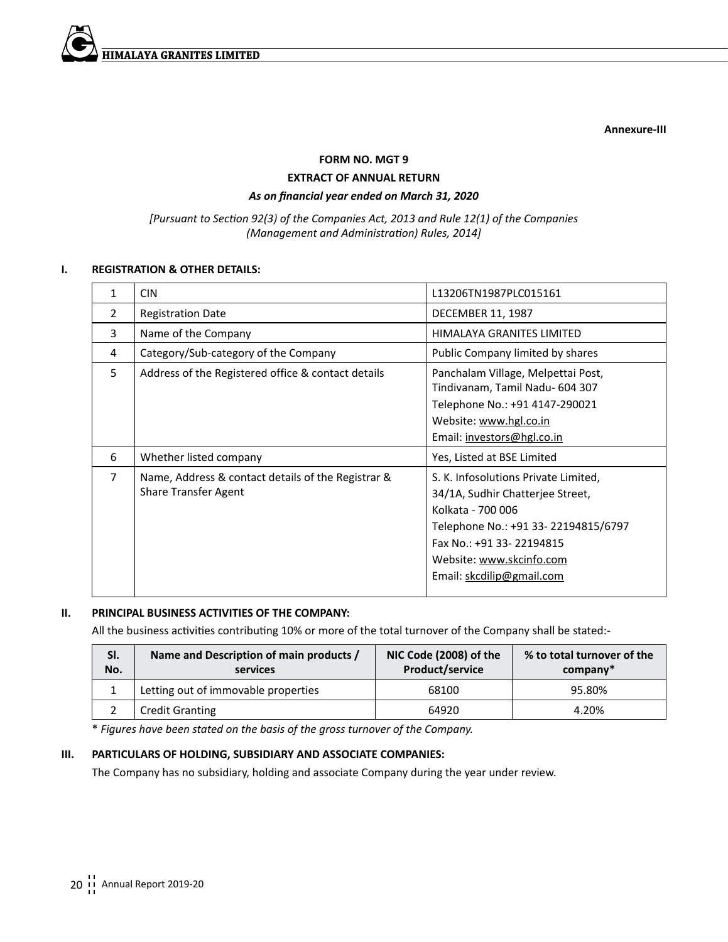

**Annexure-III**

#### **FORM NO. MGT 9**

#### **EXTRACT OF ANNUAL RETURN**

#### *As on financial year ended on March 31, 2020*

#### *[Pursuant to Section 92(3) of the Companies Act, 2013 and Rule 12(1) of the Companies (Management and Administration) Rules, 2014]*

#### **I. REGISTRATION & OTHER DETAILS:**

| 1             | <b>CIN</b>                                                                        | L13206TN1987PLC015161                                                                                                                                                                                                     |
|---------------|-----------------------------------------------------------------------------------|---------------------------------------------------------------------------------------------------------------------------------------------------------------------------------------------------------------------------|
| $\mathcal{P}$ | <b>Registration Date</b>                                                          | <b>DECEMBER 11, 1987</b>                                                                                                                                                                                                  |
| 3             | Name of the Company                                                               | HIMALAYA GRANITES LIMITED                                                                                                                                                                                                 |
| 4             | Category/Sub-category of the Company                                              | Public Company limited by shares                                                                                                                                                                                          |
| 5             | Address of the Registered office & contact details                                | Panchalam Village, Melpettai Post,<br>Tindivanam, Tamil Nadu- 604 307<br>Telephone No.: +91 4147-290021<br>Website: www.hgl.co.in<br>Email: investors@hgl.co.in                                                           |
| 6             | Whether listed company                                                            | Yes, Listed at BSE Limited                                                                                                                                                                                                |
| 7             | Name, Address & contact details of the Registrar &<br><b>Share Transfer Agent</b> | S. K. Infosolutions Private Limited,<br>34/1A, Sudhir Chatterjee Street,<br>Kolkata - 700 006<br>Telephone No.: +91 33-22194815/6797<br>Fax No.: +91 33-22194815<br>Website: www.skcinfo.com<br>Email: skcdilip@gmail.com |

#### **II. PRINCIPAL BUSINESS ACTIVITIES OF THE COMPANY:**

All the business activities contributing 10% or more of the total turnover of the Company shall be stated:-

| SI.<br>No. | Name and Description of main products /<br>services | NIC Code (2008) of the<br>Product/service | % to total turnover of the<br>company* |
|------------|-----------------------------------------------------|-------------------------------------------|----------------------------------------|
|            | Letting out of immovable properties                 | 68100                                     | 95.80%                                 |
|            | <b>Credit Granting</b>                              | 64920                                     | 4.20%                                  |

\* *Figures have been stated on the basis of the gross turnover of the Company.*

#### **III. PARTICULARS OF HOLDING, SUBSIDIARY AND ASSOCIATE COMPANIES:**

The Company has no subsidiary, holding and associate Company during the year under review.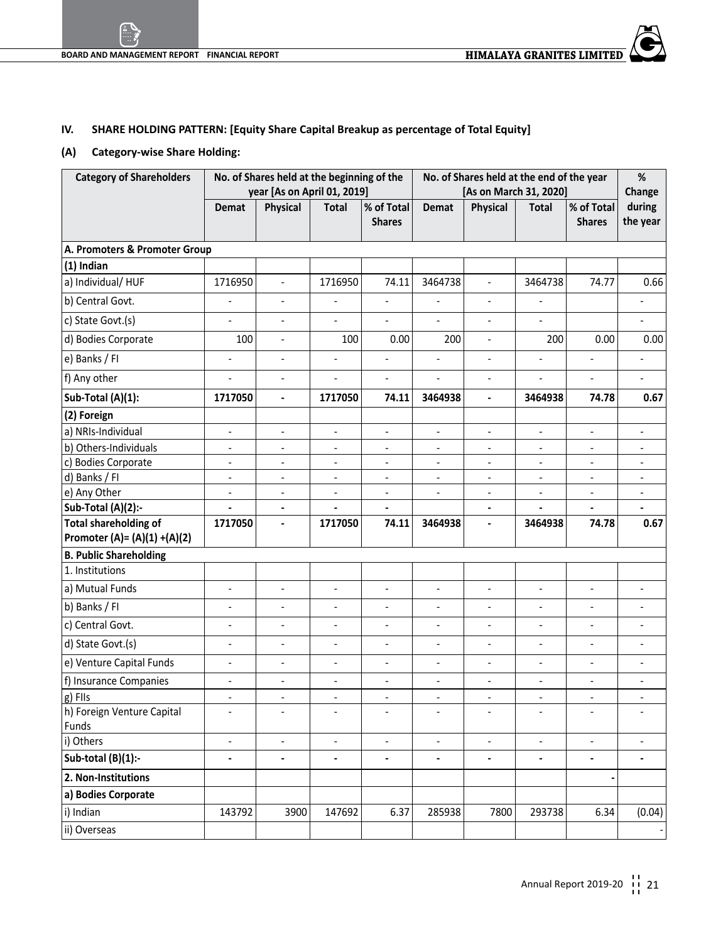#### **IV. SHARE HOLDING PATTERN: [Equity Share Capital Breakup as percentage of Total Equity]**

#### **(A) Category-wise Share Holding:**

| <b>Category of Shareholders</b>                              | No. of Shares held at the beginning of the<br>year [As on April 01, 2019] |                                |                          |                             | No. of Shares held at the end of the year<br>[As on March 31, 2020] |                          |                                |                             | %<br>Change        |
|--------------------------------------------------------------|---------------------------------------------------------------------------|--------------------------------|--------------------------|-----------------------------|---------------------------------------------------------------------|--------------------------|--------------------------------|-----------------------------|--------------------|
|                                                              | Demat                                                                     | Physical                       | <b>Total</b>             | % of Total<br><b>Shares</b> | <b>Demat</b>                                                        | Physical                 | <b>Total</b>                   | % of Total<br><b>Shares</b> | during<br>the year |
| A. Promoters & Promoter Group                                |                                                                           |                                |                          |                             |                                                                     |                          |                                |                             |                    |
| (1) Indian                                                   |                                                                           |                                |                          |                             |                                                                     |                          |                                |                             |                    |
| a) Individual/HUF                                            | 1716950                                                                   | ÷,                             | 1716950                  | 74.11                       | 3464738                                                             | $\overline{a}$           | 3464738                        | 74.77                       | 0.66               |
| b) Central Govt.                                             | ÷,                                                                        | $\blacksquare$                 | $\overline{\phantom{a}}$ | ÷,                          | $\blacksquare$                                                      | ÷.                       | $\overline{\phantom{a}}$       |                             | ÷,                 |
| c) State Govt.(s)                                            | L.                                                                        | $\mathbf{r}$                   | $\overline{a}$           | $\overline{a}$              | $\overline{a}$                                                      | $\overline{a}$           | $\overline{a}$                 |                             |                    |
| d) Bodies Corporate                                          | 100                                                                       | $\overline{a}$                 | 100                      | 0.00                        | 200                                                                 | ä,                       | 200                            | 0.00                        | 0.00               |
| e) Banks / FI                                                | $\blacksquare$                                                            | ä,                             | $\blacksquare$           | ÷,                          | ä,                                                                  | ä,                       | L.                             | ÷,                          | ÷,                 |
| f) Any other                                                 | $\blacksquare$                                                            | $\overline{\phantom{a}}$       | $\blacksquare$           | $\blacksquare$              | $\blacksquare$                                                      | $\overline{\phantom{a}}$ | ÷,                             | $\blacksquare$              | $\frac{1}{2}$      |
| Sub-Total (A)(1):                                            | 1717050                                                                   | $\frac{1}{2}$                  | 1717050                  | 74.11                       | 3464938                                                             | $\overline{\phantom{a}}$ | 3464938                        | 74.78                       | 0.67               |
| (2) Foreign                                                  |                                                                           |                                |                          |                             |                                                                     |                          |                                |                             |                    |
| a) NRIs-Individual                                           | $\blacksquare$                                                            | $\blacksquare$                 | $\blacksquare$           | $\blacksquare$              | ÷.                                                                  | $\Box$                   | ÷,                             | ÷,                          | ÷.                 |
| b) Others-Individuals                                        | $\overline{\phantom{a}}$                                                  | $\blacksquare$                 | $\blacksquare$           | $\blacksquare$              | $\blacksquare$                                                      | $\blacksquare$           | $\blacksquare$                 | $\blacksquare$              | ٠                  |
| c) Bodies Corporate                                          | L.                                                                        | $\mathbf{r}$                   | $\overline{a}$           | ÷.                          | $\mathbf{r}$                                                        | L.                       | $\overline{a}$                 | $\overline{a}$              | ÷.                 |
| d) Banks / FI                                                | $\blacksquare$                                                            | $\overline{\phantom{a}}$       | $\overline{\phantom{a}}$ | ÷,                          | $\blacksquare$                                                      | $\overline{\phantom{a}}$ | $\blacksquare$                 | $\blacksquare$              | ÷,                 |
| e) Any Other                                                 | $\blacksquare$                                                            | $\sim$                         | ÷.                       | ÷.                          | $\blacksquare$                                                      | $\sim$                   | $\sim$                         | ÷.                          | ÷.                 |
| Sub-Total (A)(2):-                                           | $\overline{\phantom{a}}$                                                  | $\blacksquare$                 |                          |                             |                                                                     | $\blacksquare$           |                                |                             |                    |
| <b>Total shareholding of</b><br>Promoter (A)= (A)(1) +(A)(2) | 1717050                                                                   | $\overline{a}$                 | 1717050                  | 74.11                       | 3464938                                                             | L.                       | 3464938                        | 74.78                       | 0.67               |
| <b>B. Public Shareholding</b>                                |                                                                           |                                |                          |                             |                                                                     |                          |                                |                             |                    |
| 1. Institutions                                              |                                                                           |                                |                          |                             |                                                                     |                          |                                |                             |                    |
| a) Mutual Funds                                              | $\frac{1}{2}$                                                             |                                |                          |                             |                                                                     |                          |                                |                             | L.                 |
| b) Banks / FI                                                | ÷,                                                                        | ÷,                             |                          | ÷                           | $\blacksquare$                                                      | ÷,                       | ÷,                             | ÷,                          |                    |
| c) Central Govt.                                             | ÷,                                                                        | L.                             |                          |                             |                                                                     |                          | L.                             |                             |                    |
| d) State Govt.(s)                                            | L.                                                                        | L.                             | ÷.                       | ÷.                          | ä,                                                                  | ÷.                       | L.                             | ä,                          |                    |
| e) Venture Capital Funds                                     | $\blacksquare$                                                            | $\blacksquare$                 | ÷,                       | ä,                          | $\blacksquare$                                                      | ÷,                       | ä,                             | $\blacksquare$              | ÷.                 |
| f) Insurance Companies                                       | ä,                                                                        | ÷,                             | ÷,                       | ÷,                          | $\blacksquare$                                                      | ÷,                       | ä,                             | ÷,                          | $\overline{a}$     |
| g) Fils                                                      | $\blacksquare$                                                            | $\overline{a}$                 | $\blacksquare$           | ٠                           | $\blacksquare$                                                      | $\overline{\phantom{a}}$ | $\sim$                         | $\overline{\phantom{a}}$    | $\blacksquare$     |
| h) Foreign Venture Capital                                   | ä,                                                                        | ÷,                             | $\overline{\phantom{a}}$ | $\overline{a}$              | $\blacksquare$                                                      | ÷,                       | $\overline{a}$                 | $\overline{a}$              | $\overline{a}$     |
| Funds                                                        |                                                                           |                                |                          |                             |                                                                     |                          |                                |                             |                    |
| i) Others<br>Sub-total (B)(1):-                              | $\blacksquare$<br>$\overline{\phantom{0}}$                                | ÷,<br>$\overline{\phantom{a}}$ | ÷,                       | ÷,<br>ä,                    | $\blacksquare$<br>$\blacksquare$                                    | ÷,                       | ÷,<br>$\overline{\phantom{a}}$ | ÷,<br>÷,                    | ÷.                 |
| 2. Non-Institutions                                          |                                                                           |                                |                          |                             |                                                                     |                          |                                |                             |                    |
|                                                              |                                                                           |                                |                          |                             |                                                                     |                          |                                |                             |                    |
| a) Bodies Corporate                                          |                                                                           |                                |                          |                             |                                                                     |                          |                                |                             |                    |
| i) Indian                                                    | 143792                                                                    | 3900                           | 147692                   | 6.37                        | 285938                                                              | 7800                     | 293738                         | 6.34                        | (0.04)             |
| ii) Overseas                                                 |                                                                           |                                |                          |                             |                                                                     |                          |                                |                             |                    |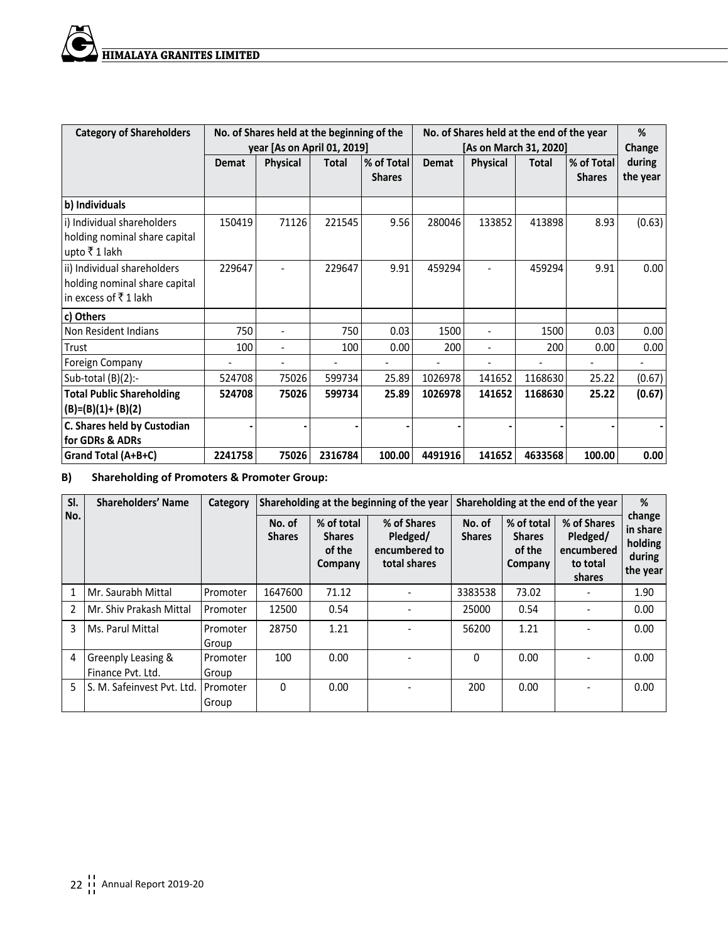| <b>Category of Shareholders</b>                                                      | No. of Shares held at the beginning of the |                             |         | No. of Shares held at the end of the year |         |                          |              | %             |          |
|--------------------------------------------------------------------------------------|--------------------------------------------|-----------------------------|---------|-------------------------------------------|---------|--------------------------|--------------|---------------|----------|
|                                                                                      |                                            | year [As on April 01, 2019] |         |                                           |         | [As on March 31, 2020]   |              |               |          |
|                                                                                      | Demat                                      | <b>Physical</b>             | Total   | % of Total                                | Demat   | Physical                 | <b>Total</b> | % of Total    | during   |
|                                                                                      |                                            |                             |         | <b>Shares</b>                             |         |                          |              | <b>Shares</b> | the year |
| b) Individuals                                                                       |                                            |                             |         |                                           |         |                          |              |               |          |
| i) Individual shareholders<br>holding nominal share capital<br>upto ₹1 lakh          | 150419                                     | 71126                       | 221545  | 9.56                                      | 280046  | 133852                   | 413898       | 8.93          | (0.63)   |
| ii) Individual shareholders<br>holding nominal share capital<br>in excess of ₹1 lakh | 229647                                     |                             | 229647  | 9.91                                      | 459294  |                          | 459294       | 9.91          | 0.00     |
| c) Others                                                                            |                                            |                             |         |                                           |         |                          |              |               |          |
| Non Resident Indians                                                                 | 750                                        | $\blacksquare$              | 750     | 0.03                                      | 1500    | $\overline{\phantom{a}}$ | 1500         | 0.03          | 0.00     |
| Trust                                                                                | 100                                        |                             | 100     | 0.00                                      | 200     | ٠                        | 200          | 0.00          | 0.00     |
| Foreign Company                                                                      |                                            |                             |         |                                           |         |                          |              |               |          |
| Sub-total $(B)(2)$ :-                                                                | 524708                                     | 75026                       | 599734  | 25.89                                     | 1026978 | 141652                   | 1168630      | 25.22         | (0.67)   |
| <b>Total Public Shareholding</b><br>$(B)=(B)(1)+(B)(2)$                              | 524708                                     | 75026                       | 599734  | 25.89                                     | 1026978 | 141652                   | 1168630      | 25.22         | (0.67)   |
| C. Shares held by Custodian<br>for GDRs & ADRs                                       |                                            |                             |         |                                           |         |                          |              |               |          |
| Grand Total (A+B+C)                                                                  | 2241758                                    | 75026                       | 2316784 | 100.00                                    | 4491916 | 141652                   | 4633568      | 100.00        | 0.00     |

**B) Shareholding of Promoters & Promoter Group:**

| SI.            | Shareholders' Name         | Category          |                         |                                                  | Shareholding at the beginning of the year                | Shareholding at the end of the year | %                                                |                                                             |                                                     |
|----------------|----------------------------|-------------------|-------------------------|--------------------------------------------------|----------------------------------------------------------|-------------------------------------|--------------------------------------------------|-------------------------------------------------------------|-----------------------------------------------------|
| No.            |                            |                   | No. of<br><b>Shares</b> | % of total<br><b>Shares</b><br>of the<br>Company | % of Shares<br>Pledged/<br>encumbered to<br>total shares | No. of<br><b>Shares</b>             | % of total<br><b>Shares</b><br>of the<br>Company | % of Shares<br>Pledged/<br>encumbered<br>to total<br>shares | change<br>in share<br>holding<br>during<br>the year |
| 1              | Mr. Saurabh Mittal         | Promoter          | 1647600                 | 71.12                                            |                                                          | 3383538                             | 73.02                                            |                                                             | 1.90                                                |
| $\overline{2}$ | Mr. Shiv Prakash Mittal    | Promoter          | 12500                   | 0.54                                             |                                                          | 25000                               | 0.54                                             |                                                             | 0.00                                                |
| 3              | Ms. Parul Mittal           | Promoter<br>Group | 28750                   | 1.21                                             |                                                          | 56200                               | 1.21                                             |                                                             | 0.00                                                |
| 4              | Greenply Leasing &         | Promoter          | 100                     | 0.00                                             |                                                          | $\Omega$                            | 0.00                                             |                                                             | 0.00                                                |
|                | Finance Pyt. Ltd.          | Group             |                         |                                                  |                                                          |                                     |                                                  |                                                             |                                                     |
| 5              | S. M. Safeinvest Pvt. Ltd. | Promoter<br>Group | 0                       | 0.00                                             |                                                          | 200                                 | 0.00                                             | $\overline{\phantom{a}}$                                    | 0.00                                                |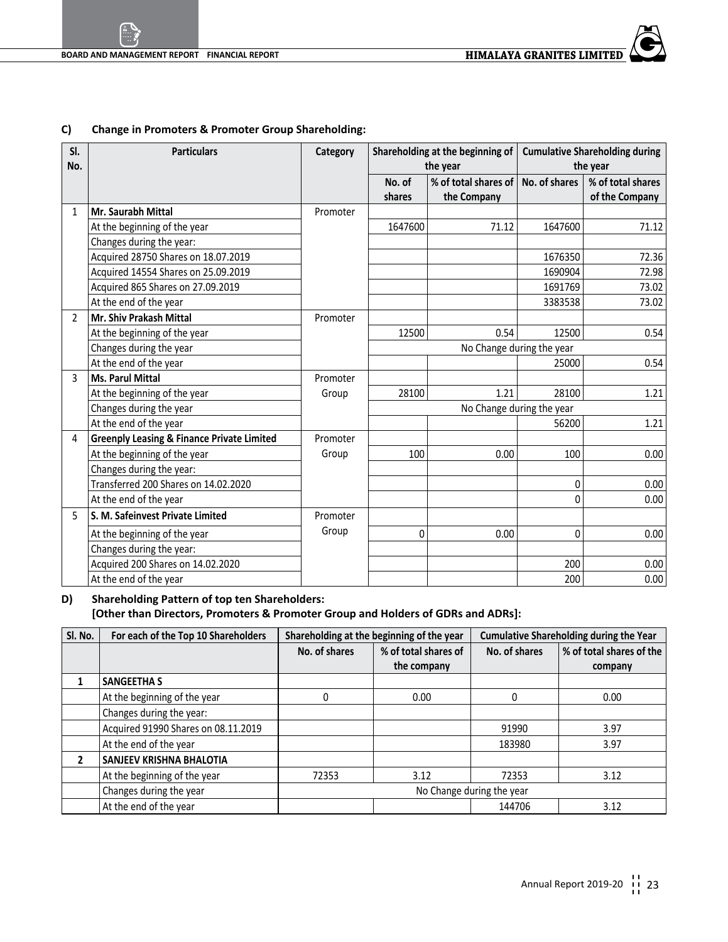#### **C) Change in Promoters & Promoter Group Shareholding:**

| SI.            | <b>Particulars</b>                                    | Category |         | Shareholding at the beginning of | <b>Cumulative Shareholding during</b> |                   |
|----------------|-------------------------------------------------------|----------|---------|----------------------------------|---------------------------------------|-------------------|
| No.            |                                                       |          |         | the year                         | the year                              |                   |
|                |                                                       |          | No. of  | % of total shares of             | No. of shares                         | % of total shares |
|                |                                                       |          | shares  | the Company                      |                                       | of the Company    |
| $\mathbf{1}$   | Mr. Saurabh Mittal                                    | Promoter |         |                                  |                                       |                   |
|                | At the beginning of the year                          |          | 1647600 | 71.12                            | 1647600                               | 71.12             |
|                | Changes during the year:                              |          |         |                                  |                                       |                   |
|                | Acquired 28750 Shares on 18.07.2019                   |          |         |                                  | 1676350                               | 72.36             |
|                | Acquired 14554 Shares on 25.09.2019                   |          |         |                                  | 1690904                               | 72.98             |
|                | Acquired 865 Shares on 27.09.2019                     |          |         |                                  | 1691769                               | 73.02             |
|                | At the end of the year                                |          |         |                                  | 3383538                               | 73.02             |
| $\mathfrak{p}$ | Mr. Shiv Prakash Mittal                               | Promoter |         |                                  |                                       |                   |
|                | At the beginning of the year                          |          | 12500   | 0.54                             | 12500                                 | 0.54              |
|                | Changes during the year                               |          |         |                                  | No Change during the year             |                   |
|                | At the end of the year                                |          |         |                                  | 25000                                 | 0.54              |
| 3              | <b>Ms. Parul Mittal</b>                               | Promoter |         |                                  |                                       |                   |
|                | At the beginning of the year                          | Group    | 28100   | 1.21                             | 28100                                 | 1.21              |
|                | Changes during the year                               |          |         |                                  | No Change during the year             |                   |
|                | At the end of the year                                |          |         |                                  | 56200                                 | 1.21              |
| 4              | <b>Greenply Leasing &amp; Finance Private Limited</b> | Promoter |         |                                  |                                       |                   |
|                | At the beginning of the year                          | Group    | 100     | 0.00                             | 100                                   | 0.00              |
|                | Changes during the year:                              |          |         |                                  |                                       |                   |
|                | Transferred 200 Shares on 14.02.2020                  |          |         |                                  | 0                                     | 0.00              |
|                | At the end of the year                                |          |         |                                  | 0                                     | 0.00              |
| 5              | S. M. Safeinvest Private Limited                      | Promoter |         |                                  |                                       |                   |
|                | At the beginning of the year                          | Group    | 0       | 0.00                             | $\mathbf{0}$                          | 0.00              |
|                | Changes during the year:                              |          |         |                                  |                                       |                   |
|                | Acquired 200 Shares on 14.02.2020                     |          |         |                                  | 200                                   | 0.00              |
|                | At the end of the year                                |          |         |                                  | 200                                   | 0.00              |

**D) Shareholding Pattern of top ten Shareholders:** 

**[Other than Directors, Promoters & Promoter Group and Holders of GDRs and ADRs]:**

| Sl. No. | For each of the Top 10 Shareholders | Shareholding at the beginning of the year |                      | <b>Cumulative Shareholding during the Year</b> |                          |  |  |
|---------|-------------------------------------|-------------------------------------------|----------------------|------------------------------------------------|--------------------------|--|--|
|         |                                     | No. of shares                             | % of total shares of | No. of shares                                  | % of total shares of the |  |  |
|         |                                     |                                           | the company          |                                                | company                  |  |  |
|         | <b>SANGEETHA S</b>                  |                                           |                      |                                                |                          |  |  |
|         | At the beginning of the year        | 0                                         | 0.00                 | 0                                              | 0.00                     |  |  |
|         | Changes during the year:            |                                           |                      |                                                |                          |  |  |
|         | Acquired 91990 Shares on 08.11.2019 |                                           |                      | 91990                                          | 3.97                     |  |  |
|         | At the end of the year              |                                           |                      | 183980                                         | 3.97                     |  |  |
|         | SANJEEV KRISHNA BHALOTIA            |                                           |                      |                                                |                          |  |  |
|         | At the beginning of the year        | 72353                                     | 3.12                 | 72353                                          | 3.12                     |  |  |
|         | Changes during the year             | No Change during the year                 |                      |                                                |                          |  |  |
|         | At the end of the year              |                                           |                      | 144706                                         | 3.12                     |  |  |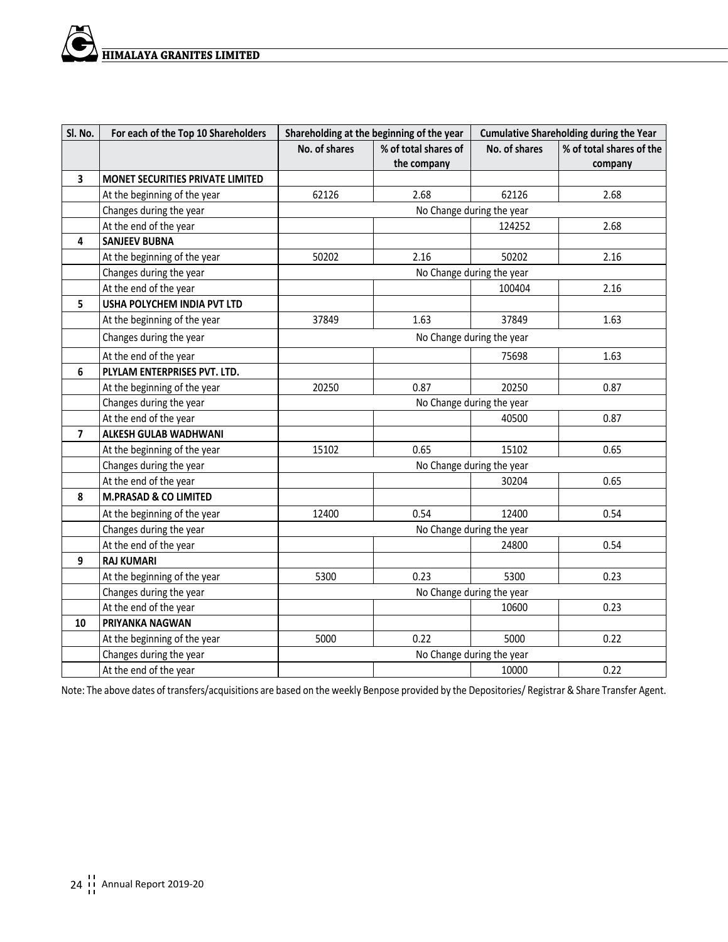| Sl. No. | For each of the Top 10 Shareholders     | Shareholding at the beginning of the year |                      | <b>Cumulative Shareholding during the Year</b> |                          |  |
|---------|-----------------------------------------|-------------------------------------------|----------------------|------------------------------------------------|--------------------------|--|
|         |                                         | No. of shares                             | % of total shares of | No. of shares                                  | % of total shares of the |  |
|         |                                         |                                           | the company          |                                                | company                  |  |
| 3       | <b>MONET SECURITIES PRIVATE LIMITED</b> |                                           |                      |                                                |                          |  |
|         | At the beginning of the year            | 62126                                     | 2.68                 | 62126                                          | 2.68                     |  |
|         | Changes during the year                 |                                           |                      | No Change during the year                      |                          |  |
|         | At the end of the year                  |                                           |                      | 124252                                         | 2.68                     |  |
| 4       | <b>SANJEEV BUBNA</b>                    |                                           |                      |                                                |                          |  |
|         | At the beginning of the year            | 50202                                     | 2.16                 | 50202                                          | 2.16                     |  |
|         | Changes during the year                 |                                           |                      | No Change during the year                      |                          |  |
|         | At the end of the year                  |                                           |                      | 100404                                         | 2.16                     |  |
| 5       | <b>USHA POLYCHEM INDIA PVT LTD</b>      |                                           |                      |                                                |                          |  |
|         | At the beginning of the year            | 37849                                     | 1.63                 | 37849                                          | 1.63                     |  |
|         | Changes during the year                 |                                           |                      | No Change during the year                      |                          |  |
|         | At the end of the year                  |                                           |                      | 75698                                          | 1.63                     |  |
| 6       | PLYLAM ENTERPRISES PVT. LTD.            |                                           |                      |                                                |                          |  |
|         | At the beginning of the year            | 20250                                     | 0.87                 | 20250                                          | 0.87                     |  |
|         | Changes during the year                 |                                           |                      | No Change during the year                      |                          |  |
|         | At the end of the year                  |                                           |                      | 40500                                          | 0.87                     |  |
| 7       | <b>ALKESH GULAB WADHWANI</b>            |                                           |                      |                                                |                          |  |
|         | At the beginning of the year            | 15102                                     | 0.65                 | 15102                                          | 0.65                     |  |
|         | Changes during the year                 |                                           |                      | No Change during the year                      |                          |  |
|         | At the end of the year                  |                                           |                      | 30204                                          | 0.65                     |  |
| 8       | <b>M.PRASAD &amp; CO LIMITED</b>        |                                           |                      |                                                |                          |  |
|         | At the beginning of the year            | 12400                                     | 0.54                 | 12400                                          | 0.54                     |  |
|         | Changes during the year                 |                                           |                      | No Change during the year                      |                          |  |
|         | At the end of the year                  |                                           |                      | 24800                                          | 0.54                     |  |
| 9       | <b>RAJ KUMARI</b>                       |                                           |                      |                                                |                          |  |
|         | At the beginning of the year            | 5300                                      | 0.23                 | 5300                                           | 0.23                     |  |
|         | Changes during the year                 |                                           |                      | No Change during the year                      |                          |  |
|         | At the end of the year                  |                                           |                      | 10600                                          | 0.23                     |  |
| 10      | PRIYANKA NAGWAN                         |                                           |                      |                                                |                          |  |
|         | At the beginning of the year            | 5000                                      | 0.22                 | 5000                                           | 0.22                     |  |
|         | Changes during the year                 |                                           |                      | No Change during the year                      |                          |  |
|         | At the end of the year                  |                                           |                      | 10000                                          | 0.22                     |  |

Note: The above dates of transfers/acquisitions are based on the weekly Benpose provided by the Depositories/ Registrar & Share Transfer Agent.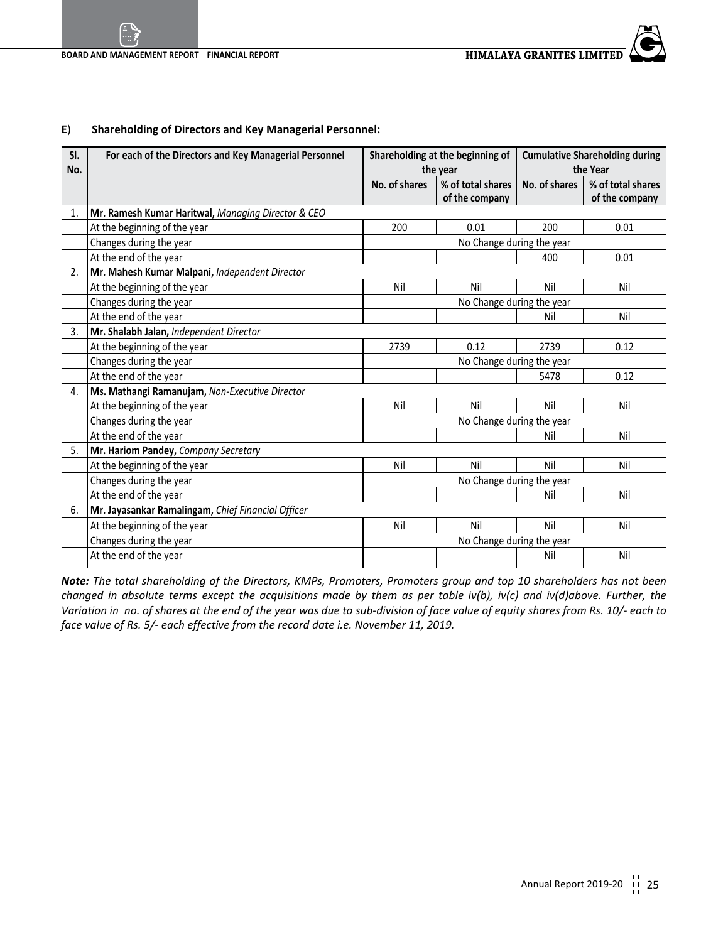#### **E**) **Shareholding of Directors and Key Managerial Personnel:**

| SI.          | For each of the Directors and Key Managerial Personnel |                           | Shareholding at the beginning of | <b>Cumulative Shareholding during</b> |                   |  |
|--------------|--------------------------------------------------------|---------------------------|----------------------------------|---------------------------------------|-------------------|--|
| No.          |                                                        |                           | the year                         |                                       | the Year          |  |
|              |                                                        | No. of shares             | % of total shares                | No. of shares                         | % of total shares |  |
|              |                                                        |                           | of the company                   |                                       | of the company    |  |
| $\mathbf{1}$ | Mr. Ramesh Kumar Haritwal, Managing Director & CEO     |                           |                                  |                                       |                   |  |
|              | At the beginning of the year                           | 200                       | 0.01                             | 200                                   | 0.01              |  |
|              | Changes during the year                                |                           | No Change during the year        |                                       |                   |  |
|              | At the end of the year                                 |                           |                                  | 400                                   | 0.01              |  |
| 2.           | Mr. Mahesh Kumar Malpani, Independent Director         |                           |                                  |                                       |                   |  |
|              | At the beginning of the year                           | Nil                       | Nil                              | Nil                                   | Nil               |  |
|              | Changes during the year                                |                           | No Change during the year        |                                       |                   |  |
|              | At the end of the year                                 |                           |                                  | Nil                                   | Nil               |  |
| 3.           | Mr. Shalabh Jalan, Independent Director                |                           |                                  |                                       |                   |  |
|              | At the beginning of the year                           | 2739                      | 0.12                             | 2739                                  | 0.12              |  |
|              | Changes during the year                                | No Change during the year |                                  |                                       |                   |  |
|              | At the end of the year                                 |                           |                                  | 5478                                  | 0.12              |  |
| 4.           | Ms. Mathangi Ramanujam, Non-Executive Director         |                           |                                  |                                       |                   |  |
|              | At the beginning of the year                           | Nil                       | Nil                              | Nil                                   | Nil               |  |
|              | Changes during the year                                |                           | No Change during the year        |                                       |                   |  |
|              | At the end of the year                                 |                           |                                  | Nil                                   | Nil               |  |
| 5.           | Mr. Hariom Pandey, Company Secretary                   |                           |                                  |                                       |                   |  |
|              | At the beginning of the year                           | Nil                       | Nil                              | Nil                                   | Nil               |  |
|              | Changes during the year                                |                           | No Change during the year        |                                       |                   |  |
|              | At the end of the year                                 |                           |                                  | Nil                                   | Nil               |  |
| 6.           | Mr. Jayasankar Ramalingam, Chief Financial Officer     |                           |                                  |                                       |                   |  |
|              | At the beginning of the year                           | Nil                       | Nil                              | Nil                                   | Nil               |  |
|              | Changes during the year                                |                           | No Change during the year        |                                       |                   |  |
|              | At the end of the year                                 |                           |                                  | Nil                                   | Nil               |  |

*Note: The total shareholding of the Directors, KMPs, Promoters, Promoters group and top 10 shareholders has not been changed in absolute terms except the acquisitions made by them as per table iv(b), iv(c) and iv(d)above. Further, the Variation in no. of shares at the end of the year was due to sub-division of face value of equity shares from Rs. 10/- each to face value of Rs. 5/- each effective from the record date i.e. November 11, 2019.*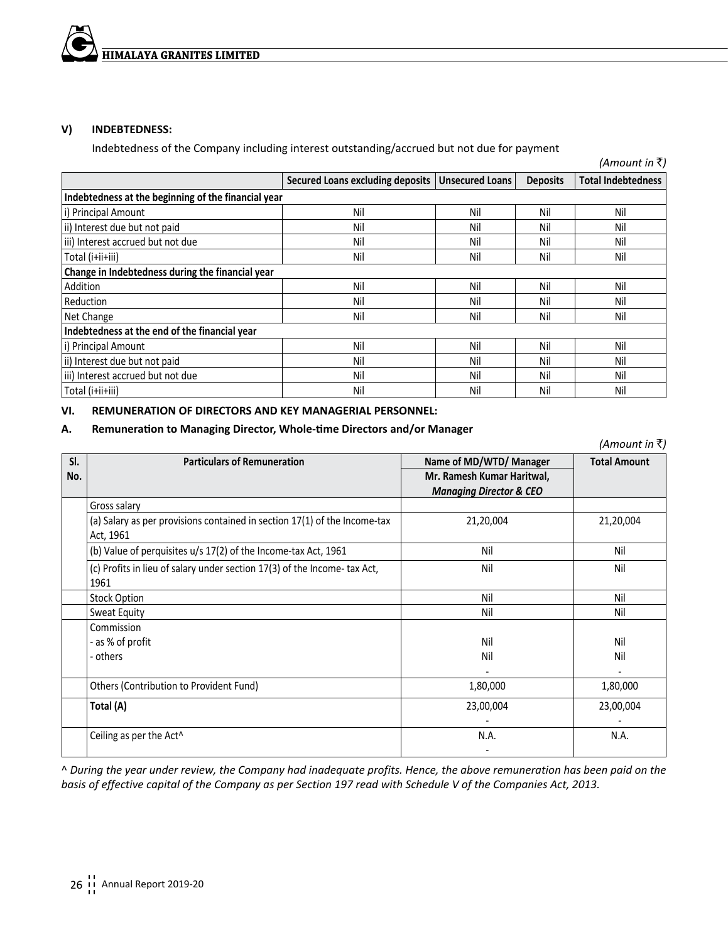

#### **V) INDEBTEDNESS:**

Indebtedness of the Company including interest outstanding/accrued but not due for payment

|                                                     |                                         |                        |                 | (Amount in ₹)             |
|-----------------------------------------------------|-----------------------------------------|------------------------|-----------------|---------------------------|
|                                                     | <b>Secured Loans excluding deposits</b> | <b>Unsecured Loans</b> | <b>Deposits</b> | <b>Total Indebtedness</b> |
| Indebtedness at the beginning of the financial year |                                         |                        |                 |                           |
| i) Principal Amount                                 | Nil                                     | Nil                    | Nil             | Nil                       |
| ii) Interest due but not paid                       | Nil                                     | Nil                    | Nil             | Nil                       |
| iii) Interest accrued but not due                   | Nil                                     | Nil                    | Nil             | Nil                       |
| Total (i+ii+iii)                                    | Nil                                     | Nil                    | Nil             | Nil                       |
| Change in Indebtedness during the financial year    |                                         |                        |                 |                           |
| Addition                                            | Nil                                     | Nil                    | Nil             | Nil                       |
| Reduction                                           | Nil                                     | Nil                    | Nil             | Nil                       |
| Net Change                                          | Nil                                     | Nil                    | Nil             | Nil                       |
| Indebtedness at the end of the financial year       |                                         |                        |                 |                           |
| i) Principal Amount                                 | Nil                                     | Nil                    | Nil             | Nil                       |
| ii) Interest due but not paid                       | Nil                                     | Nil                    | Nil             | Nil                       |
| iii) Interest accrued but not due                   | Nil                                     | Nil                    | Nil             | Nil                       |
| Total (i+ii+iii)                                    | Nil                                     | Nil                    | Nil             | Nil                       |

#### **VI. REMUNERATION OF DIRECTORS AND KEY MANAGERIAL PERSONNEL:**

#### **A. Remuneration to Managing Director, Whole-time Directors and/or Manager**

*(Amount in* `*)*

| SI. | <b>Particulars of Remuneration</b>                                                     | Name of MD/WTD/ Manager                                          | <b>Total Amount</b> |
|-----|----------------------------------------------------------------------------------------|------------------------------------------------------------------|---------------------|
| No. |                                                                                        | Mr. Ramesh Kumar Haritwal,<br><b>Managing Director &amp; CEO</b> |                     |
|     | Gross salary                                                                           |                                                                  |                     |
|     | (a) Salary as per provisions contained in section 17(1) of the Income-tax<br>Act, 1961 | 21,20,004                                                        | 21,20,004           |
|     | (b) Value of perquisites $u/s$ 17(2) of the Income-tax Act, 1961                       | Nil                                                              | Nil                 |
|     | (c) Profits in lieu of salary under section 17(3) of the Income- tax Act,<br>1961      | Nil                                                              | Nil                 |
|     | <b>Stock Option</b>                                                                    | Nil                                                              | Nil                 |
|     | Sweat Equity                                                                           | Nil                                                              | Nil                 |
|     | Commission                                                                             |                                                                  |                     |
|     | - as % of profit                                                                       | Nil                                                              | Nil                 |
|     | - others                                                                               | Nil                                                              | Nil                 |
|     |                                                                                        |                                                                  |                     |
|     | Others (Contribution to Provident Fund)                                                | 1,80,000                                                         | 1,80,000            |
|     | Total (A)                                                                              | 23,00,004                                                        | 23,00,004           |
|     | Ceiling as per the Act <sup>^</sup>                                                    | N.A.                                                             | N.A.                |

^ *During the year under review, the Company had inadequate profits. Hence, the above remuneration has been paid on the basis of effective capital of the Company as per Section 197 read with Schedule V of the Companies Act, 2013.*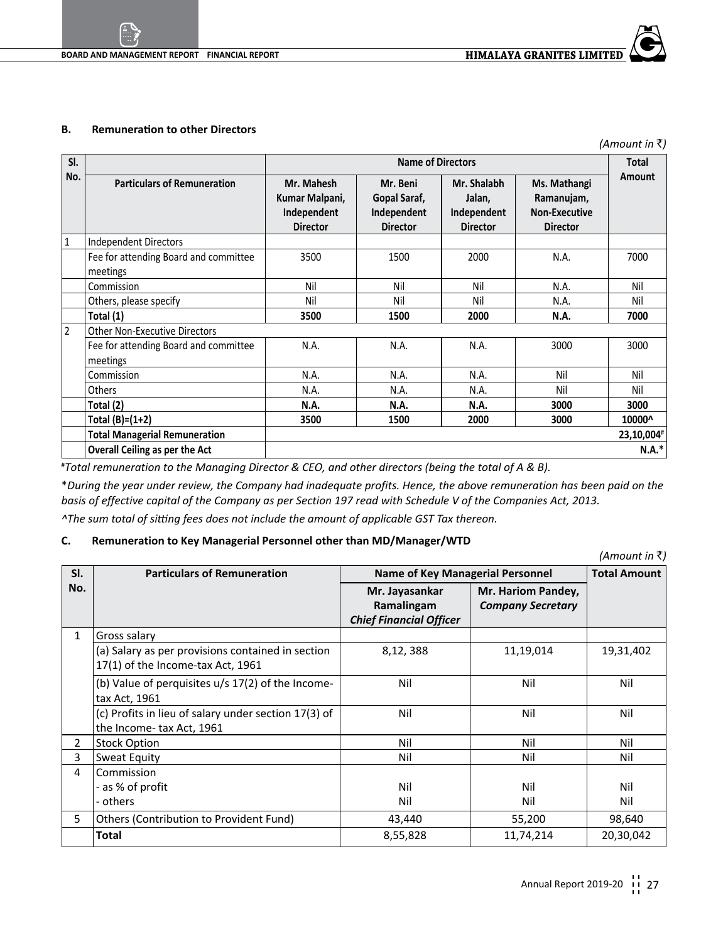#### **B. Remuneration to other Directors**

|                |                                                   |                                                                |                                                            |                                                         |                                                                       | (Amount in ₹) |  |  |
|----------------|---------------------------------------------------|----------------------------------------------------------------|------------------------------------------------------------|---------------------------------------------------------|-----------------------------------------------------------------------|---------------|--|--|
| SI.            |                                                   |                                                                | <b>Name of Directors</b>                                   |                                                         |                                                                       |               |  |  |
| No.            | <b>Particulars of Remuneration</b>                | Mr. Mahesh<br>Kumar Malpani,<br>Independent<br><b>Director</b> | Mr. Beni<br>Gopal Saraf,<br>Independent<br><b>Director</b> | Mr. Shalabh<br>Jalan,<br>Independent<br><b>Director</b> | Ms. Mathangi<br>Ramanujam,<br><b>Non-Executive</b><br><b>Director</b> | Amount        |  |  |
| $\mathbf{1}$   | <b>Independent Directors</b>                      |                                                                |                                                            |                                                         |                                                                       |               |  |  |
|                | Fee for attending Board and committee<br>meetings | 3500                                                           | 1500                                                       | 2000                                                    | N.A.                                                                  | 7000          |  |  |
|                | Commission                                        | Nil                                                            | Nil                                                        | Nil                                                     | N.A.                                                                  | Nil           |  |  |
|                | Others, please specify                            | Nil                                                            | Nil                                                        | Nil                                                     | N.A.                                                                  | Nil           |  |  |
|                | Total (1)                                         | 3500                                                           | 1500                                                       | 2000                                                    | N.A.                                                                  | 7000          |  |  |
| $\overline{2}$ | <b>Other Non-Executive Directors</b>              |                                                                |                                                            |                                                         |                                                                       |               |  |  |
|                | Fee for attending Board and committee<br>meetings | N.A.                                                           | N.A.                                                       | N.A.                                                    | 3000                                                                  | 3000          |  |  |
|                | Commission                                        | N.A.                                                           | N.A.                                                       | N.A.                                                    | Nil                                                                   | Nil           |  |  |
|                | Others                                            | N.A.                                                           | N.A.                                                       | N.A.                                                    | Nil                                                                   | Nil           |  |  |
|                | Total (2)                                         | N.A.                                                           | N.A.                                                       | N.A.                                                    | 3000                                                                  | 3000          |  |  |
|                | Total $(B)=(1+2)$                                 | 3500                                                           | 1500                                                       | 2000                                                    | 3000                                                                  | 10000^        |  |  |
|                | <b>Total Managerial Remuneration</b>              |                                                                |                                                            |                                                         |                                                                       | 23,10,004#    |  |  |
|                | Overall Ceiling as per the Act                    |                                                                |                                                            |                                                         |                                                                       | $N.A.*$       |  |  |

# *Total remuneration to the Managing Director & CEO, and other directors (being the total of A & B).*

\**During the year under review, the Company had inadequate profits. Hence, the above remuneration has been paid on the basis of effective capital of the Company as per Section 197 read with Schedule V of the Companies Act, 2013.*

*^The sum total of sitting fees does not include the amount of applicable GST Tax thereon.* 

#### **C. Remuneration to Key Managerial Personnel other than MD/Manager/WTD**

*(Amount in* `*)*

| SI.            | <b>Particulars of Remuneration</b>                                                     | <b>Name of Key Managerial Personnel</b>                        |                                                | <b>Total Amount</b> |
|----------------|----------------------------------------------------------------------------------------|----------------------------------------------------------------|------------------------------------------------|---------------------|
| No.            |                                                                                        | Mr. Jayasankar<br>Ramalingam<br><b>Chief Financial Officer</b> | Mr. Hariom Pandey,<br><b>Company Secretary</b> |                     |
| 1              | Gross salary                                                                           |                                                                |                                                |                     |
|                | (a) Salary as per provisions contained in section<br>17(1) of the Income-tax Act, 1961 | 8,12,388                                                       | 11,19,014                                      | 19,31,402           |
|                | (b) Value of perquisites u/s 17(2) of the Income-<br>tax Act, 1961                     | Nil                                                            | Nil                                            | Nil                 |
|                | (c) Profits in lieu of salary under section 17(3) of<br>the Income-tax Act, 1961       | Nil                                                            | Nil                                            | Nil                 |
| $\overline{2}$ | <b>Stock Option</b>                                                                    | Nil                                                            | Nil                                            | Nil                 |
| 3              | Sweat Equity                                                                           | Nil                                                            | Nil                                            | Nil                 |
| 4              | Commission                                                                             |                                                                |                                                |                     |
|                | - as % of profit                                                                       | Nil                                                            | Nil                                            | Nil                 |
|                | - others                                                                               | Nil                                                            | Nil                                            | Nil                 |
| 5              | Others (Contribution to Provident Fund)                                                | 43,440                                                         | 55,200                                         | 98,640              |
|                | Total                                                                                  | 8,55,828                                                       | 11,74,214                                      | 20,30,042           |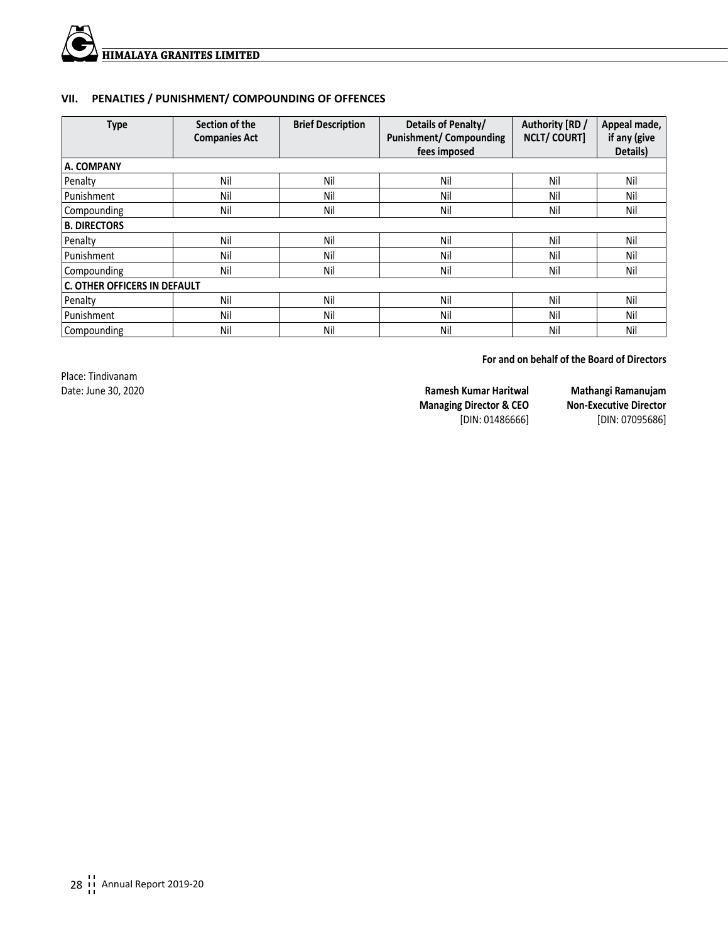

#### **VII. PENALTIES / PUNISHMENT/ COMPOUNDING OF OFFENCES**

| <b>Type</b>         | Section of the<br><b>Companies Act</b> | <b>Brief Description</b> | Details of Penalty/<br><b>Punishment/ Compounding</b><br>fees imposed | Authority [RD /<br><b>NCLT/COURT]</b> | Appeal made,<br>if any (give<br>Details) |  |  |  |  |
|---------------------|----------------------------------------|--------------------------|-----------------------------------------------------------------------|---------------------------------------|------------------------------------------|--|--|--|--|
| A. COMPANY          |                                        |                          |                                                                       |                                       |                                          |  |  |  |  |
| Penalty             | Nil                                    | Nil                      | Nil                                                                   | Nil                                   | Nil                                      |  |  |  |  |
| Punishment          | Nil                                    | Nil                      | Nil                                                                   | Nil                                   | Nil                                      |  |  |  |  |
| Compounding         | Nil                                    | Nil                      | Nil                                                                   | Nil                                   | Nil                                      |  |  |  |  |
| <b>B. DIRECTORS</b> |                                        |                          |                                                                       |                                       |                                          |  |  |  |  |
| Penalty             | Nil                                    | Nil                      | Nil                                                                   | Nil                                   | Nil                                      |  |  |  |  |
| Punishment          | Nil                                    | Nil                      | Nil                                                                   | Nil                                   | Nil                                      |  |  |  |  |
| Compounding         | Nil                                    | Nil                      | Nil                                                                   | Nil                                   | Nil                                      |  |  |  |  |
|                     | <b>C. OTHER OFFICERS IN DEFAULT</b>    |                          |                                                                       |                                       |                                          |  |  |  |  |
| Penalty             | Nil                                    | Nil                      | Nil                                                                   | Nil                                   | Nil                                      |  |  |  |  |
| Punishment          | Nil                                    | Nil                      | Nil                                                                   | Nil                                   | Nil                                      |  |  |  |  |
| Compounding         | Nil                                    | Nil                      | Nil                                                                   | Nil                                   | Nil                                      |  |  |  |  |

**For and on behalf of the Board of Directors**

Place: Tindivanam<br>Date: June 30, 2020

**Ramesh Kumar Haritwal Managing Director & CEO** [DIN: 01486666]

**Mathangi Ramanujam Non-Executive Director** [DIN: 07095686]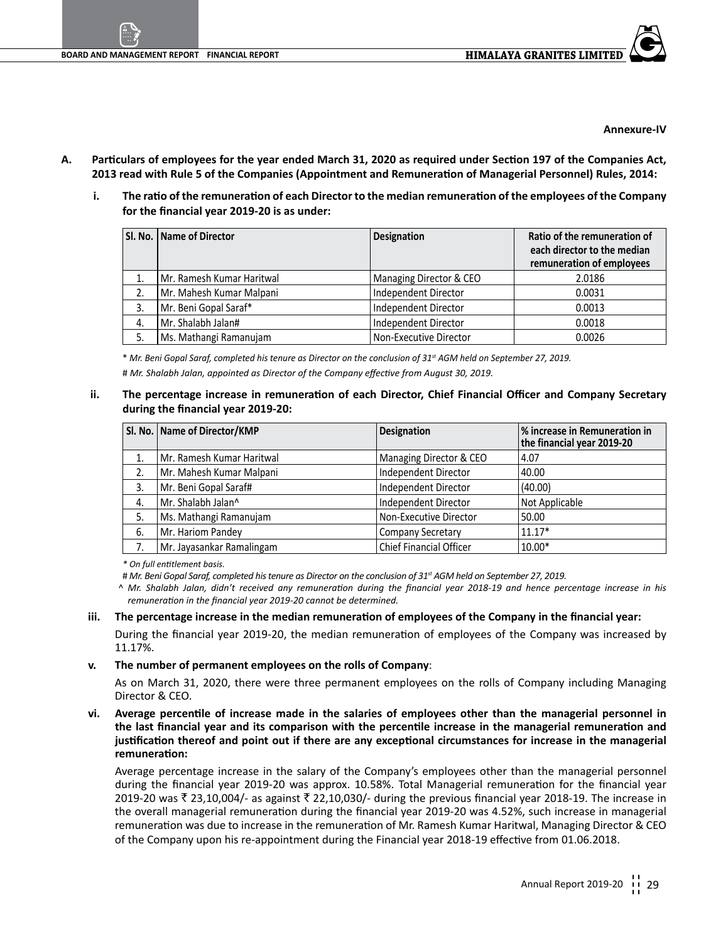**Annexure-IV**

- **A. Particulars of employees for the year ended March 31, 2020 as required under Section 197 of the Companies Act, 2013 read with Rule 5 of the Companies (Appointment and Remuneration of Managerial Personnel) Rules, 2014:**
	- **i. The ratio of the remuneration of each Director to the median remuneration of the employees of the Company for the financial year 2019-20 is as under:**

|    | SI. No.   Name of Director | <b>Designation</b>      | Ratio of the remuneration of<br>each director to the median<br>remuneration of employees |
|----|----------------------------|-------------------------|------------------------------------------------------------------------------------------|
|    | Mr. Ramesh Kumar Haritwal  | Managing Director & CEO | 2.0186                                                                                   |
|    | Mr. Mahesh Kumar Malpani   | Independent Director    | 0.0031                                                                                   |
| 3. | Mr. Beni Gopal Saraf*      | Independent Director    | 0.0013                                                                                   |
| 4. | Mr. Shalabh Jalan#         | Independent Director    | 0.0018                                                                                   |
|    | Ms. Mathangi Ramanujam     | Non-Executive Director  | 0.0026                                                                                   |

\* *Mr. Beni Gopal Saraf, completed his tenure as Director on the conclusion of 31st AGM held on September 27, 2019.* # *Mr. Shalabh Jalan, appointed as Director of the Company effective from August 30, 2019.*

**ii. The percentage increase in remuneration of each Director, Chief Financial Officer and Company Secretary during the financial year 2019-20:**

|    | SI. No.   Name of Director/KMP | <b>Designation</b>             | % increase in Remuneration in<br>the financial year 2019-20 |
|----|--------------------------------|--------------------------------|-------------------------------------------------------------|
|    | Mr. Ramesh Kumar Haritwal      | Managing Director & CEO        | 4.07                                                        |
| 2. | Mr. Mahesh Kumar Malpani       | Independent Director           | 40.00                                                       |
| 3. | Mr. Beni Gopal Saraf#          | Independent Director           | (40.00)                                                     |
| 4. | Mr. Shalabh Jalan^             | Independent Director           | Not Applicable                                              |
| 5. | Ms. Mathangi Ramanujam         | Non-Executive Director         | 50.00                                                       |
| 6. | Mr. Hariom Pandey              | <b>Company Secretary</b>       | $11.17*$                                                    |
|    | Mr. Jayasankar Ramalingam      | <b>Chief Financial Officer</b> | 10.00*                                                      |

*\* On full entitlement basis.* 

# *Mr. Beni Gopal Saraf, completed his tenure as Director on the conclusion of 31st AGM held on September 27, 2019.*

 ^ *Mr. Shalabh Jalan, didn't received any remuneration during the financial year 2018-19 and hence percentage increase in his remuneration in the financial year 2019-20 cannot be determined.*

#### **iii. The percentage increase in the median remuneration of employees of the Company in the financial year:**

During the financial year 2019-20, the median remuneration of employees of the Company was increased by 11.17%.

#### **v. The number of permanent employees on the rolls of Company**:

 As on March 31, 2020, there were three permanent employees on the rolls of Company including Managing Director & CEO.

**vi. Average percentile of increase made in the salaries of employees other than the managerial personnel in the last financial year and its comparison with the percentile increase in the managerial remuneration and justification thereof and point out if there are any exceptional circumstances for increase in the managerial remuneration:** 

 Average percentage increase in the salary of the Company's employees other than the managerial personnel during the financial year 2019-20 was approx. 10.58%. Total Managerial remuneration for the financial year 2019-20 was ₹ 23,10,004/- as against ₹ 22,10,030/- during the previous financial year 2018-19. The increase in the overall managerial remuneration during the financial year 2019-20 was 4.52%, such increase in managerial remuneration was due to increase in the remuneration of Mr. Ramesh Kumar Haritwal, Managing Director & CEO of the Company upon his re-appointment during the Financial year 2018-19 effective from 01.06.2018.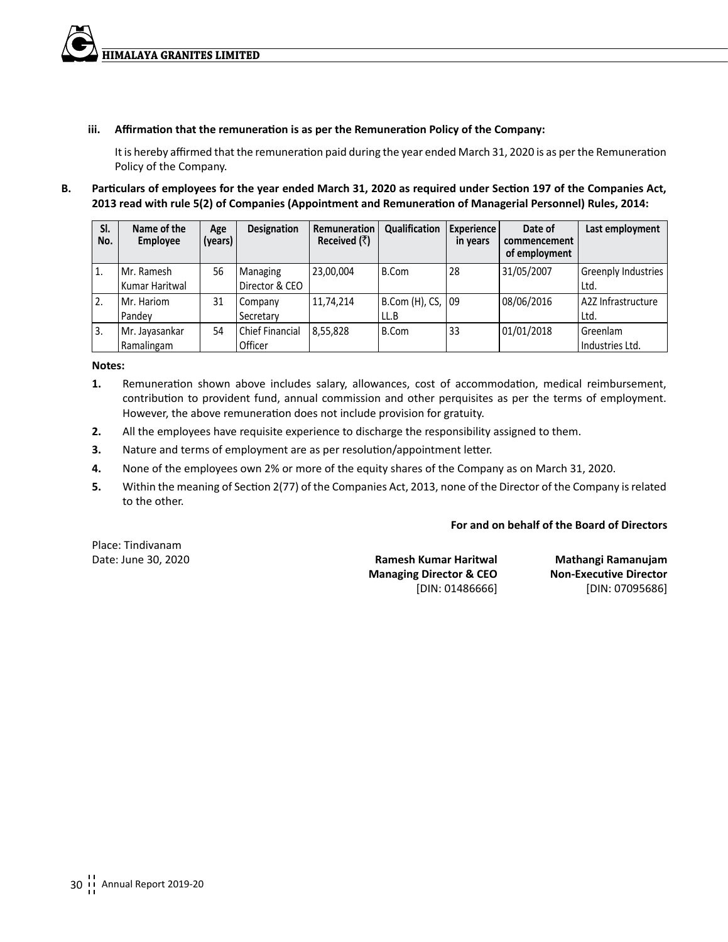**Himalaya Granites Limited**

#### **iii. Affirmation that the remuneration is as per the Remuneration Policy of the Company:**

It is hereby affirmed that the remuneration paid during the year ended March 31, 2020 is as perthe Remuneration Policy of the Company.

**B. Particulars of employees for the year ended March 31, 2020 as required under Section 197 of the Companies Act, 2013 read with rule 5(2) of Companies (Appointment and Remuneration of Managerial Personnel) Rules, 2014:** 

| SI.<br>No.     | Name of the<br><b>Employee</b> | Age<br>(vears) | <b>Designation</b>                | Remuneration<br>Received $(\bar{\tau})$ | <b>Qualification</b>       | <b>Experience</b><br>in years | Date of<br>commencement<br>of employment | Last employment                   |
|----------------|--------------------------------|----------------|-----------------------------------|-----------------------------------------|----------------------------|-------------------------------|------------------------------------------|-----------------------------------|
| 1.             | Mr. Ramesh<br>Kumar Haritwal   | 56             | Managing<br>Director & CEO        | 23.00.004                               | B.Com                      | 28                            | 31/05/2007                               | Greenply Industries<br>Ltd.       |
| $^{\prime}$ 2. | Mr. Hariom<br>Pandev           | 31             | Company<br>Secretary              | 11.74.214                               | B.Com (H), CS, 109<br>LL.B |                               | 08/06/2016                               | <b>A2Z Infrastructure</b><br>Ltd. |
| l3.            | Mr. Jayasankar<br>Ramalingam   | 54             | <b>Chief Financial</b><br>Officer | 8,55,828                                | B.Com                      | 33                            | 01/01/2018                               | Greenlam<br>Industries Ltd.       |

#### **Notes:**

- **1.** Remuneration shown above includes salary, allowances, cost of accommodation, medical reimbursement, contribution to provident fund, annual commission and other perquisites as per the terms of employment. However, the above remuneration does not include provision for gratuity.
- **2.** All the employees have requisite experience to discharge the responsibility assigned to them.
- **3.** Nature and terms of employment are as per resolution/appointment letter.
- **4.** None of the employees own 2% or more of the equity shares of the Company as on March 31, 2020.
- **5.** Within the meaning of Section 2(77) of the Companies Act, 2013, none of the Director of the Company isrelated to the other.

#### **For and on behalf of the Board of Directors**

Place: Tindivanam

Date: June 30, 2020 **Ramesh Kumar Haritwal Managing Director & CEO** [DIN: 01486666]

**Mathangi Ramanujam Non-Executive Director** [DIN: 07095686]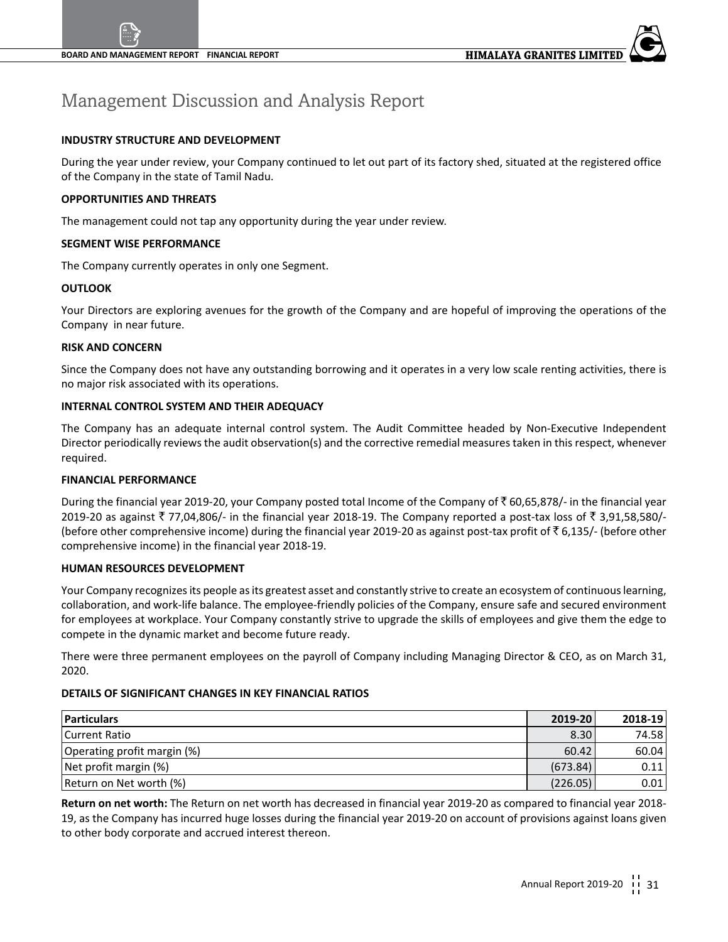### Management Discussion and Analysis Report

#### **INDUSTRY STRUCTURE AND DEVELOPMENT**

During the year under review, your Company continued to let out part of its factory shed, situated at the registered office of the Company in the state of Tamil Nadu.

#### **OPPORTUNITIES AND THREATS**

The management could not tap any opportunity during the year under review.

#### **SEGMENT WISE PERFORMANCE**

The Company currently operates in only one Segment.

#### **OUTLOOK**

Your Directors are exploring avenues for the growth of the Company and are hopeful of improving the operations of the Company in near future.

#### **RISK AND CONCERN**

Since the Company does not have any outstanding borrowing and it operates in a very low scale renting activities, there is no major risk associated with its operations.

#### **INTERNAL CONTROL SYSTEM AND THEIR ADEQUACY**

The Company has an adequate internal control system. The Audit Committee headed by Non-Executive Independent Director periodically reviews the audit observation(s) and the corrective remedial measures taken in this respect, whenever required.

#### **FINANCIAL PERFORMANCE**

During the financial year 2019-20, your Company posted total Income of the Company of  $\bar{\tau}$  60,65,878/- in the financial year 2019-20 as against ₹77,04,806/- in the financial year 2018-19. The Company reported a post-tax loss of ₹3,91,58,580/-(before other comprehensive income) during the financial year 2019-20 as against post-tax profit of  $\bar{\tau}$  6,135/- (before other comprehensive income) in the financial year 2018-19.

#### **HUMAN RESOURCES DEVELOPMENT**

Your Company recognizes its people as its greatest asset and constantly strive to create an ecosystem of continuous learning, collaboration, and work-life balance. The employee-friendly policies of the Company, ensure safe and secured environment for employees at workplace. Your Company constantly strive to upgrade the skills of employees and give them the edge to compete in the dynamic market and become future ready.

There were three permanent employees on the payroll of Company including Managing Director & CEO, as on March 31, 2020.

#### **DETAILS OF SIGNIFICANT CHANGES IN KEY FINANCIAL RATIOS**

| <b>Particulars</b>          | $2019 - 20$ | $2018 - 19$ |
|-----------------------------|-------------|-------------|
| Current Ratio               | 8.30        | 74.58       |
| Operating profit margin (%) | 60.42       | 60.04       |
| Net profit margin (%)       | (673.84)    | 0.11        |
| Return on Net worth (%)     | (226.05)    | 0.01        |

**Return on net worth:** The Return on net worth has decreased in financial year 2019-20 as compared to financial year 2018- 19, as the Company has incurred huge losses during the financial year 2019-20 on account of provisions against loans given to other body corporate and accrued interest thereon.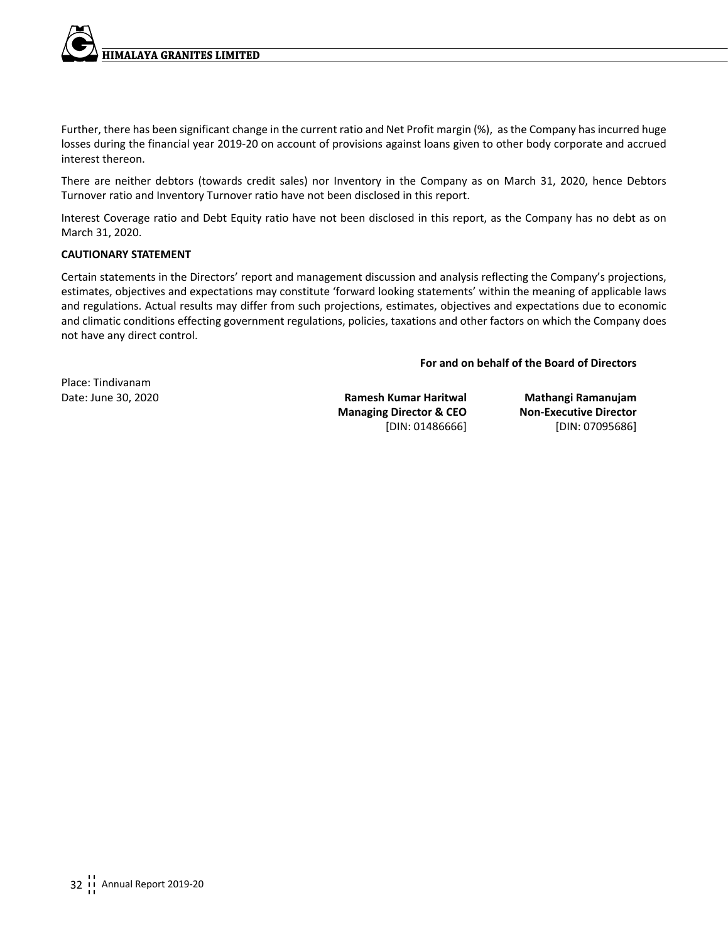Further, there has been significant change in the current ratio and Net Profit margin (%), as the Company has incurred huge losses during the financial year 2019-20 on account of provisions against loans given to other body corporate and accrued interest thereon.

There are neither debtors (towards credit sales) nor Inventory in the Company as on March 31, 2020, hence Debtors Turnover ratio and Inventory Turnover ratio have not been disclosed in this report.

Interest Coverage ratio and Debt Equity ratio have not been disclosed in this report, as the Company has no debt as on March 31, 2020.

#### **CAUTIONARY STATEMENT**

Certain statements in the Directors' report and management discussion and analysis reflecting the Company's projections, estimates, objectives and expectations may constitute 'forward looking statements' within the meaning of applicable laws and regulations. Actual results may differ from such projections, estimates, objectives and expectations due to economic and climatic conditions effecting government regulations, policies, taxations and other factors on which the Company does not have any direct control.

#### **For and on behalf of the Board of Directors**

Place: Tindivanam

Date: June 30, 2020 **Ramesh Kumar Haritwal Managing Director & CEO** [DIN: 01486666]

**Mathangi Ramanujam Non-Executive Director** [DIN: 07095686]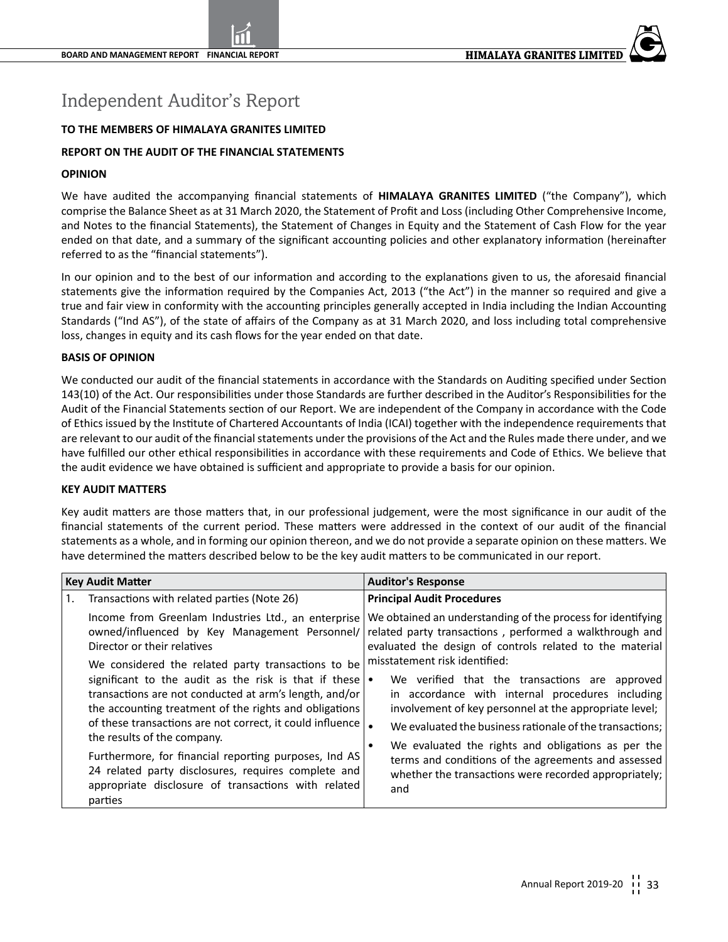### Independent Auditor's Report

#### **TO THE MEMBERS OF HIMALAYA GRANITES LIMITED**

#### **REPORT ON THE AUDIT OF THE FINANCIAL STATEMENTS**

#### **OPINION**

We have audited the accompanying financial statements of **HIMALAYA GRANITES LIMITED** ("the Company"), which comprise the Balance Sheet as at 31 March 2020, the Statement of Profit and Loss (including Other Comprehensive Income, and Notes to the financial Statements), the Statement of Changes in Equity and the Statement of Cash Flow for the year ended on that date, and a summary of the significant accounting policies and other explanatory information (hereinafter referred to as the "financial statements").

In our opinion and to the best of our information and according to the explanations given to us, the aforesaid financial statements give the information required by the Companies Act, 2013 ("the Act") in the manner so required and give a true and fair view in conformity with the accounting principles generally accepted in India including the Indian Accounting Standards ("Ind AS"), of the state of affairs of the Company as at 31 March 2020, and loss including total comprehensive loss, changes in equity and its cash flows for the year ended on that date.

#### **BASIS OF OPINION**

We conducted our audit of the financial statements in accordance with the Standards on Auditing specified under Section 143(10) of the Act. Our responsibilities under those Standards are further described in the Auditor's Responsibilities for the Audit of the Financial Statements section of our Report. We are independent of the Company in accordance with the Code of Ethics issued by the Institute of Chartered Accountants of India (ICAI) together with the independence requirements that are relevant to our audit of the financial statements under the provisions of the Act and the Rules made there under, and we have fulfilled our other ethical responsibilities in accordance with these requirements and Code of Ethics. We believe that the audit evidence we have obtained is sufficient and appropriate to provide a basis for our opinion.

#### **KEY AUDIT MATTERS**

Key audit matters are those matters that, in our professional judgement, were the most significance in our audit of the financial statements of the current period. These matters were addressed in the context of our audit of the financial statements as a whole, and in forming our opinion thereon, and we do not provide a separate opinion on these matters. We have determined the matters described below to be the key audit matters to be communicated in our report.

|    | <b>Key Audit Matter</b>                                                                                                                                                                                                                                                                           | <b>Auditor's Response</b>                                                                                                                                                                                                                                                                                  |  |  |  |
|----|---------------------------------------------------------------------------------------------------------------------------------------------------------------------------------------------------------------------------------------------------------------------------------------------------|------------------------------------------------------------------------------------------------------------------------------------------------------------------------------------------------------------------------------------------------------------------------------------------------------------|--|--|--|
| 1. | Transactions with related parties (Note 26)<br>Income from Greenlam Industries Ltd., an enterprise<br>owned/influenced by Key Management Personnel/<br>Director or their relatives<br>We considered the related party transactions to be<br>significant to the audit as the risk is that if these | <b>Principal Audit Procedures</b><br>We obtained an understanding of the process for identifying<br>related party transactions, performed a walkthrough and<br>evaluated the design of controls related to the material<br>misstatement risk identified:<br>We verified that the transactions are approved |  |  |  |
|    | transactions are not conducted at arm's length, and/or<br>the accounting treatment of the rights and obligations<br>of these transactions are not correct, it could influence                                                                                                                     | in accordance with internal procedures including<br>involvement of key personnel at the appropriate level;<br>We evaluated the business rationale of the transactions;                                                                                                                                     |  |  |  |
|    | the results of the company.<br>Furthermore, for financial reporting purposes, Ind AS<br>24 related party disclosures, requires complete and<br>appropriate disclosure of transactions with related<br>parties                                                                                     | We evaluated the rights and obligations as per the<br>terms and conditions of the agreements and assessed<br>whether the transactions were recorded appropriately;<br>and                                                                                                                                  |  |  |  |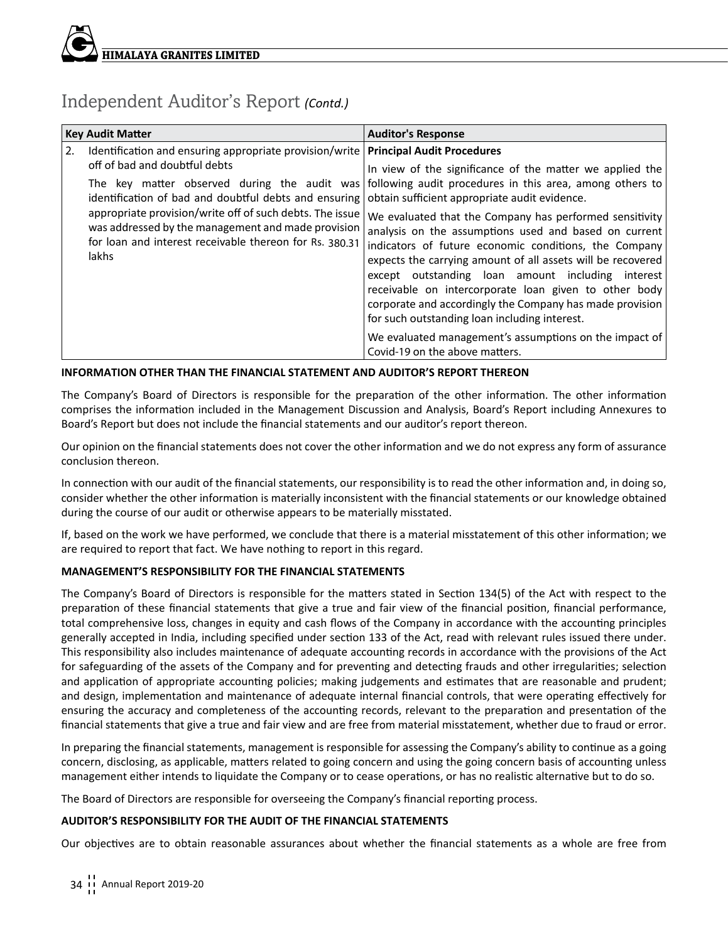### Independent Auditor's Report *(Contd.)*

|    | <b>Key Audit Matter</b>                                                                                                                                                                                                                                                                                                                 | <b>Auditor's Response</b>                                                                                                                                                                                                                                                                                                                                                                                                                                                                                                                                                                                                                                                     |  |  |
|----|-----------------------------------------------------------------------------------------------------------------------------------------------------------------------------------------------------------------------------------------------------------------------------------------------------------------------------------------|-------------------------------------------------------------------------------------------------------------------------------------------------------------------------------------------------------------------------------------------------------------------------------------------------------------------------------------------------------------------------------------------------------------------------------------------------------------------------------------------------------------------------------------------------------------------------------------------------------------------------------------------------------------------------------|--|--|
| 2. | Identification and ensuring appropriate provision/write<br>off of bad and doubtful debts<br>identification of bad and doubtful debts and ensuring<br>appropriate provision/write off of such debts. The issue<br>was addressed by the management and made provision<br>for loan and interest receivable thereon for Rs. 380.31<br>lakhs | <b>Principal Audit Procedures</b><br>In view of the significance of the matter we applied the<br>The key matter observed during the audit was following audit procedures in this area, among others to<br>obtain sufficient appropriate audit evidence.<br>We evaluated that the Company has performed sensitivity<br>analysis on the assumptions used and based on current<br>indicators of future economic conditions, the Company<br>expects the carrying amount of all assets will be recovered<br>except outstanding loan amount including interest<br>receivable on intercorporate loan given to other body<br>corporate and accordingly the Company has made provision |  |  |
|    |                                                                                                                                                                                                                                                                                                                                         | for such outstanding loan including interest.                                                                                                                                                                                                                                                                                                                                                                                                                                                                                                                                                                                                                                 |  |  |
|    |                                                                                                                                                                                                                                                                                                                                         | We evaluated management's assumptions on the impact of<br>Covid-19 on the above matters.                                                                                                                                                                                                                                                                                                                                                                                                                                                                                                                                                                                      |  |  |

#### **INFORMATION OTHER THAN THE FINANCIAL STATEMENT AND AUDITOR'S REPORT THEREON**

The Company's Board of Directors is responsible for the preparation of the other information. The other information comprises the information included in the Management Discussion and Analysis, Board's Report including Annexures to Board's Report but does not include the financial statements and our auditor's report thereon.

Our opinion on the financial statements does not cover the other information and we do not express any form of assurance conclusion thereon.

In connection with our audit of the financial statements, our responsibility is to read the other information and, in doing so, consider whether the other information is materially inconsistent with the financial statements or our knowledge obtained during the course of our audit or otherwise appears to be materially misstated.

If, based on the work we have performed, we conclude that there is a material misstatement of this other information; we are required to report that fact. We have nothing to report in this regard.

#### **MANAGEMENT'S RESPONSIBILITY FOR THE FINANCIAL STATEMENTS**

The Company's Board of Directors is responsible for the matters stated in Section 134(5) of the Act with respect to the preparation of these financial statements that give a true and fair view of the financial position, financial performance, total comprehensive loss, changes in equity and cash flows of the Company in accordance with the accounting principles generally accepted in India, including specified under section 133 of the Act, read with relevant rules issued there under. This responsibility also includes maintenance of adequate accounting records in accordance with the provisions of the Act for safeguarding of the assets of the Company and for preventing and detecting frauds and other irregularities; selection and application of appropriate accounting policies; making judgements and estimates that are reasonable and prudent; and design, implementation and maintenance of adequate internal financial controls, that were operating effectively for ensuring the accuracy and completeness of the accounting records, relevant to the preparation and presentation of the financial statements that give a true and fair view and are free from material misstatement, whether due to fraud or error.

In preparing the financial statements, management is responsible for assessing the Company's ability to continue as a going concern, disclosing, as applicable, matters related to going concern and using the going concern basis of accounting unless management either intends to liquidate the Company or to cease operations, or has no realistic alternative but to do so.

The Board of Directors are responsible for overseeing the Company's financial reporting process.

#### **AUDITOR'S RESPONSIBILITY FOR THE AUDIT OF THE FINANCIAL STATEMENTS**

Our objectives are to obtain reasonable assurances about whether the financial statements as a whole are free from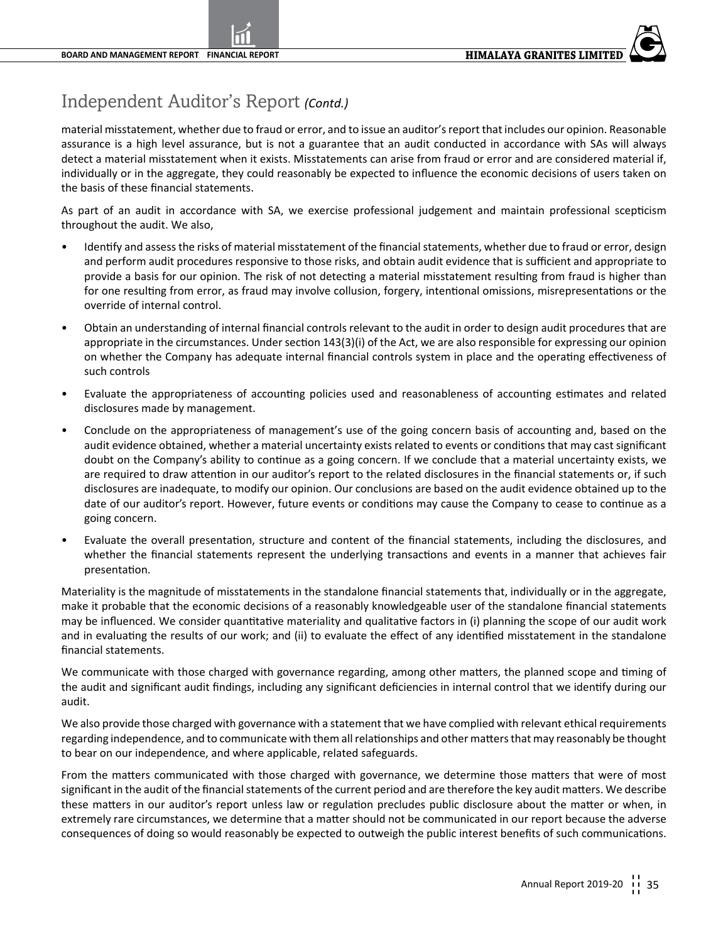### Independent Auditor's Report *(Contd.)*

material misstatement, whether due to fraud or error, and to issue an auditor's report that includes our opinion. Reasonable assurance is a high level assurance, but is not a guarantee that an audit conducted in accordance with SAs will always detect a material misstatement when it exists. Misstatements can arise from fraud or error and are considered material if, individually or in the aggregate, they could reasonably be expected to influence the economic decisions of users taken on the basis of these financial statements.

As part of an audit in accordance with SA, we exercise professional judgement and maintain professional scepticism throughout the audit. We also,

- Identify and assess the risks of material misstatement of the financial statements, whether due to fraud or error, design and perform audit procedures responsive to those risks, and obtain audit evidence that is sufficient and appropriate to provide a basis for our opinion. The risk of not detecting a material misstatement resulting from fraud is higher than for one resulting from error, as fraud may involve collusion, forgery, intentional omissions, misrepresentations or the override of internal control.
- Obtain an understanding of internal financial controls relevant to the audit in order to design audit procedures that are appropriate in the circumstances. Under section 143(3)(i) of the Act, we are also responsible for expressing our opinion on whether the Company has adequate internal financial controls system in place and the operating effectiveness of such controls
- Evaluate the appropriateness of accounting policies used and reasonableness of accounting estimates and related disclosures made by management.
- Conclude on the appropriateness of management's use of the going concern basis of accounting and, based on the audit evidence obtained, whether a material uncertainty exists related to events or conditions that may cast significant doubt on the Company's ability to continue as a going concern. If we conclude that a material uncertainty exists, we are required to draw attention in our auditor's report to the related disclosures in the financial statements or, if such disclosures are inadequate, to modify our opinion. Our conclusions are based on the audit evidence obtained up to the date of our auditor's report. However, future events or conditions may cause the Company to cease to continue as a going concern.
- Evaluate the overall presentation, structure and content of the financial statements, including the disclosures, and whether the financial statements represent the underlying transactions and events in a manner that achieves fair presentation.

Materiality is the magnitude of misstatements in the standalone financial statements that, individually or in the aggregate, make it probable that the economic decisions of a reasonably knowledgeable user of the standalone financial statements may be influenced. We consider quantitative materiality and qualitative factors in (i) planning the scope of our audit work and in evaluating the results of our work; and (ii) to evaluate the effect of any identified misstatement in the standalone financial statements.

We communicate with those charged with governance regarding, among other matters, the planned scope and timing of the audit and significant audit findings, including any significant deficiencies in internal control that we identify during our audit.

We also provide those charged with governance with a statement that we have complied with relevant ethical requirements regarding independence, and to communicate with them all relationships and other matters that may reasonably be thought to bear on our independence, and where applicable, related safeguards.

From the matters communicated with those charged with governance, we determine those matters that were of most significant in the audit of the financial statements of the current period and are therefore the key audit matters. We describe these matters in our auditor's report unless law or regulation precludes public disclosure about the matter or when, in extremely rare circumstances, we determine that a matter should not be communicated in our report because the adverse consequences of doing so would reasonably be expected to outweigh the public interest benefits of such communications.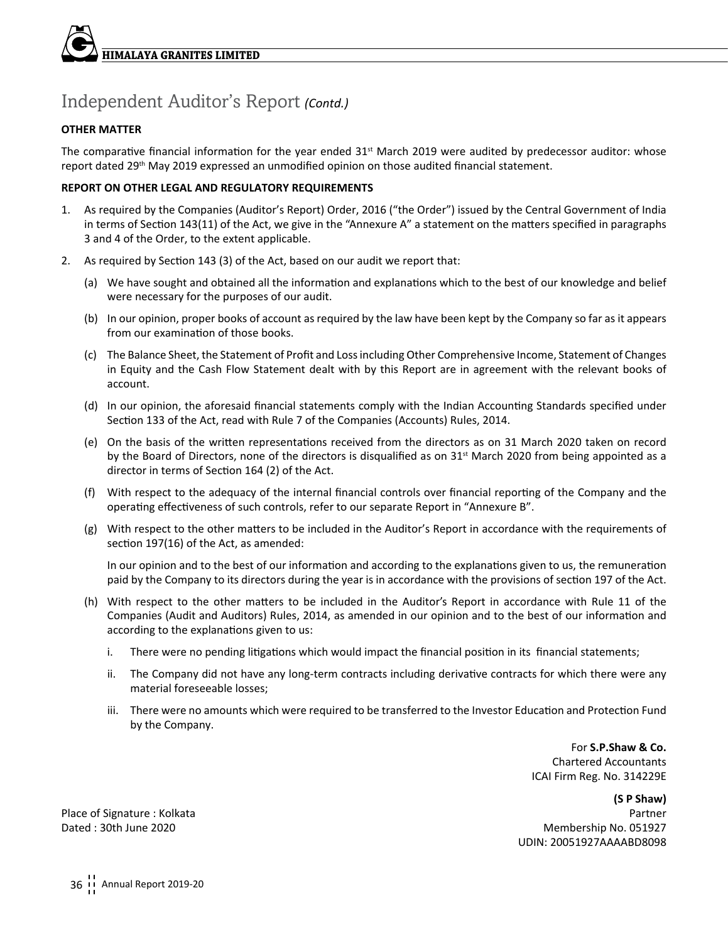### Independent Auditor's Report *(Contd.)*

#### **OTHER MATTER**

The comparative financial information for the year ended  $31<sup>st</sup>$  March 2019 were audited by predecessor auditor: whose report dated 29th May 2019 expressed an unmodified opinion on those audited financial statement.

#### **REPORT ON OTHER LEGAL AND REGULATORY REQUIREMENTS**

- 1. As required by the Companies (Auditor's Report) Order, 2016 ("the Order") issued by the Central Government of India in terms of Section 143(11) of the Act, we give in the "Annexure A" a statement on the matters specified in paragraphs 3 and 4 of the Order, to the extent applicable.
- 2. As required by Section 143 (3) of the Act, based on our audit we report that:
	- (a) We have sought and obtained all the information and explanations which to the best of our knowledge and belief were necessary for the purposes of our audit.
	- (b) In our opinion, proper books of account as required by the law have been kept by the Company so far as it appears from our examination of those books.
	- (c) The Balance Sheet, the Statement of Profit and Loss including Other Comprehensive Income, Statement of Changes in Equity and the Cash Flow Statement dealt with by this Report are in agreement with the relevant books of account.
	- (d) In our opinion, the aforesaid financial statements comply with the Indian Accounting Standards specified under Section 133 of the Act, read with Rule 7 of the Companies (Accounts) Rules, 2014.
	- (e) On the basis of the written representations received from the directors as on 31 March 2020 taken on record by the Board of Directors, none of the directors is disqualified as on  $31<sup>st</sup>$  March 2020 from being appointed as a director in terms of Section 164 (2) of the Act.
	- (f) With respect to the adequacy of the internal financial controls over financial reporting of the Company and the operating effectiveness of such controls, refer to our separate Report in "Annexure B".
	- (g) With respect to the other matters to be included in the Auditor's Report in accordance with the requirements of section 197(16) of the Act, as amended:

In our opinion and to the best of our information and according to the explanations given to us, the remuneration paid by the Company to its directors during the year is in accordance with the provisions of section 197 of the Act.

- (h) With respect to the other matters to be included in the Auditor's Report in accordance with Rule 11 of the Companies (Audit and Auditors) Rules, 2014, as amended in our opinion and to the best of our information and according to the explanations given to us:
	- i. There were no pending litigations which would impact the financial position in its financial statements;
	- ii. The Company did not have any long-term contracts including derivative contracts for which there were any material foreseeable losses;
	- iii. There were no amounts which were required to be transferred to the Investor Education and Protection Fund by the Company.

For **S.P.Shaw & Co.** Chartered Accountants ICAI Firm Reg. No. 314229E

**(S P Shaw)** Place of Signature : Kolkata **Partner** Partner **Partner** Partner **Partner** Partner **Partner** Dated : 30th June 2020 **Membership No. 051927** UDIN: 20051927AAAABD8098

36 H Annual Report 2019-20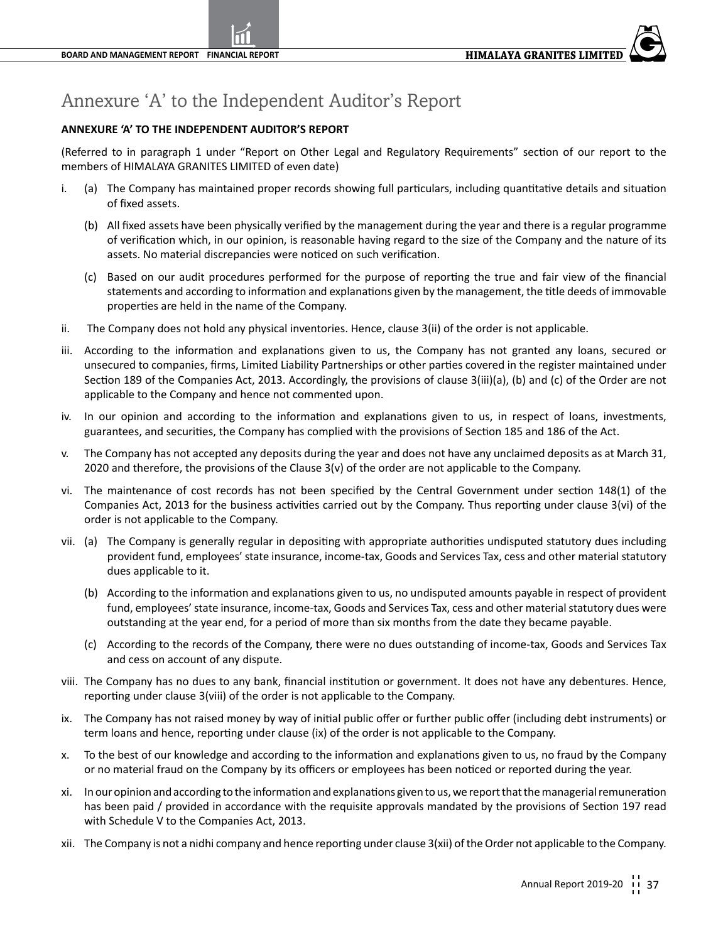### Annexure 'A' to the Independent Auditor's Report

#### **ANNEXURE 'A' TO THE INDEPENDENT AUDITOR'S REPORT**

(Referred to in paragraph 1 under "Report on Other Legal and Regulatory Requirements" section of our report to the members of HIMALAYA GRANITES LIMITED of even date)

- i. (a) The Company has maintained proper records showing full particulars, including quantitative details and situation of fixed assets.
	- (b) All fixed assets have been physically verified by the management during the year and there is a regular programme of verification which, in our opinion, is reasonable having regard to the size of the Company and the nature of its assets. No material discrepancies were noticed on such verification.
	- (c) Based on our audit procedures performed for the purpose of reporting the true and fair view of the financial statements and according to information and explanations given by the management, the title deeds of immovable properties are held in the name of the Company.
- ii. The Company does not hold any physical inventories. Hence, clause 3(ii) of the order is not applicable.
- iii. According to the information and explanations given to us, the Company has not granted any loans, secured or unsecured to companies, firms, Limited Liability Partnerships or other parties covered in the register maintained under Section 189 of the Companies Act, 2013. Accordingly, the provisions of clause 3(iii)(a), (b) and (c) of the Order are not applicable to the Company and hence not commented upon.
- iv. In our opinion and according to the information and explanations given to us, in respect of loans, investments, guarantees, and securities, the Company has complied with the provisions of Section 185 and 186 of the Act.
- v. The Company has not accepted any deposits during the year and does not have any unclaimed deposits as at March 31, 2020 and therefore, the provisions of the Clause 3(v) of the order are not applicable to the Company.
- vi. The maintenance of cost records has not been specified by the Central Government under section 148(1) of the Companies Act, 2013 for the business activities carried out by the Company. Thus reporting under clause 3(vi) of the order is not applicable to the Company.
- vii. (a) The Company is generally regular in depositing with appropriate authorities undisputed statutory dues including provident fund, employees' state insurance, income-tax, Goods and Services Tax, cess and other material statutory dues applicable to it.
	- (b) According to the information and explanations given to us, no undisputed amounts payable in respect of provident fund, employees' state insurance, income-tax, Goods and Services Tax, cess and other material statutory dues were outstanding at the year end, for a period of more than six months from the date they became payable.
	- (c) According to the records of the Company, there were no dues outstanding of income-tax, Goods and Services Tax and cess on account of any dispute.
- viii. The Company has no dues to any bank, financial institution or government. It does not have any debentures. Hence, reporting under clause 3(viii) of the order is not applicable to the Company.
- ix. The Company has not raised money by way of initial public offer or further public offer (including debt instruments) or term loans and hence, reporting under clause (ix) of the order is not applicable to the Company.
- x. To the best of our knowledge and according to the information and explanations given to us, no fraud by the Company or no material fraud on the Company by its officers or employees has been noticed or reported during the year.
- xi. In our opinion and according to the information and explanations given to us, we report that the managerial remuneration has been paid / provided in accordance with the requisite approvals mandated by the provisions of Section 197 read with Schedule V to the Companies Act, 2013.
- xii. The Company is not a nidhi company and hence reporting under clause 3(xii) of the Order not applicable to the Company.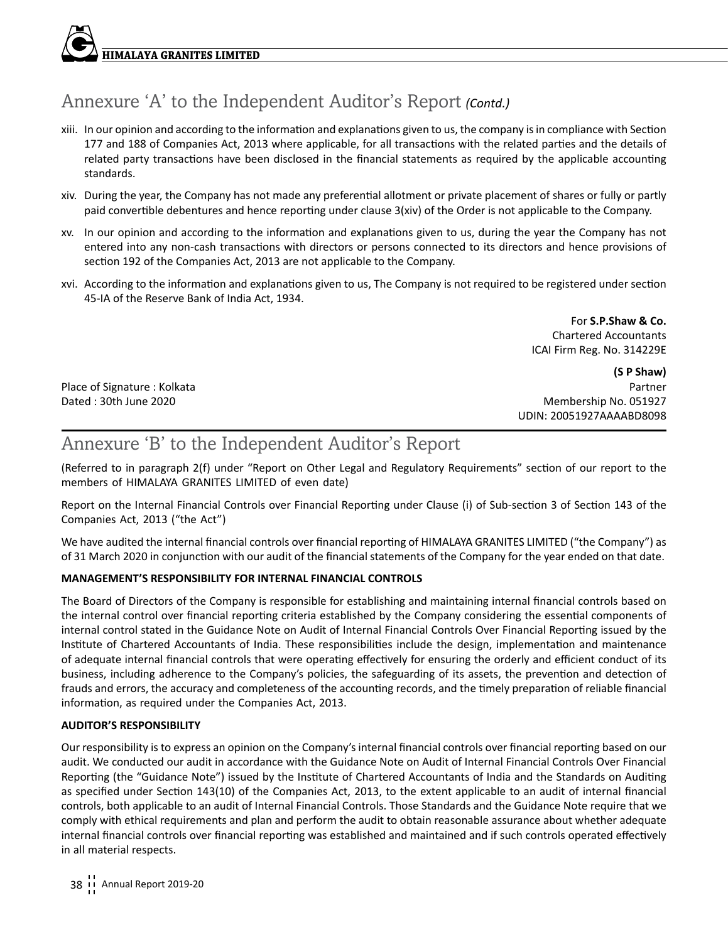### Annexure 'A' to the Independent Auditor's Report *(Contd.)*

- xiii. In our opinion and according to the information and explanations given to us, the company is in compliance with Section 177 and 188 of Companies Act, 2013 where applicable, for all transactions with the related parties and the details of related party transactions have been disclosed in the financial statements as required by the applicable accounting standards.
- xiv. During the year, the Company has not made any preferential allotment or private placement of shares or fully or partly paid convertible debentures and hence reporting under clause 3(xiv) of the Order is not applicable to the Company.
- xv. In our opinion and according to the information and explanations given to us, during the year the Company has not entered into any non-cash transactions with directors or persons connected to its directors and hence provisions of section 192 of the Companies Act, 2013 are not applicable to the Company.
- xvi. According to the information and explanations given to us, The Company is not required to be registered under section 45-IA of the Reserve Bank of India Act, 1934.

For **S.P.Shaw & Co.** Chartered Accountants ICAI Firm Reg. No. 314229E

**(S P Shaw)** Place of Signature : Kolkata Partner Dated : 30th June 2020 **Membership No. 051927** UDIN: 20051927AAAABD8098

### Annexure 'B' to the Independent Auditor's Report

(Referred to in paragraph 2(f) under "Report on Other Legal and Regulatory Requirements" section of our report to the members of HIMALAYA GRANITES LIMITED of even date)

Report on the Internal Financial Controls over Financial Reporting under Clause (i) of Sub-section 3 of Section 143 of the Companies Act, 2013 ("the Act")

We have audited the internal financial controls over financial reporting of HIMALAYA GRANITES LIMITED ("the Company") as of 31 March 2020 in conjunction with our audit of the financial statements of the Company for the year ended on that date.

#### **MANAGEMENT'S RESPONSIBILITY FOR INTERNAL FINANCIAL CONTROLS**

The Board of Directors of the Company is responsible for establishing and maintaining internal financial controls based on the internal control over financial reporting criteria established by the Company considering the essential components of internal control stated in the Guidance Note on Audit of Internal Financial Controls Over Financial Reporting issued by the Institute of Chartered Accountants of India. These responsibilities include the design, implementation and maintenance of adequate internal financial controls that were operating effectively for ensuring the orderly and efficient conduct of its business, including adherence to the Company's policies, the safeguarding of its assets, the prevention and detection of frauds and errors, the accuracy and completeness of the accounting records, and the timely preparation of reliable financial information, as required under the Companies Act, 2013.

#### **AUDITOR'S RESPONSIBILITY**

Our responsibility is to express an opinion on the Company's internal financial controls over financial reporting based on our audit. We conducted our audit in accordance with the Guidance Note on Audit of Internal Financial Controls Over Financial Reporting (the "Guidance Note") issued by the Institute of Chartered Accountants of India and the Standards on Auditing as specified under Section 143(10) of the Companies Act, 2013, to the extent applicable to an audit of internal financial controls, both applicable to an audit of Internal Financial Controls. Those Standards and the Guidance Note require that we comply with ethical requirements and plan and perform the audit to obtain reasonable assurance about whether adequate internal financial controls over financial reporting was established and maintained and if such controls operated effectively in all material respects.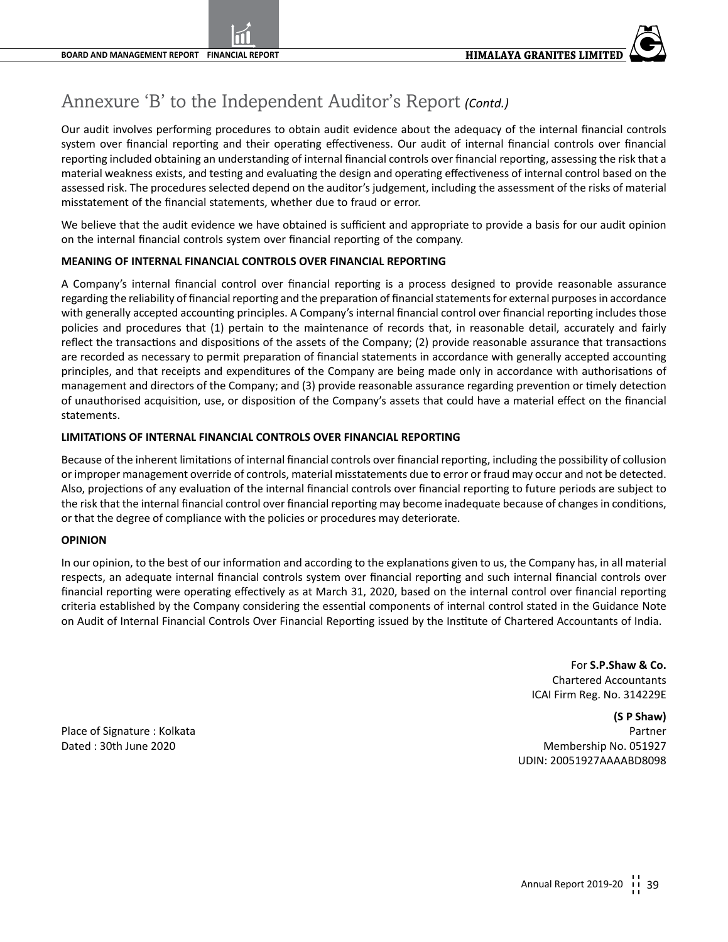### Annexure 'B' to the Independent Auditor's Report *(Contd.)*

Our audit involves performing procedures to obtain audit evidence about the adequacy of the internal financial controls system over financial reporting and their operating effectiveness. Our audit of internal financial controls over financial reporting included obtaining an understanding of internal financial controls over financial reporting, assessing the risk that a material weakness exists, and testing and evaluating the design and operating effectiveness of internal control based on the assessed risk. The procedures selected depend on the auditor's judgement, including the assessment of the risks of material misstatement of the financial statements, whether due to fraud or error.

We believe that the audit evidence we have obtained is sufficient and appropriate to provide a basis for our audit opinion on the internal financial controls system over financial reporting of the company.

#### **MEANING OF INTERNAL FINANCIAL CONTROLS OVER FINANCIAL REPORTING**

A Company's internal financial control over financial reporting is a process designed to provide reasonable assurance regarding the reliability of financial reporting and the preparation of financial statements for external purposes in accordance with generally accepted accounting principles. A Company's internal financial control over financial reporting includes those policies and procedures that (1) pertain to the maintenance of records that, in reasonable detail, accurately and fairly reflect the transactions and dispositions of the assets of the Company; (2) provide reasonable assurance that transactions are recorded as necessary to permit preparation of financial statements in accordance with generally accepted accounting principles, and that receipts and expenditures of the Company are being made only in accordance with authorisations of management and directors of the Company; and (3) provide reasonable assurance regarding prevention or timely detection of unauthorised acquisition, use, or disposition of the Company's assets that could have a material effect on the financial statements.

#### **LIMITATIONS OF INTERNAL FINANCIAL CONTROLS OVER FINANCIAL REPORTING**

Because of the inherent limitations of internal financial controls over financial reporting, including the possibility of collusion or improper management override of controls, material misstatements due to error or fraud may occur and not be detected. Also, projections of any evaluation of the internal financial controls over financial reporting to future periods are subject to the risk that the internal financial control over financial reporting may become inadequate because of changes in conditions, or that the degree of compliance with the policies or procedures may deteriorate.

#### **OPINION**

In our opinion, to the best of our information and according to the explanations given to us, the Company has, in all material respects, an adequate internal financial controls system over financial reporting and such internal financial controls over financial reporting were operating effectively as at March 31, 2020, based on the internal control over financial reporting criteria established by the Company considering the essential components of internal control stated in the Guidance Note on Audit of Internal Financial Controls Over Financial Reporting issued by the Institute of Chartered Accountants of India.

> For **S.P.Shaw & Co.** Chartered Accountants ICAI Firm Reg. No. 314229E

**(S P Shaw)** Place of Signature : Kolkata Partner Membership No. 051927 UDIN: 20051927AAAABD8098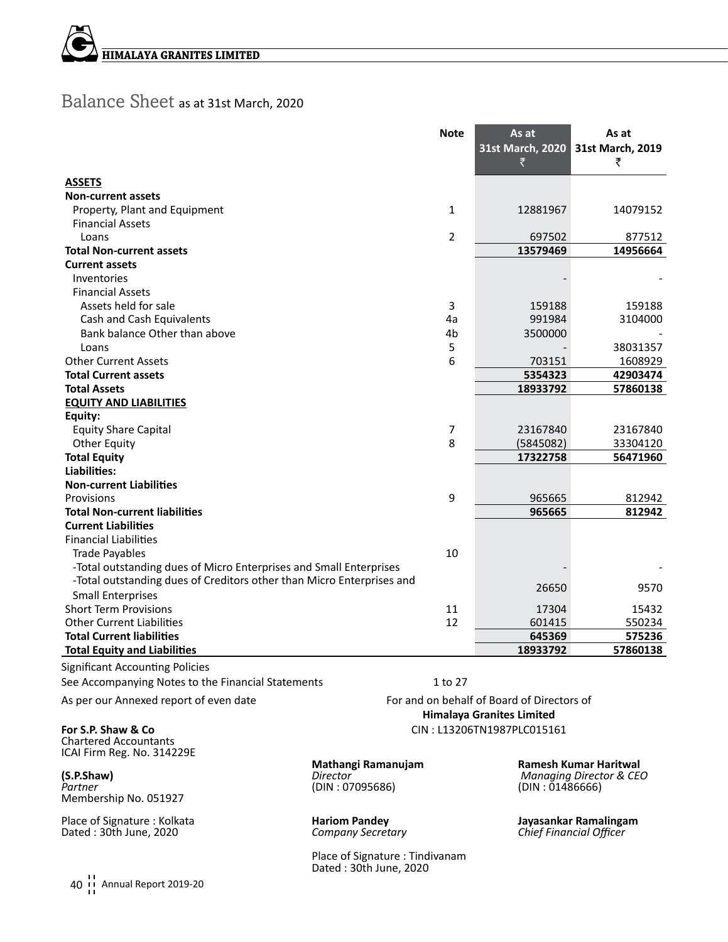

### Balance Sheet as at 31st March, 2020

|                                                                       | <b>Note</b>    | As at     | As at                             |
|-----------------------------------------------------------------------|----------------|-----------|-----------------------------------|
|                                                                       |                |           | 31st March, 2020 31st March, 2019 |
|                                                                       |                | ₹         | ₹                                 |
| <b>ASSETS</b>                                                         |                |           |                                   |
| <b>Non-current assets</b>                                             |                |           |                                   |
| Property, Plant and Equipment                                         | 1              | 12881967  | 14079152                          |
| <b>Financial Assets</b>                                               |                |           |                                   |
| Loans                                                                 | $\overline{2}$ | 697502    | 877512                            |
| <b>Total Non-current assets</b>                                       |                | 13579469  | 14956664                          |
| <b>Current assets</b>                                                 |                |           |                                   |
| Inventories                                                           |                |           |                                   |
| <b>Financial Assets</b>                                               |                |           |                                   |
| Assets held for sale                                                  | 3              | 159188    | 159188                            |
| Cash and Cash Equivalents                                             | 4a             | 991984    | 3104000                           |
| Bank balance Other than above                                         | 4b             | 3500000   |                                   |
| Loans                                                                 | 5              |           | 38031357                          |
| <b>Other Current Assets</b>                                           | 6              | 703151    | 1608929                           |
| <b>Total Current assets</b>                                           |                | 5354323   | 42903474                          |
| <b>Total Assets</b>                                                   |                | 18933792  | 57860138                          |
| <b>EQUITY AND LIABILITIES</b>                                         |                |           |                                   |
| Equity:                                                               |                |           |                                   |
| <b>Equity Share Capital</b>                                           | 7              | 23167840  | 23167840                          |
| Other Equity                                                          | 8              | (5845082) | 33304120                          |
| <b>Total Equity</b>                                                   |                | 17322758  | 56471960                          |
| Liabilities:                                                          |                |           |                                   |
| <b>Non-current Liabilities</b>                                        |                |           |                                   |
| Provisions                                                            | 9              | 965665    | 812942                            |
| <b>Total Non-current liabilities</b>                                  |                | 965665    | 812942                            |
| <b>Current Liabilities</b>                                            |                |           |                                   |
| <b>Financial Liabilities</b>                                          |                |           |                                   |
| <b>Trade Payables</b>                                                 | 10             |           |                                   |
| -Total outstanding dues of Micro Enterprises and Small Enterprises    |                |           |                                   |
| -Total outstanding dues of Creditors other than Micro Enterprises and |                | 26650     | 9570                              |
| <b>Small Enterprises</b>                                              |                |           |                                   |
| <b>Short Term Provisions</b>                                          | 11             | 17304     | 15432                             |
| <b>Other Current Liabilities</b>                                      | 12             | 601415    | 550234                            |
| <b>Total Current liabilities</b>                                      |                | 645369    | 575236                            |
| <b>Total Equity and Liabilities</b>                                   |                | 18933792  | 57860138                          |
| <b>Significant Accounting Policies</b>                                |                |           |                                   |

See Accompanying Notes to the Financial Statements 1 to 27

As per our Annexed report of even date For and on behalf of Board of Directors of

Chartered Accountants ICAI Firm Reg. No. 314229E

Membership No. 051927

Place of Signature : Kolkata **Hariom Pandey Jayasankar Ramalingam** Dated : 30th June, 2020 *Company Secretary Chief Financial Officer*

**Himalaya Granites Limited For S.P. Shaw & Co** CIN : L13206TN1987PLC015161

Place of Signature : Tindivanam Dated : 30th June, 2020

**Mathangi Ramanujam Ramesh Kumar Haritwal (S.P.Shaw)** *Director Director Director Managing Director & CEO*<br> *Partner* (DIN: 07095686) *Managing Director & CEO Partner* (DIN : 07095686) (DIN : 01486666)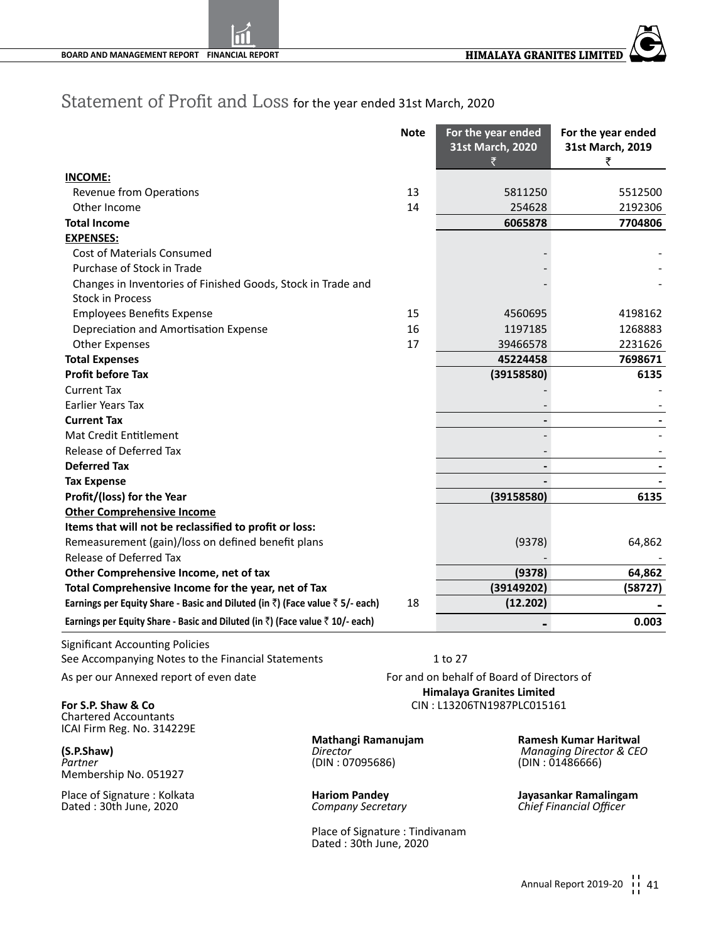### Statement of Profit and Loss for the year ended 31st March, 2020

|                                                                                                | <b>Note</b> | For the year ended<br>31st March, 2020 | For the year ended<br>31st March, 2019 |
|------------------------------------------------------------------------------------------------|-------------|----------------------------------------|----------------------------------------|
|                                                                                                |             | ₹                                      | ₹                                      |
| <b>INCOME:</b>                                                                                 |             |                                        |                                        |
| Revenue from Operations                                                                        | 13          | 5811250                                | 5512500                                |
| Other Income                                                                                   | 14          | 254628                                 | 2192306                                |
| <b>Total Income</b>                                                                            |             | 6065878                                | 7704806                                |
| <b>EXPENSES:</b>                                                                               |             |                                        |                                        |
| <b>Cost of Materials Consumed</b>                                                              |             |                                        |                                        |
| Purchase of Stock in Trade                                                                     |             |                                        |                                        |
| Changes in Inventories of Finished Goods, Stock in Trade and<br><b>Stock in Process</b>        |             |                                        |                                        |
| <b>Employees Benefits Expense</b>                                                              | 15          | 4560695                                | 4198162                                |
| Depreciation and Amortisation Expense                                                          | 16          | 1197185                                | 1268883                                |
| Other Expenses                                                                                 | 17          | 39466578                               | 2231626                                |
| <b>Total Expenses</b>                                                                          |             | 45224458                               | 7698671                                |
| <b>Profit before Tax</b>                                                                       |             | (39158580)                             | 6135                                   |
| <b>Current Tax</b>                                                                             |             |                                        |                                        |
| <b>Earlier Years Tax</b>                                                                       |             |                                        |                                        |
| <b>Current Tax</b>                                                                             |             |                                        |                                        |
| <b>Mat Credit Entitlement</b>                                                                  |             |                                        |                                        |
| Release of Deferred Tax                                                                        |             |                                        |                                        |
| <b>Deferred Tax</b>                                                                            |             |                                        |                                        |
| <b>Tax Expense</b>                                                                             |             |                                        |                                        |
| Profit/(loss) for the Year                                                                     |             | (39158580)                             | 6135                                   |
| <b>Other Comprehensive Income</b>                                                              |             |                                        |                                        |
| Items that will not be reclassified to profit or loss:                                         |             |                                        |                                        |
| Remeasurement (gain)/loss on defined benefit plans                                             |             | (9378)                                 | 64,862                                 |
| Release of Deferred Tax                                                                        |             |                                        |                                        |
| Other Comprehensive Income, net of tax                                                         |             | (9378)                                 | 64,862                                 |
| Total Comprehensive Income for the year, net of Tax                                            |             | (39149202)                             | (58727)                                |
| Earnings per Equity Share - Basic and Diluted (in $\bar{z}$ ) (Face value $\bar{z}$ 5/- each)  | 18          | (12.202)                               |                                        |
| Earnings per Equity Share - Basic and Diluted (in $\bar{z}$ ) (Face value $\bar{z}$ 10/- each) |             |                                        | 0.003                                  |

Significant Accounting Policies See Accompanying Notes to the Financial Statements 1 to 27

Chartered Accountants ICAI Firm Reg. No. 314229E

Membership No. 051927

Place of Signature : Kolkata **Hariom Pandey Place of Signature : Kolkata <b>Hariom Pandey Jayasankar Ramalingam**<br> **Pated : 30th June, 2020 Company Secretary Chief Financial Officer** Dated : 30th June, 2020 *Company Secretary Chief Financial Officer*

As per our Annexed report of even date For and on behalf of Board of Directors of **Himalaya Granites Limited For S.P. Shaw & Co** CIN : L13206TN1987PLC015161

Place of Signature : Tindivanam Dated : 30th June, 2020

**Mathangi Ramanujam Ramesh Kumar Haritwal (S.P.Shaw)** *Director Director Director Managing Director & CEO*<br>Partner *(DIN: 07095686) (DIN: 07095686) (DIN: 01486666) Partner* (DIN : 07095686) (DIN : 01486666)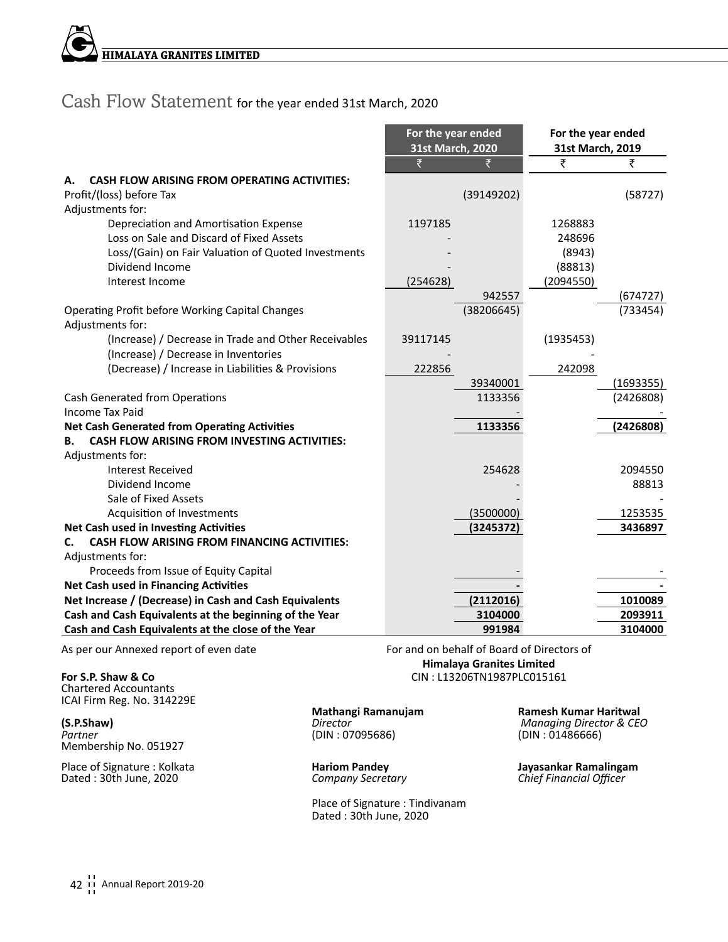**Himalaya Granites Limited**

### Cash Flow Statement for the year ended 31st March, 2020

|                                                           | For the year ended<br>31st March, 2020 |            | For the year ended<br>31st March, 2019 |           |
|-----------------------------------------------------------|----------------------------------------|------------|----------------------------------------|-----------|
|                                                           | ₹                                      | ₹          | ₹                                      | ₹         |
| <b>CASH FLOW ARISING FROM OPERATING ACTIVITIES:</b><br>А. |                                        |            |                                        |           |
| Profit/(loss) before Tax                                  |                                        | (39149202) |                                        | (58727)   |
| Adjustments for:                                          |                                        |            |                                        |           |
| Depreciation and Amortisation Expense                     | 1197185                                |            | 1268883                                |           |
| Loss on Sale and Discard of Fixed Assets                  |                                        |            | 248696                                 |           |
| Loss/(Gain) on Fair Valuation of Quoted Investments       |                                        |            | (8943)                                 |           |
| Dividend Income                                           |                                        |            | (88813)                                |           |
| Interest Income                                           | (254628)                               |            | (2094550)                              |           |
|                                                           |                                        | 942557     |                                        | (674727)  |
| Operating Profit before Working Capital Changes           |                                        | (38206645) |                                        | (733454)  |
| Adjustments for:                                          |                                        |            |                                        |           |
| (Increase) / Decrease in Trade and Other Receivables      | 39117145                               |            | (1935453)                              |           |
| (Increase) / Decrease in Inventories                      |                                        |            |                                        |           |
| (Decrease) / Increase in Liabilities & Provisions         | 222856                                 |            | 242098                                 |           |
|                                                           |                                        | 39340001   |                                        | (1693355) |
| Cash Generated from Operations                            |                                        | 1133356    |                                        | (2426808) |
| Income Tax Paid                                           |                                        |            |                                        |           |
| <b>Net Cash Generated from Operating Activities</b>       |                                        | 1133356    |                                        | (2426808) |
| <b>CASH FLOW ARISING FROM INVESTING ACTIVITIES:</b><br>В. |                                        |            |                                        |           |
| Adjustments for:                                          |                                        |            |                                        |           |
| <b>Interest Received</b>                                  |                                        | 254628     |                                        | 2094550   |
| Dividend Income                                           |                                        |            |                                        | 88813     |
| Sale of Fixed Assets                                      |                                        |            |                                        |           |
| Acquisition of Investments                                |                                        | (3500000)  |                                        | 1253535   |
| Net Cash used in Investing Activities                     |                                        | (3245372)  |                                        | 3436897   |
| <b>CASH FLOW ARISING FROM FINANCING ACTIVITIES:</b><br>C. |                                        |            |                                        |           |
| Adjustments for:                                          |                                        |            |                                        |           |
| Proceeds from Issue of Equity Capital                     |                                        |            |                                        |           |
| <b>Net Cash used in Financing Activities</b>              |                                        |            |                                        |           |
| Net Increase / (Decrease) in Cash and Cash Equivalents    |                                        | (2112016)  |                                        | 1010089   |
| Cash and Cash Equivalents at the beginning of the Year    |                                        | 3104000    |                                        | 2093911   |
| Cash and Cash Equivalents at the close of the Year        |                                        | 991984     |                                        | 3104000   |

Chartered Accountants ICAI Firm Reg. No. 314229E

Membership No. 051927

Place of Signature : Kolkata **Hariom Pandey Jayasankar Ramalingam** Dated : 30th June, 2020 *Company Secretary Chief Financial Officer*

As per our Annexed report of even date For and on behalf of Board of Directors of **Himalaya Granites Limited For S.P. Shaw & Co** CIN : L13206TN1987PLC015161

Place of Signature : Tindivanam Dated : 30th June, 2020

**Mathangi Ramanujam Ramesh Kumar Haritwal (S.P.Shaw)** *Director Director Director Managing Director & CEO*<br> *Partner* (DIN: 07095686) *Managing Director & CEO Partner* (DIN : 07095686) (DIN : 01486666)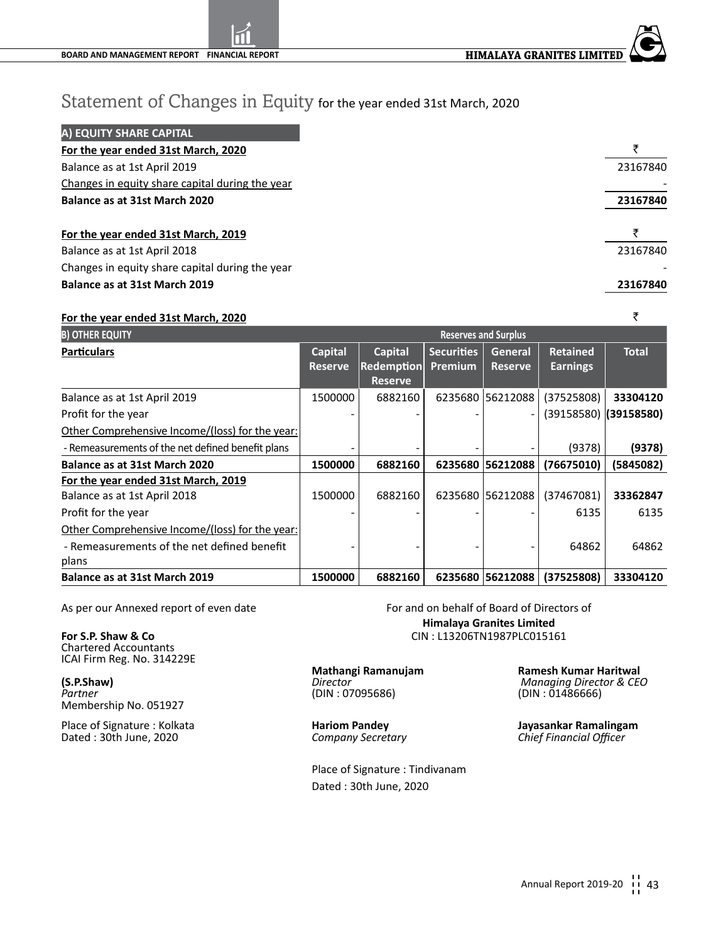### Statement of Changes in Equity for the year ended 31st March, 2020

| A) EQUITY SHARE CAPITAL                         |          |
|-------------------------------------------------|----------|
| For the year ended 31st March, 2020             | ₹        |
| Balance as at 1st April 2019                    | 23167840 |
| Changes in equity share capital during the year |          |
| Balance as at 31st March 2020                   | 23167840 |
| For the year ended 31st March, 2019             |          |
| Balance as at 1st April 2018                    | 23167840 |
| Changes in equity share capital during the year |          |
| Balance as at 31st March 2019                   | 23167840 |

#### **For the year ended 31st March, 2020** `

| <b>B) OTHER EQUITY</b>                            | <b>Reserves and Surplus</b> |                   |                   |                |                           |              |
|---------------------------------------------------|-----------------------------|-------------------|-------------------|----------------|---------------------------|--------------|
| <b>Particulars</b>                                | Capital                     | Capital           | <b>Securities</b> | General        | <b>Retained</b>           | <b>Total</b> |
|                                                   | <b>Reserve</b>              | <b>Redemption</b> | <b>Premium</b>    | <b>Reserve</b> | <b>Earnings</b>           |              |
|                                                   |                             | <b>Reserve</b>    |                   |                |                           |              |
| Balance as at 1st April 2019                      | 1500000                     | 6882160           | 6235680           | 56212088       | (37525808)                | 33304120     |
| Profit for the year                               |                             |                   |                   |                | $(39158580)$ $(39158580)$ |              |
| Other Comprehensive Income/(loss) for the year:   |                             |                   |                   |                |                           |              |
| - Remeasurements of the net defined benefit plans |                             |                   |                   |                | (9378)                    | (9378)       |
| Balance as at 31st March 2020                     | 1500000                     | 6882160           | 6235680           | 56212088       | (76675010)                | (5845082)    |
| For the year ended 31st March, 2019               |                             |                   |                   |                |                           |              |
| Balance as at 1st April 2018                      | 1500000                     | 6882160           | 6235680           | 56212088       | (37467081)                | 33362847     |
| Profit for the year                               |                             |                   |                   |                | 6135                      | 6135         |
| Other Comprehensive Income/(loss) for the year:   |                             |                   |                   |                |                           |              |
| - Remeasurements of the net defined benefit       |                             |                   |                   |                | 64862                     | 64862        |
| plans                                             |                             |                   |                   |                |                           |              |
| Balance as at 31st March 2019                     | 1500000                     | 6882160           | 6235680           | 56212088       | (37525808)                | 33304120     |

As per our Annexed report of even date For and on behalf of Board of Directors of

Chartered Accountants ICAI Firm Reg. No. 314229E

Membership No. 051927

Place of Signature : Kolkata **Hariom Pandey Place of Signature : Kolkata Hariom Pandey** *Company Secretary**Chief Financial Officer* **<b>Chief Financial Officer** Dated : 30th June, 2020 *Company Secretary Chief Financial Officer*

**Himalaya Granites Limited For S.P. Shaw & Co** CIN : L13206TN1987PLC015161

*(DIN : 07095686)* 

Place of Signature : Tindivanam Dated : 30th June, 2020

**Mathangi Ramanujam Ramesh Kumar Haritwal (S.P.Shaw)** *Director Director Director Managing Director & CEO*<br> *Partner* (DIN: 07095686) *Managing Director & CEO*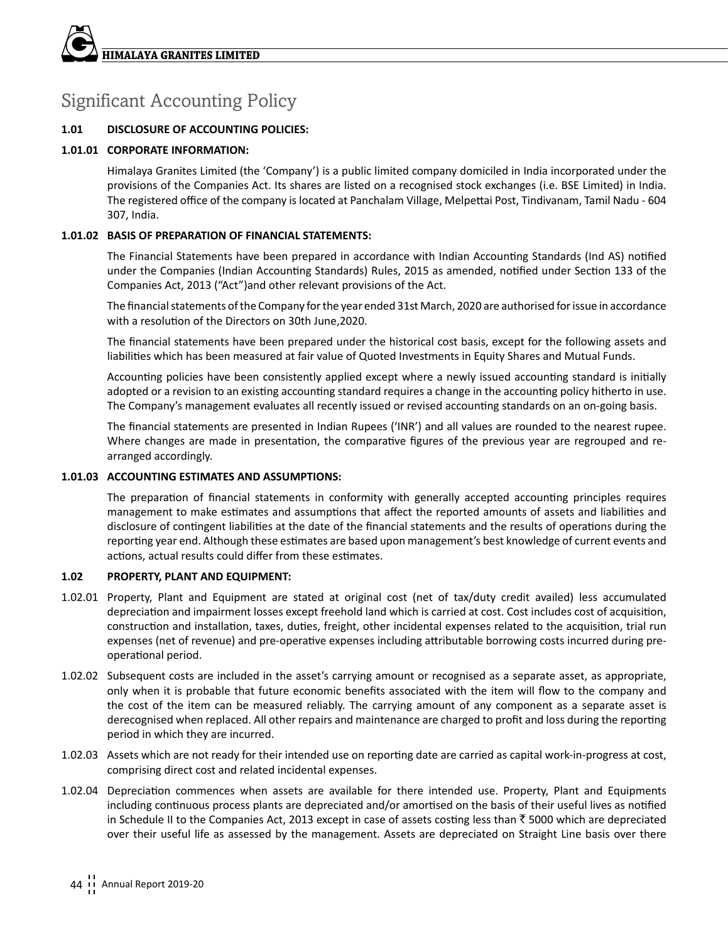### Significant Accounting Policy

#### **1.01 DISCLOSURE OF ACCOUNTING POLICIES:**

#### **1.01.01 CORPORATE INFORMATION:**

Himalaya Granites Limited (the 'Company') is a public limited company domiciled in India incorporated under the provisions of the Companies Act. Its shares are listed on a recognised stock exchanges (i.e. BSE Limited) in India. The registered office of the company is located at Panchalam Village, Melpettai Post, Tindivanam, Tamil Nadu - 604 307, India.

#### **1.01.02 BASIS OF PREPARATION OF FINANCIAL STATEMENTS:**

The Financial Statements have been prepared in accordance with Indian Accounting Standards (Ind AS) notified under the Companies (Indian Accounting Standards) Rules, 2015 as amended, notified under Section 133 of the Companies Act, 2013 ("Act")and other relevant provisions of the Act.

The financial statements of the Company for the year ended 31st March, 2020 are authorised for issue in accordance with a resolution of the Directors on 30th June,2020.

The financial statements have been prepared under the historical cost basis, except for the following assets and liabilities which has been measured at fair value of Quoted Investments in Equity Shares and Mutual Funds.

Accounting policies have been consistently applied except where a newly issued accounting standard is initially adopted or a revision to an existing accounting standard requires a change in the accounting policy hitherto in use. The Company's management evaluates all recently issued or revised accounting standards on an on-going basis.

The financial statements are presented in Indian Rupees ('INR') and all values are rounded to the nearest rupee. Where changes are made in presentation, the comparative figures of the previous year are regrouped and rearranged accordingly.

#### **1.01.03 ACCOUNTING ESTIMATES AND ASSUMPTIONS:**

The preparation of financial statements in conformity with generally accepted accounting principles requires management to make estimates and assumptions that affect the reported amounts of assets and liabilities and disclosure of contingent liabilities at the date of the financial statements and the results of operations during the reporting year end. Although these estimates are based upon management's best knowledge of current events and actions, actual results could differ from these estimates.

#### **1.02 PROPERTY, PLANT AND EQUIPMENT:**

- 1.02.01 Property, Plant and Equipment are stated at original cost (net of tax/duty credit availed) less accumulated depreciation and impairment losses except freehold land which is carried at cost. Cost includes cost of acquisition, construction and installation, taxes, duties, freight, other incidental expenses related to the acquisition, trial run expenses (net of revenue) and pre-operative expenses including attributable borrowing costs incurred during preoperational period.
- 1.02.02 Subsequent costs are included in the asset's carrying amount or recognised as a separate asset, as appropriate, only when it is probable that future economic benefits associated with the item will flow to the company and the cost of the item can be measured reliably. The carrying amount of any component as a separate asset is derecognised when replaced. All other repairs and maintenance are charged to profit and loss during the reporting period in which they are incurred.
- 1.02.03 Assets which are not ready for their intended use on reporting date are carried as capital work-in-progress at cost, comprising direct cost and related incidental expenses.
- 1.02.04 Depreciation commences when assets are available for there intended use. Property, Plant and Equipments including continuous process plants are depreciated and/or amortised on the basis of their useful lives as notified in Schedule II to the Companies Act, 2013 except in case of assets costing less than  $\bar{z}$  5000 which are depreciated over their useful life as assessed by the management. Assets are depreciated on Straight Line basis over there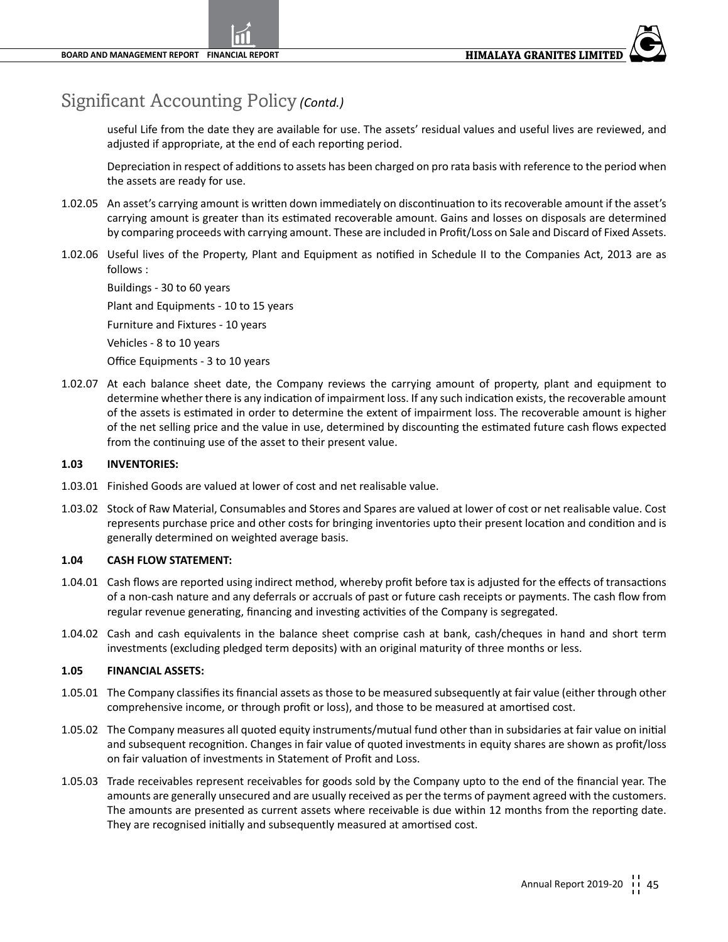useful Life from the date they are available for use. The assets' residual values and useful lives are reviewed, and adjusted if appropriate, at the end of each reporting period.

Depreciation in respect of additions to assets has been charged on pro rata basis with reference to the period when the assets are ready for use.

- 1.02.05 An asset's carrying amount is written down immediately on discontinuation to its recoverable amount if the asset's carrying amount is greater than its estimated recoverable amount. Gains and losses on disposals are determined by comparing proceeds with carrying amount. These are included in Profit/Loss on Sale and Discard of Fixed Assets.
- 1.02.06 Useful lives of the Property, Plant and Equipment as notified in Schedule II to the Companies Act, 2013 are as follows :

Buildings - 30 to 60 years Plant and Equipments - 10 to 15 years Furniture and Fixtures - 10 years Vehicles - 8 to 10 years Office Equipments - 3 to 10 years

1.02.07 At each balance sheet date, the Company reviews the carrying amount of property, plant and equipment to determine whether there is any indication of impairment loss. If any such indication exists, the recoverable amount of the assets is estimated in order to determine the extent of impairment loss. The recoverable amount is higher of the net selling price and the value in use, determined by discounting the estimated future cash flows expected from the continuing use of the asset to their present value.

#### **1.03 INVENTORIES:**

- 1.03.01 Finished Goods are valued at lower of cost and net realisable value.
- 1.03.02 Stock of Raw Material, Consumables and Stores and Spares are valued at lower of cost or net realisable value. Cost represents purchase price and other costs for bringing inventories upto their present location and condition and is generally determined on weighted average basis.

#### **1.04 CASH FLOW STATEMENT:**

- 1.04.01 Cash flows are reported using indirect method, whereby profit before tax is adjusted for the effects of transactions of a non-cash nature and any deferrals or accruals of past or future cash receipts or payments. The cash flow from regular revenue generating, financing and investing activities of the Company is segregated.
- 1.04.02 Cash and cash equivalents in the balance sheet comprise cash at bank, cash/cheques in hand and short term investments (excluding pledged term deposits) with an original maturity of three months or less.

#### **1.05 FINANCIAL ASSETS:**

- 1.05.01 The Company classifies its financial assets as those to be measured subsequently at fair value (either through other comprehensive income, or through profit or loss), and those to be measured at amortised cost.
- 1.05.02 The Company measures all quoted equity instruments/mutual fund other than in subsidaries at fair value on initial and subsequent recognition. Changes in fair value of quoted investments in equity shares are shown as profit/loss on fair valuation of investments in Statement of Profit and Loss.
- 1.05.03 Trade receivables represent receivables for goods sold by the Company upto to the end of the financial year. The amounts are generally unsecured and are usually received as per the terms of payment agreed with the customers. The amounts are presented as current assets where receivable is due within 12 months from the reporting date. They are recognised initially and subsequently measured at amortised cost.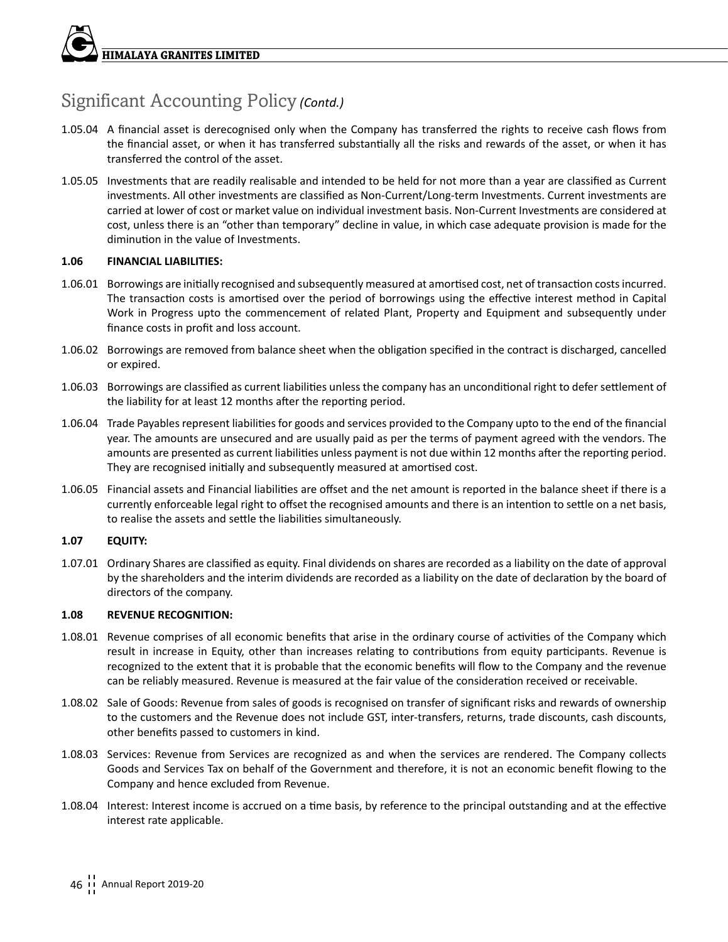- 1.05.04 A financial asset is derecognised only when the Company has transferred the rights to receive cash flows from the financial asset, or when it has transferred substantially all the risks and rewards of the asset, or when it has transferred the control of the asset.
- 1.05.05 Investments that are readily realisable and intended to be held for not more than a year are classified as Current investments. All other investments are classified as Non-Current/Long-term Investments. Current investments are carried at lower of cost or market value on individual investment basis. Non-Current Investments are considered at cost, unless there is an "other than temporary" decline in value, in which case adequate provision is made for the diminution in the value of Investments.

#### **1.06 FINANCIAL LIABILITIES:**

- 1.06.01 Borrowings are initially recognised and subsequently measured at amortised cost, net of transaction costs incurred. The transaction costs is amortised over the period of borrowings using the effective interest method in Capital Work in Progress upto the commencement of related Plant, Property and Equipment and subsequently under finance costs in profit and loss account.
- 1.06.02 Borrowings are removed from balance sheet when the obligation specified in the contract is discharged, cancelled or expired.
- 1.06.03 Borrowings are classified as current liabilities unless the company has an unconditional right to defer settlement of the liability for at least 12 months after the reporting period.
- 1.06.04 Trade Payables represent liabilities for goods and services provided to the Company upto to the end of the financial year. The amounts are unsecured and are usually paid as per the terms of payment agreed with the vendors. The amounts are presented as current liabilities unless payment is not due within 12 months after the reporting period. They are recognised initially and subsequently measured at amortised cost.
- 1.06.05 Financial assets and Financial liabilities are offset and the net amount is reported in the balance sheet if there is a currently enforceable legal right to offset the recognised amounts and there is an intention to settle on a net basis, to realise the assets and settle the liabilities simultaneously.

#### **1.07 EQUITY:**

1.07.01 Ordinary Shares are classified as equity. Final dividends on shares are recorded as a liability on the date of approval by the shareholders and the interim dividends are recorded as a liability on the date of declaration by the board of directors of the company.

#### **1.08 REVENUE RECOGNITION:**

- 1.08.01 Revenue comprises of all economic benefits that arise in the ordinary course of activities of the Company which result in increase in Equity, other than increases relating to contributions from equity participants. Revenue is recognized to the extent that it is probable that the economic benefits will flow to the Company and the revenue can be reliably measured. Revenue is measured at the fair value of the consideration received or receivable.
- 1.08.02 Sale of Goods: Revenue from sales of goods is recognised on transfer of significant risks and rewards of ownership to the customers and the Revenue does not include GST, inter-transfers, returns, trade discounts, cash discounts, other benefits passed to customers in kind.
- 1.08.03 Services: Revenue from Services are recognized as and when the services are rendered. The Company collects Goods and Services Tax on behalf of the Government and therefore, it is not an economic benefit flowing to the Company and hence excluded from Revenue.
- 1.08.04 Interest: Interest income is accrued on a time basis, by reference to the principal outstanding and at the effective interest rate applicable.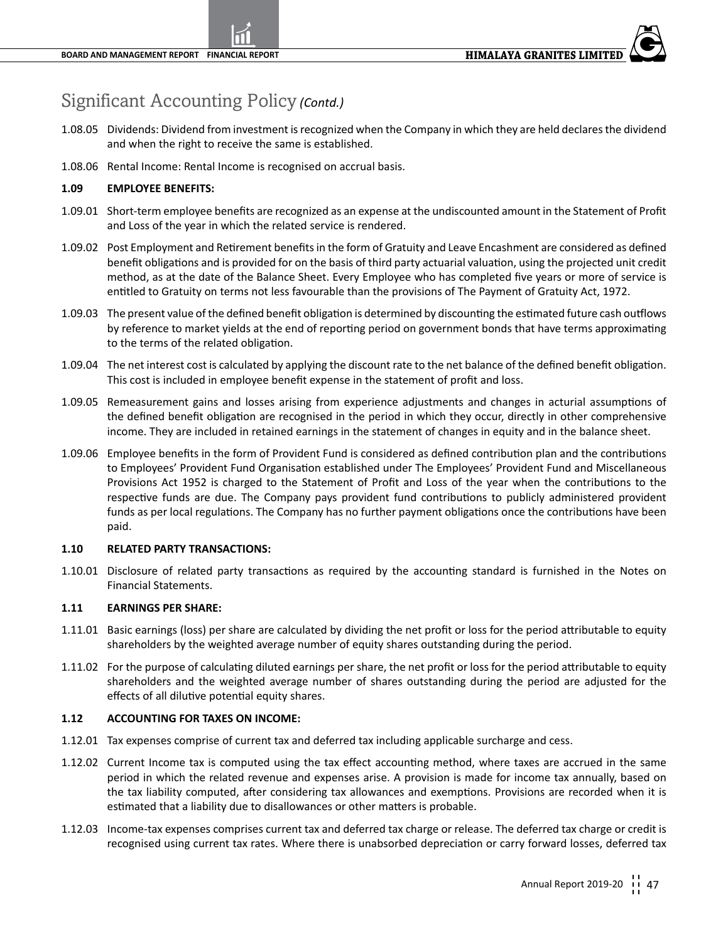- 1.08.05 Dividends: Dividend from investment is recognized when the Company in which they are held declares the dividend and when the right to receive the same is established.
- 1.08.06 Rental Income: Rental Income is recognised on accrual basis.

#### **1.09 EMPLOYEE BENEFITS:**

- 1.09.01 Short-term employee benefits are recognized as an expense at the undiscounted amount in the Statement of Profit and Loss of the year in which the related service is rendered.
- 1.09.02 Post Employment and Retirement benefits in the form of Gratuity and Leave Encashment are considered as defined benefit obligations and is provided for on the basis of third party actuarial valuation, using the projected unit credit method, as at the date of the Balance Sheet. Every Employee who has completed five years or more of service is entitled to Gratuity on terms not less favourable than the provisions of The Payment of Gratuity Act, 1972.
- 1.09.03 The present value of the defined benefit obligation is determined by discounting the estimated future cash outflows by reference to market yields at the end of reporting period on government bonds that have terms approximating to the terms of the related obligation.
- 1.09.04 The net interest cost is calculated by applying the discount rate to the net balance of the defined benefit obligation. This cost is included in employee benefit expense in the statement of profit and loss.
- 1.09.05 Remeasurement gains and losses arising from experience adjustments and changes in acturial assumptions of the defined benefit obligation are recognised in the period in which they occur, directly in other comprehensive income. They are included in retained earnings in the statement of changes in equity and in the balance sheet.
- 1.09.06 Employee benefits in the form of Provident Fund is considered as defined contribution plan and the contributions to Employees' Provident Fund Organisation established under The Employees' Provident Fund and Miscellaneous Provisions Act 1952 is charged to the Statement of Profit and Loss of the year when the contributions to the respective funds are due. The Company pays provident fund contributions to publicly administered provident funds as per local regulations. The Company has no further payment obligations once the contributions have been paid.

#### **1.10 RELATED PARTY TRANSACTIONS:**

1.10.01 Disclosure of related party transactions as required by the accounting standard is furnished in the Notes on Financial Statements.

#### **1.11 EARNINGS PER SHARE:**

- 1.11.01 Basic earnings (loss) per share are calculated by dividing the net profit or loss for the period attributable to equity shareholders by the weighted average number of equity shares outstanding during the period.
- 1.11.02 For the purpose of calculating diluted earnings per share, the net profit or loss for the period attributable to equity shareholders and the weighted average number of shares outstanding during the period are adjusted for the effects of all dilutive potential equity shares.

#### **1.12 ACCOUNTING FOR TAXES ON INCOME:**

- 1.12.01 Tax expenses comprise of current tax and deferred tax including applicable surcharge and cess.
- 1.12.02 Current Income tax is computed using the tax effect accounting method, where taxes are accrued in the same period in which the related revenue and expenses arise. A provision is made for income tax annually, based on the tax liability computed, after considering tax allowances and exemptions. Provisions are recorded when it is estimated that a liability due to disallowances or other matters is probable.
- 1.12.03 Income-tax expenses comprises current tax and deferred tax charge or release. The deferred tax charge or credit is recognised using current tax rates. Where there is unabsorbed depreciation or carry forward losses, deferred tax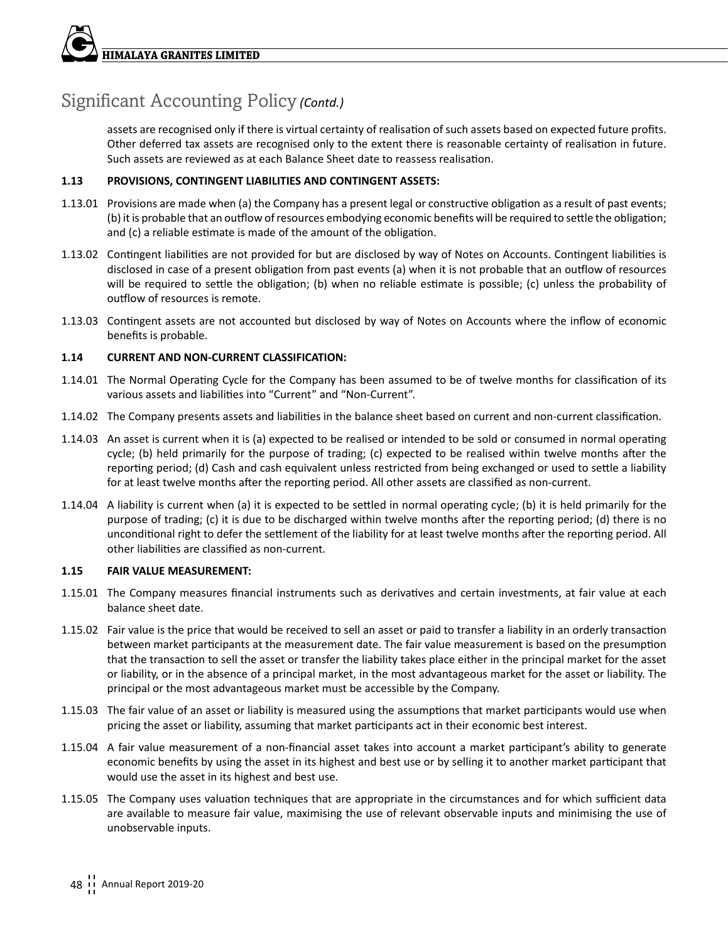assets are recognised only if there is virtual certainty of realisation of such assets based on expected future profits. Other deferred tax assets are recognised only to the extent there is reasonable certainty of realisation in future. Such assets are reviewed as at each Balance Sheet date to reassess realisation.

#### **1.13 PROVISIONS, CONTINGENT LIABILITIES AND CONTINGENT ASSETS:**

- 1.13.01 Provisions are made when (a) the Company has a present legal or constructive obligation as a result of past events; (b) it is probable that an outflow of resources embodying economic benefits will be required to settle the obligation; and (c) a reliable estimate is made of the amount of the obligation.
- 1.13.02 Contingent liabilities are not provided for but are disclosed by way of Notes on Accounts. Contingent liabilities is disclosed in case of a present obligation from past events (a) when it is not probable that an outflow of resources will be required to settle the obligation; (b) when no reliable estimate is possible; (c) unless the probability of outflow of resources is remote.
- 1.13.03 Contingent assets are not accounted but disclosed by way of Notes on Accounts where the inflow of economic benefits is probable.

#### **1.14 CURRENT AND NON-CURRENT CLASSIFICATION:**

- 1.14.01 The Normal Operating Cycle for the Company has been assumed to be of twelve months for classification of its various assets and liabilities into "Current" and "Non-Current".
- 1.14.02 The Company presents assets and liabilities in the balance sheet based on current and non-current classification.
- 1.14.03 An asset is current when it is (a) expected to be realised or intended to be sold or consumed in normal operating cycle; (b) held primarily for the purpose of trading; (c) expected to be realised within twelve months after the reporting period; (d) Cash and cash equivalent unless restricted from being exchanged or used to settle a liability for at least twelve months after the reporting period. All other assets are classified as non-current.
- 1.14.04 A liability is current when (a) it is expected to be settled in normal operating cycle; (b) it is held primarily for the purpose of trading; (c) it is due to be discharged within twelve months after the reporting period; (d) there is no unconditional right to defer the settlement of the liability for at least twelve months after the reporting period. All other liabilities are classified as non-current.

#### **1.15 FAIR VALUE MEASUREMENT:**

- 1.15.01 The Company measures financial instruments such as derivatives and certain investments, at fair value at each balance sheet date.
- 1.15.02 Fair value is the price that would be received to sell an asset or paid to transfer a liability in an orderly transaction between market participants at the measurement date. The fair value measurement is based on the presumption that the transaction to sell the asset or transfer the liability takes place either in the principal market for the asset or liability, or in the absence of a principal market, in the most advantageous market for the asset or liability. The principal or the most advantageous market must be accessible by the Company.
- 1.15.03 The fair value of an asset or liability is measured using the assumptions that market participants would use when pricing the asset or liability, assuming that market participants act in their economic best interest.
- 1.15.04 A fair value measurement of a non-financial asset takes into account a market participant's ability to generate economic benefits by using the asset in its highest and best use or by selling it to another market participant that would use the asset in its highest and best use.
- 1.15.05 The Company uses valuation techniques that are appropriate in the circumstances and for which sufficient data are available to measure fair value, maximising the use of relevant observable inputs and minimising the use of unobservable inputs.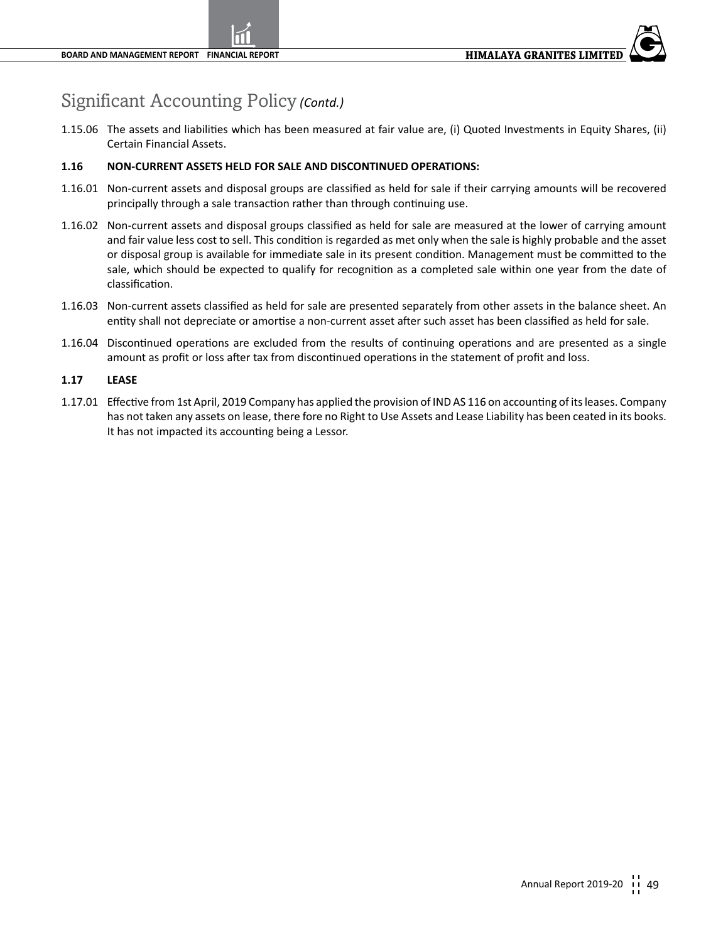1.15.06 The assets and liabilities which has been measured at fair value are, (i) Quoted Investments in Equity Shares, (ii) Certain Financial Assets.

#### **1.16 NON-CURRENT ASSETS HELD FOR SALE AND DISCONTINUED OPERATIONS:**

- 1.16.01 Non-current assets and disposal groups are classified as held for sale if their carrying amounts will be recovered principally through a sale transaction rather than through continuing use.
- 1.16.02 Non-current assets and disposal groups classified as held for sale are measured at the lower of carrying amount and fair value less cost to sell. This condition is regarded as met only when the sale is highly probable and the asset or disposal group is available for immediate sale in its present condition. Management must be committed to the sale, which should be expected to qualify for recognition as a completed sale within one year from the date of classification.
- 1.16.03 Non-current assets classified as held for sale are presented separately from other assets in the balance sheet. An entity shall not depreciate or amortise a non-current asset after such asset has been classified as held for sale.
- 1.16.04 Discontinued operations are excluded from the results of continuing operations and are presented as a single amount as profit or loss after tax from discontinued operations in the statement of profit and loss.

#### **1.17 LEASE**

1.17.01 Effective from 1st April, 2019 Company has applied the provision of IND AS 116 on accounting of its leases. Company has not taken any assets on lease, there fore no Right to Use Assets and Lease Liability has been ceated in its books. It has not impacted its accounting being a Lessor.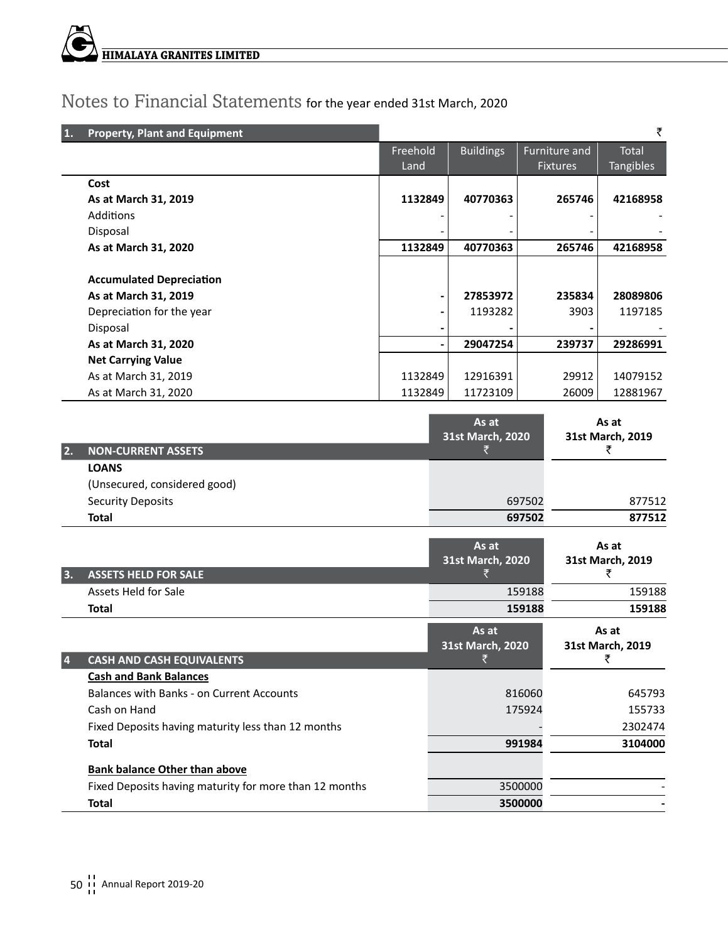# **Himalaya Granites Limited**

### Notes to Financial Statements for the year ended 31st March, 2020

| 1. | <b>Property, Plant and Equipment</b>               |                  |   |                           |        |                                         | ₹                                |
|----|----------------------------------------------------|------------------|---|---------------------------|--------|-----------------------------------------|----------------------------------|
|    |                                                    | Freehold<br>Land |   | <b>Buildings</b>          |        | <b>Furniture and</b><br><b>Fixtures</b> | <b>Total</b><br><b>Tangibles</b> |
|    | Cost                                               |                  |   |                           |        |                                         |                                  |
|    | As at March 31, 2019                               | 1132849          |   | 40770363                  |        | 265746                                  | 42168958                         |
|    | <b>Additions</b>                                   |                  |   |                           |        |                                         |                                  |
|    | Disposal                                           |                  |   |                           |        |                                         |                                  |
|    | As at March 31, 2020                               | 1132849          |   | 40770363                  |        | 265746                                  | 42168958                         |
|    |                                                    |                  |   |                           |        |                                         |                                  |
|    | <b>Accumulated Depreciation</b>                    |                  |   |                           |        |                                         |                                  |
|    | As at March 31, 2019                               |                  |   | 27853972                  |        | 235834                                  | 28089806                         |
|    | Depreciation for the year<br>Disposal              |                  | - | 1193282                   |        | 3903                                    | 1197185                          |
|    | As at March 31, 2020                               |                  |   | 29047254                  |        | 239737                                  | 29286991                         |
|    | <b>Net Carrying Value</b>                          |                  |   |                           |        |                                         |                                  |
|    | As at March 31, 2019                               | 1132849          |   | 12916391                  |        | 29912                                   | 14079152                         |
|    | As at March 31, 2020                               | 1132849          |   | 11723109                  |        | 26009                                   | 12881967                         |
|    |                                                    |                  |   | As at<br>31st March, 2020 |        |                                         | As at<br>31st March, 2019        |
| 2. | <b>NON-CURRENT ASSETS</b>                          |                  |   | ₹                         |        |                                         | ₹                                |
|    | <b>LOANS</b>                                       |                  |   |                           |        |                                         |                                  |
|    | (Unsecured, considered good)                       |                  |   |                           |        |                                         |                                  |
|    | <b>Security Deposits</b>                           |                  |   |                           | 697502 |                                         | 877512                           |
|    | Total                                              |                  |   |                           | 697502 |                                         | 877512                           |
|    |                                                    |                  |   | As at                     |        |                                         | As at                            |
|    |                                                    |                  |   | 31st March, 2020          |        |                                         | 31st March, 2019                 |
| 3. | <b>ASSETS HELD FOR SALE</b>                        |                  |   | ₹                         |        |                                         | ₹                                |
|    | <b>Assets Held for Sale</b>                        |                  |   |                           | 159188 |                                         | 159188                           |
|    | Total                                              |                  |   |                           | 159188 |                                         | 159188                           |
|    |                                                    |                  |   | As at                     |        |                                         | As at                            |
|    |                                                    |                  |   | 31st March, 2020          |        |                                         | 31st March, 2019                 |
| 4  | <b>CASH AND CASH EQUIVALENTS</b>                   |                  |   | ₹                         |        |                                         | ₹                                |
|    | <b>Cash and Bank Balances</b>                      |                  |   |                           |        |                                         |                                  |
|    | Balances with Banks - on Current Accounts          |                  |   |                           | 816060 |                                         | 645793                           |
|    | Cash on Hand                                       |                  |   |                           | 175924 |                                         | 155733                           |
|    | Fixed Deposits having maturity less than 12 months |                  |   |                           |        |                                         | 2302474                          |

### **Total 991984 3104000 Bank balance Other than above**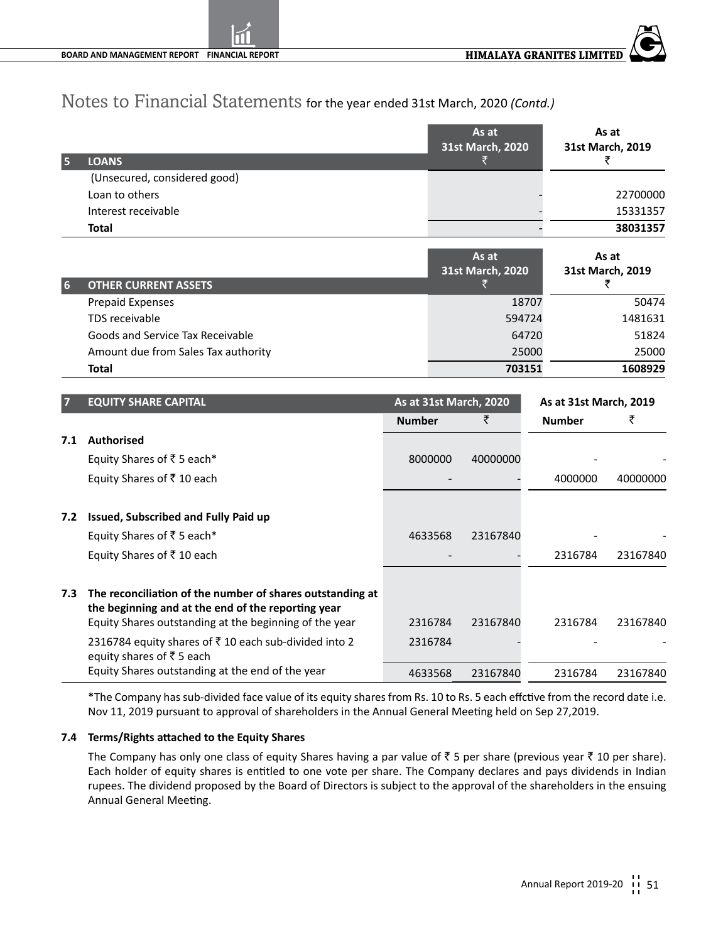|   |                              | As at<br>31st March, 2020 | As at<br>31st March, 2019 |
|---|------------------------------|---------------------------|---------------------------|
| Б | <b>LOANS</b>                 |                           |                           |
|   | (Unsecured, considered good) |                           |                           |
|   | Loan to others               |                           | 22700000                  |
|   | Interest receivable          |                           | 15331357                  |
|   | Total                        |                           | 38031357                  |

|    |                                     | As at<br>31st March, 2020 | As at<br>31st March, 2019 |
|----|-------------------------------------|---------------------------|---------------------------|
| 16 | <b>OTHER CURRENT ASSETS</b>         |                           |                           |
|    | <b>Prepaid Expenses</b>             | 18707                     | 50474                     |
|    | TDS receivable                      | 594724                    | 1481631                   |
|    | Goods and Service Tax Receivable    | 64720                     | 51824                     |
|    | Amount due from Sales Tax authority | 25000                     | 25000                     |
|    | Total                               | 703151                    | 1608929                   |

| 7   | As at 31st March, 2020<br><b>EQUITY SHARE CAPITAL</b>                                                                                                                     |               |          | As at 31st March, 2019 |          |
|-----|---------------------------------------------------------------------------------------------------------------------------------------------------------------------------|---------------|----------|------------------------|----------|
|     |                                                                                                                                                                           | <b>Number</b> | ₹        | <b>Number</b>          | ₹        |
| 7.1 | <b>Authorised</b>                                                                                                                                                         |               |          |                        |          |
|     | Equity Shares of ₹ 5 each*                                                                                                                                                | 8000000       | 40000000 |                        |          |
|     | Equity Shares of ₹10 each                                                                                                                                                 |               |          | 4000000                | 40000000 |
| 7.2 | Issued, Subscribed and Fully Paid up                                                                                                                                      |               |          |                        |          |
|     | Equity Shares of ₹5 each*                                                                                                                                                 | 4633568       | 23167840 |                        |          |
|     | Equity Shares of ₹10 each                                                                                                                                                 |               |          | 2316784                | 23167840 |
| 7.3 | The reconciliation of the number of shares outstanding at<br>the beginning and at the end of the reporting year<br>Equity Shares outstanding at the beginning of the year | 2316784       | 23167840 | 2316784                | 23167840 |
|     | 2316784 equity shares of ₹10 each sub-divided into 2<br>equity shares of ₹ 5 each                                                                                         | 2316784       |          |                        |          |
|     | Equity Shares outstanding at the end of the year                                                                                                                          | 4633568       | 23167840 | 2316784                | 23167840 |

\*The Company has sub-divided face value of its equity shares from Rs. 10 to Rs. 5 each effctive from the record date i.e. Nov 11, 2019 pursuant to approval of shareholders in the Annual General Meeting held on Sep 27,2019.

#### **7.4 Terms/Rights attached to the Equity Shares**

The Company has only one class of equity Shares having a par value of  $\bar{\tau}$  5 per share (previous year  $\bar{\tau}$  10 per share). Each holder of equity shares is entitled to one vote per share. The Company declares and pays dividends in Indian rupees. The dividend proposed by the Board of Directors is subject to the approval of the shareholders in the ensuing Annual General Meeting.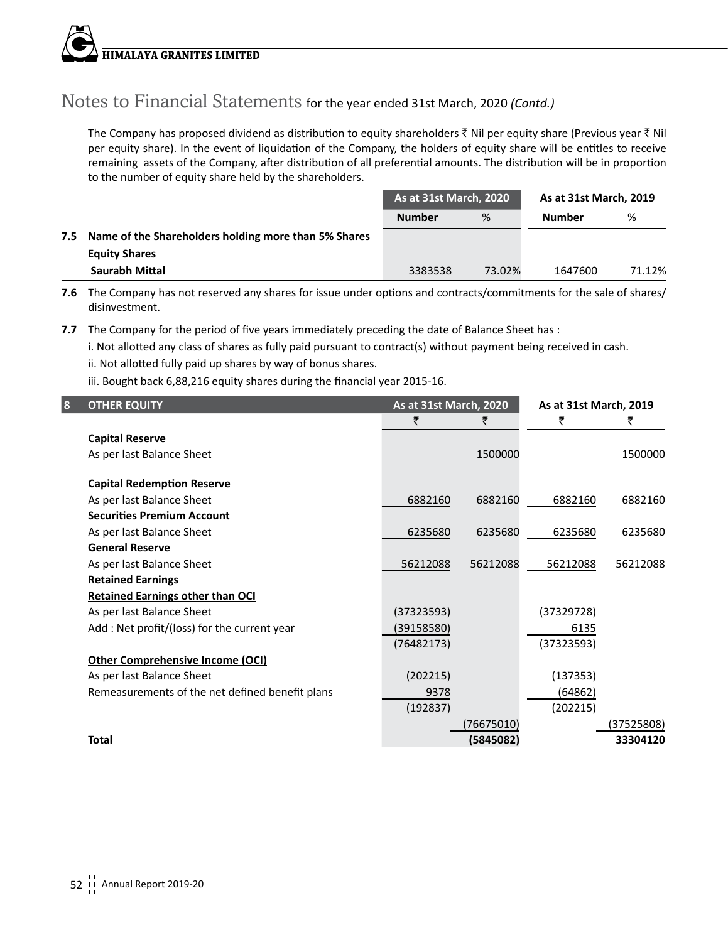The Company has proposed dividend as distribution to equity shareholders  $\bar{\zeta}$  Nil per equity share (Previous year  $\bar{\zeta}$  Nil per equity share). In the event of liquidation of the Company, the holders of equity share will be entitles to receive remaining assets of the Company, after distribution of all preferential amounts. The distribution will be in proportion to the number of equity share held by the shareholders.

|     |                                                      | <b>As at 31st March, 2020</b> |        | As at 31st March, 2019 |        |
|-----|------------------------------------------------------|-------------------------------|--------|------------------------|--------|
|     |                                                      | <b>Number</b>                 | %      | Number                 | %      |
| 7.5 | Name of the Shareholders holding more than 5% Shares |                               |        |                        |        |
|     | <b>Equity Shares</b>                                 |                               |        |                        |        |
|     | Saurabh Mittal                                       | 3383538                       | 73.02% | 1647600                | 71.12% |

**7.6** The Company has not reserved any shares for issue under options and contracts/commitments for the sale of shares/ disinvestment.

**7.7** The Company for the period of five years immediately preceding the date of Balance Sheet has :

i. Not allotted any class of shares as fully paid pursuant to contract(s) without payment being received in cash.

- ii. Not allotted fully paid up shares by way of bonus shares.
- iii. Bought back 6,88,216 equity shares during the financial year 2015-16.

| 8 | <b>OTHER EQUITY</b>                             | As at 31st March, 2020 |           | As at 31st March, 2019 |            |
|---|-------------------------------------------------|------------------------|-----------|------------------------|------------|
|   |                                                 | ₹                      |           | ₹                      | ₹          |
|   | <b>Capital Reserve</b>                          |                        |           |                        |            |
|   | As per last Balance Sheet                       |                        | 1500000   |                        | 1500000    |
|   | <b>Capital Redemption Reserve</b>               |                        |           |                        |            |
|   | As per last Balance Sheet                       | 6882160                | 6882160   | 6882160                | 6882160    |
|   | <b>Securities Premium Account</b>               |                        |           |                        |            |
|   | As per last Balance Sheet                       | 6235680                | 6235680   | 6235680                | 6235680    |
|   | <b>General Reserve</b>                          |                        |           |                        |            |
|   | As per last Balance Sheet                       | 56212088               | 56212088  | 56212088               | 56212088   |
|   | <b>Retained Earnings</b>                        |                        |           |                        |            |
|   | <b>Retained Earnings other than OCI</b>         |                        |           |                        |            |
|   | As per last Balance Sheet                       | (37323593)             |           | (37329728)             |            |
|   | Add: Net profit/(loss) for the current year     | (39158580)             |           | 6135                   |            |
|   |                                                 | (76482173)             |           | (37323593)             |            |
|   | <b>Other Comprehensive Income (OCI)</b>         |                        |           |                        |            |
|   | As per last Balance Sheet                       | (202215)               |           | (137353)               |            |
|   | Remeasurements of the net defined benefit plans | 9378                   |           | (64862)                |            |
|   |                                                 | (192837)               |           | (202215)               |            |
|   |                                                 |                        | 76675010) |                        | (37525808) |
|   | Total                                           |                        | (5845082) |                        | 33304120   |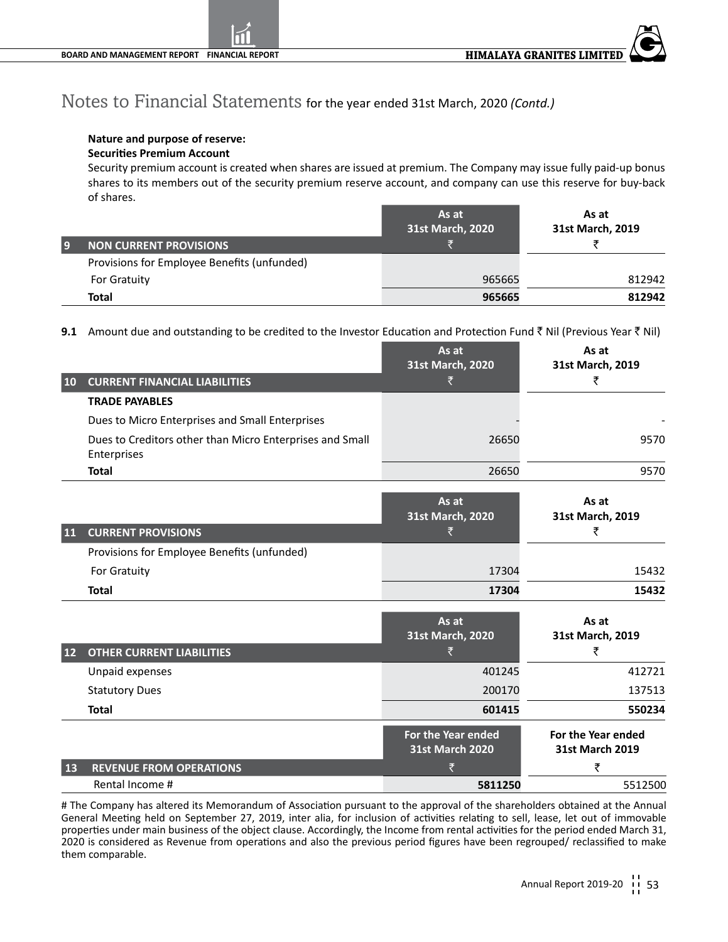#### **Nature and purpose of reserve:**

#### **Securities Premium Account**

Security premium account is created when shares are issued at premium. The Company may issue fully paid-up bonus shares to its members out of the security premium reserve account, and company can use this reserve for buy-back of shares.

|    |                                             | As at<br>31st March, 2020 | As at<br>31st March, 2019 |
|----|---------------------------------------------|---------------------------|---------------------------|
| I9 | <b>NON CURRENT PROVISIONS</b>               |                           |                           |
|    | Provisions for Employee Benefits (unfunded) |                           |                           |
|    | For Gratuity                                | 965665                    | 812942                    |
|    | <b>Total</b>                                | 965665                    | 812942                    |

9.1 Amount due and outstanding to be credited to the Investor Education and Protection Fund ₹ Nil (Previous Year ₹ Nil)

| 10   | <b>CURRENT FINANCIAL LIABILITIES</b>                                    | As at<br>31st March, 2020<br>₹               | As at<br>31st March, 2019<br>₹               |
|------|-------------------------------------------------------------------------|----------------------------------------------|----------------------------------------------|
|      | <b>TRADE PAYABLES</b>                                                   |                                              |                                              |
|      | Dues to Micro Enterprises and Small Enterprises                         |                                              |                                              |
|      | Dues to Creditors other than Micro Enterprises and Small<br>Enterprises | 26650                                        | 9570                                         |
|      | <b>Total</b>                                                            | 26650                                        | 9570                                         |
|      |                                                                         | As at<br>31st March, 2020                    | As at<br>31st March, 2019                    |
| 11   | <b>CURRENT PROVISIONS</b>                                               | ₹                                            | ₹                                            |
|      | Provisions for Employee Benefits (unfunded)                             |                                              |                                              |
|      | For Gratuity                                                            | 17304                                        | 15432                                        |
|      | <b>Total</b>                                                            | 17304                                        | 15432                                        |
|      |                                                                         | As at<br>31st March, 2020                    | As at<br>31st March, 2019                    |
| $12$ | <b>OTHER CURRENT LIABILITIES</b>                                        | ₹                                            | ₹                                            |
|      | Unpaid expenses                                                         | 401245                                       | 412721                                       |
|      | <b>Statutory Dues</b>                                                   | 200170                                       | 137513                                       |
|      | <b>Total</b>                                                            | 601415                                       | 550234                                       |
|      |                                                                         | For the Year ended<br><b>31st March 2020</b> | For the Year ended<br><b>31st March 2019</b> |
| 13   | <b>REVENUE FROM OPERATIONS</b>                                          | ₹                                            | ₹                                            |
|      | Rental Income #                                                         | 5811250                                      | 5512500                                      |

# The Company has altered its Memorandum of Association pursuant to the approval of the shareholders obtained at the Annual General Meeting held on September 27, 2019, inter alia, for inclusion of activities relating to sell, lease, let out of immovable properties under main business of the object clause. Accordingly, the Income from rental activities for the period ended March 31, 2020 is considered as Revenue from operations and also the previous period figures have been regrouped/ reclassified to make them comparable.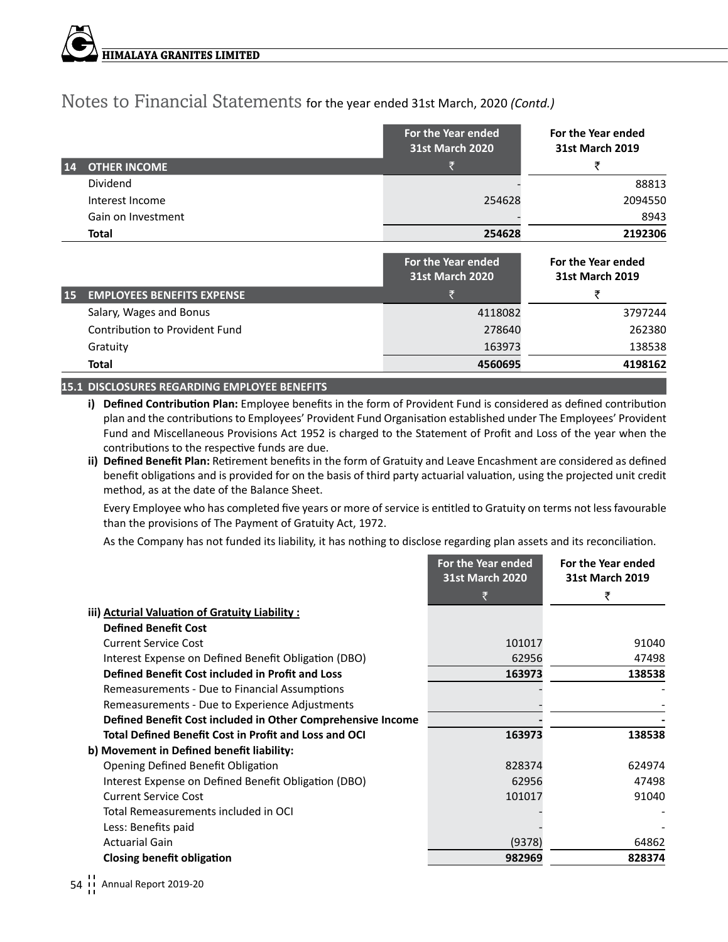## **Himalaya Granites Limited**

### Notes to Financial Statements for the year ended 31st March, 2020 *(Contd.)*

|           |                                   | For the Year ended<br><b>31st March 2020</b> | For the Year ended<br><b>31st March 2019</b> |
|-----------|-----------------------------------|----------------------------------------------|----------------------------------------------|
| 14        | <b>OTHER INCOME</b>               |                                              |                                              |
|           | Dividend                          |                                              | 88813                                        |
|           | Interest Income                   | 254628                                       | 2094550                                      |
|           | Gain on Investment                |                                              | 8943                                         |
|           | <b>Total</b>                      | 254628                                       | 2192306                                      |
|           |                                   | For the Year ended<br><b>31st March 2020</b> | For the Year ended<br><b>31st March 2019</b> |
| <b>15</b> | <b>EMPLOYEES BENEFITS EXPENSE</b> |                                              |                                              |
|           | Salary, Wages and Bonus           | 4118082                                      | 3797244                                      |

| Total                          | 4560695 | 4198162 |
|--------------------------------|---------|---------|
| Gratuity                       | 163973  | 138538  |
| Contribution to Provident Fund | 278640  | 262380  |
| Salary, wages and Bonus        | 4118082 | 3/9/244 |

#### **15.1 DISCLOSURES REGARDING EMPLOYEE BENEFITS**

**i) Defined Contribution Plan:** Employee benefits in the form of Provident Fund is considered as defined contribution plan and the contributions to Employees' Provident Fund Organisation established under The Employees' Provident Fund and Miscellaneous Provisions Act 1952 is charged to the Statement of Profit and Loss of the year when the contributions to the respective funds are due.

**ii) Defined Benefit Plan:** Retirement benefits in the form of Gratuity and Leave Encashment are considered as defined benefit obligations and is provided for on the basis of third party actuarial valuation, using the projected unit credit method, as at the date of the Balance Sheet.

Every Employee who has completed five years or more of service is entitled to Gratuity on terms not less favourable than the provisions of The Payment of Gratuity Act, 1972.

As the Company has not funded its liability, it has nothing to disclose regarding plan assets and its reconciliation.

|                                                             | For the Year ended<br><b>31st March 2020</b> | <b>For the Year ended</b><br><b>31st March 2019</b> |
|-------------------------------------------------------------|----------------------------------------------|-----------------------------------------------------|
|                                                             | ₹                                            | ₹                                                   |
| iii) Acturial Valuation of Gratuity Liability:              |                                              |                                                     |
| <b>Defined Benefit Cost</b>                                 |                                              |                                                     |
| <b>Current Service Cost</b>                                 | 101017                                       | 91040                                               |
| Interest Expense on Defined Benefit Obligation (DBO)        | 62956                                        | 47498                                               |
| Defined Benefit Cost included in Profit and Loss            | 163973                                       | 138538                                              |
| Remeasurements - Due to Financial Assumptions               |                                              |                                                     |
| Remeasurements - Due to Experience Adjustments              |                                              |                                                     |
| Defined Benefit Cost included in Other Comprehensive Income |                                              |                                                     |
| Total Defined Benefit Cost in Profit and Loss and OCI       | 163973                                       | 138538                                              |
| b) Movement in Defined benefit liability:                   |                                              |                                                     |
| Opening Defined Benefit Obligation                          | 828374                                       | 624974                                              |
| Interest Expense on Defined Benefit Obligation (DBO)        | 62956                                        | 47498                                               |
| <b>Current Service Cost</b>                                 | 101017                                       | 91040                                               |
| Total Remeasurements included in OCI                        |                                              |                                                     |
| Less: Benefits paid                                         |                                              |                                                     |
| <b>Actuarial Gain</b>                                       | (9378)                                       | 64862                                               |
| Closing benefit obligation                                  | 982969                                       | 828374                                              |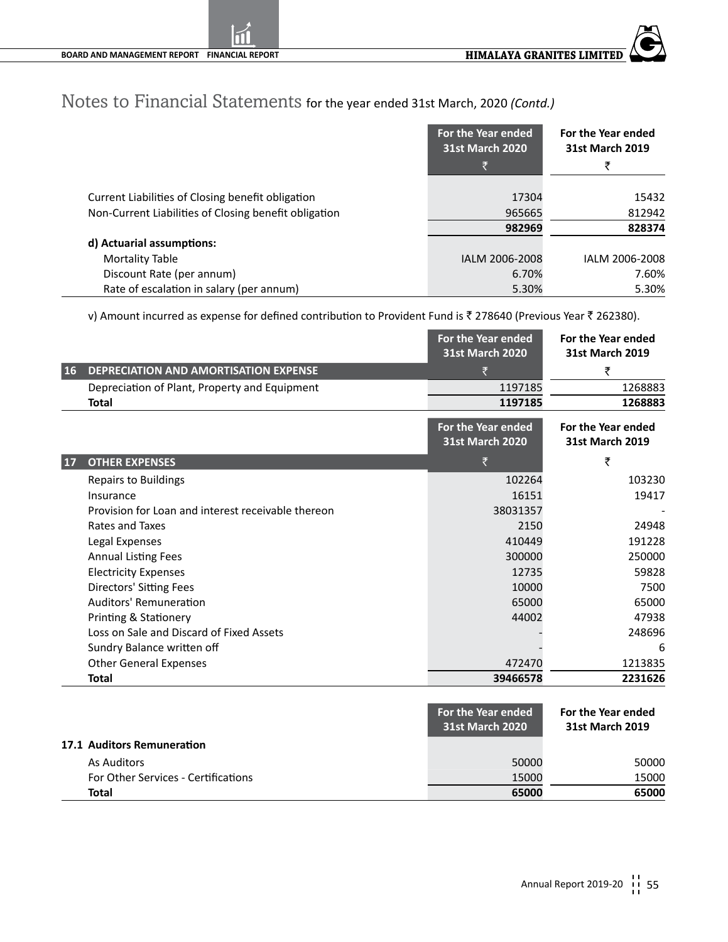|                                                       | For the Year ended<br><b>31st March 2020</b> | For the Year ended<br><b>31st March 2019</b> |
|-------------------------------------------------------|----------------------------------------------|----------------------------------------------|
|                                                       | ₹                                            |                                              |
| Current Liabilities of Closing benefit obligation     | 17304                                        | 15432                                        |
| Non-Current Liabilities of Closing benefit obligation | 965665                                       | 812942                                       |
|                                                       | 982969                                       | 828374                                       |
| d) Actuarial assumptions:                             |                                              |                                              |
| Mortality Table                                       | IALM 2006-2008                               | IALM 2006-2008                               |
| Discount Rate (per annum)                             | 6.70%                                        | 7.60%                                        |
| Rate of escalation in salary (per annum)              | 5.30%                                        | 5.30%                                        |

v) Amount incurred as expense for defined contribution to Provident Fund is ₹ 278640 (Previous Year ₹ 262380).

|           |                                                    | For the Year ended<br><b>31st March 2020</b> | For the Year ended<br><b>31st March 2019</b> |
|-----------|----------------------------------------------------|----------------------------------------------|----------------------------------------------|
| 16        | <b>DEPRECIATION AND AMORTISATION EXPENSE</b>       | ₹                                            | ₹                                            |
|           | Depreciation of Plant, Property and Equipment      | 1197185                                      | 1268883                                      |
|           | Total                                              | 1197185                                      | 1268883                                      |
|           |                                                    | For the Year ended<br><b>31st March 2020</b> | For the Year ended<br><b>31st March 2019</b> |
| <b>17</b> | <b>OTHER EXPENSES</b>                              | ₹                                            | ₹                                            |
|           | <b>Repairs to Buildings</b>                        | 102264                                       | 103230                                       |
|           | Insurance                                          | 16151                                        | 19417                                        |
|           | Provision for Loan and interest receivable thereon | 38031357                                     |                                              |
|           | Rates and Taxes                                    | 2150                                         | 24948                                        |
|           | Legal Expenses                                     | 410449                                       | 191228                                       |
|           | <b>Annual Listing Fees</b>                         | 300000                                       | 250000                                       |
|           | <b>Electricity Expenses</b>                        | 12735                                        | 59828                                        |
|           | Directors' Sitting Fees                            | 10000                                        | 7500                                         |
|           | Auditors' Remuneration                             | 65000                                        | 65000                                        |
|           | Printing & Stationery                              | 44002                                        | 47938                                        |
|           | Loss on Sale and Discard of Fixed Assets           |                                              | 248696                                       |
|           | Sundry Balance written off                         |                                              | 6                                            |
|           | <b>Other General Expenses</b>                      | 472470                                       | 1213835                                      |
|           | Total                                              | 39466578                                     | 2231626                                      |
|           | 17.1 Auditors Remuneration                         | For the Year ended<br><b>31st March 2020</b> | For the Year ended<br><b>31st March 2019</b> |

| Total                               | 65000 | 65000 |
|-------------------------------------|-------|-------|
| For Other Services - Certifications | 15000 | 15000 |
| As Auditors                         | 50000 | 50000 |
| 7.1 Auditors Remuneration           |       |       |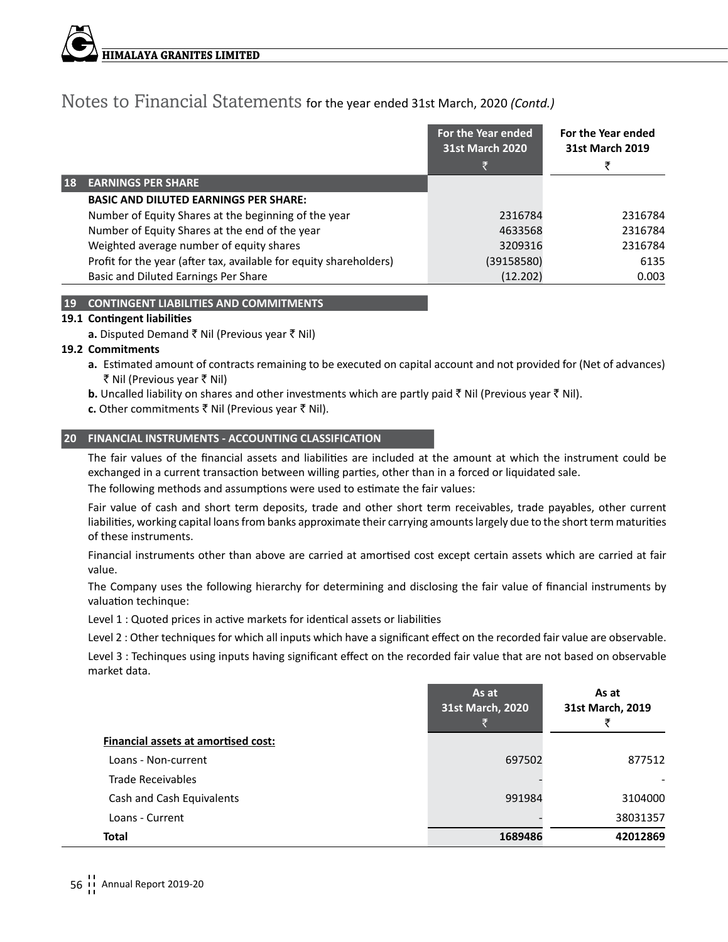**Himalaya Granites Limited**

### Notes to Financial Statements for the year ended 31st March, 2020 *(Contd.)*

|           |                                                                    | For the Year ended<br><b>31st March 2020</b> | For the Year ended<br><b>31st March 2019</b> |
|-----------|--------------------------------------------------------------------|----------------------------------------------|----------------------------------------------|
|           |                                                                    | Ι₹.                                          |                                              |
| <b>18</b> | <b>EARNINGS PER SHARE</b>                                          |                                              |                                              |
|           | <b>BASIC AND DILUTED EARNINGS PER SHARE:</b>                       |                                              |                                              |
|           | Number of Equity Shares at the beginning of the year               | 2316784                                      | 2316784                                      |
|           | Number of Equity Shares at the end of the year                     | 4633568                                      | 2316784                                      |
|           | Weighted average number of equity shares                           | 3209316                                      | 2316784                                      |
|           | Profit for the year (after tax, available for equity shareholders) | (39158580)                                   | 6135                                         |
|           | Basic and Diluted Earnings Per Share                               | (12.202)                                     | 0.003                                        |

#### **19 CONTINGENT LIABILITIES AND COMMITMENTS**

#### **19.1 Contingent liabilities**

a. Disputed Demand ₹ Nil (Previous year ₹ Nil)

#### **19.2 Commitments**

- **a.** Estimated amount of contracts remaining to be executed on capital account and not provided for (Net of advances) ` Nil (Previous year ` Nil)
- **b.** Uncalled liability on shares and other investments which are partly paid  $\bar{\zeta}$  Nil (Previous year  $\bar{\zeta}$  Nil).
- **c.** Other commitments ₹ Nil (Previous year ₹ Nil).

#### **20 FINANCIAL INSTRUMENTS - ACCOUNTING CLASSIFICATION**

The fair values of the financial assets and liabilities are included at the amount at which the instrument could be exchanged in a current transaction between willing parties, other than in a forced or liquidated sale.

The following methods and assumptions were used to estimate the fair values:

Fair value of cash and short term deposits, trade and other short term receivables, trade payables, other current liabilities, working capital loans from banks approximate their carrying amounts largely due to the short term maturities of these instruments.

Financial instruments other than above are carried at amortised cost except certain assets which are carried at fair value.

The Company uses the following hierarchy for determining and disclosing the fair value of financial instruments by valuation techinque:

Level 1 : Quoted prices in active markets for identical assets or liabilities

Level 2 : Other techniques for which all inputs which have a significant effect on the recorded fair value are observable.

Level 3 : Techinques using inputs having significant effect on the recorded fair value that are not based on observable market data.

|                                     | As at<br>31st March, 2020 | As at<br>31st March, 2019 |
|-------------------------------------|---------------------------|---------------------------|
| Financial assets at amortised cost: |                           |                           |
| Loans - Non-current                 | 697502                    | 877512                    |
| Trade Receivables                   |                           |                           |
| Cash and Cash Equivalents           | 991984                    | 3104000                   |
| Loans - Current                     |                           | 38031357                  |
| Total                               | 1689486                   | 42012869                  |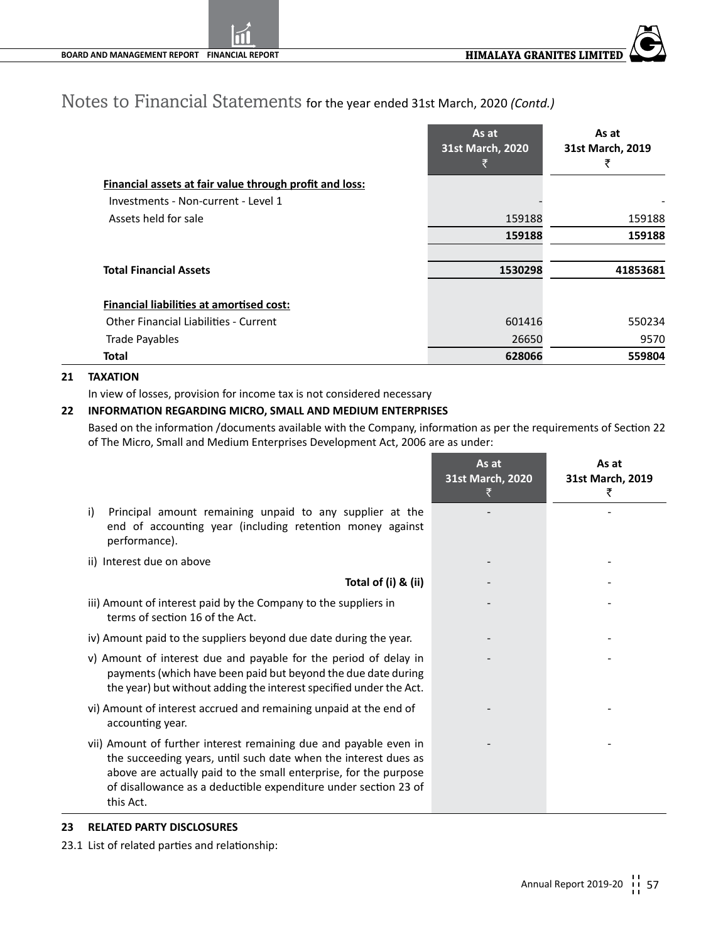|                                                         | As at<br>31st March, 2020 | As at<br>31st March, 2019<br>₹ |
|---------------------------------------------------------|---------------------------|--------------------------------|
| Financial assets at fair value through profit and loss: |                           |                                |
| Investments - Non-current - Level 1                     |                           |                                |
| Assets held for sale                                    | 159188                    | 159188                         |
|                                                         | 159188                    | 159188                         |
|                                                         |                           |                                |
| <b>Total Financial Assets</b>                           | 1530298                   | 41853681                       |
| Financial liabilities at amortised cost:                |                           |                                |
| Other Financial Liabilities - Current                   | 601416                    | 550234                         |
| Trade Payables                                          | 26650                     | 9570                           |
| <b>Total</b>                                            | 628066                    | 559804                         |

#### **21 TAXATION**

In view of losses, provision for income tax is not considered necessary

#### **22 INFORMATION REGARDING MICRO, SMALL AND MEDIUM ENTERPRISES**

Based on the information /documents available with the Company, information as per the requirements of Section 22 of The Micro, Small and Medium Enterprises Development Act, 2006 are as under:

|                                                                                                                                                                                                                                                                                          | As at<br>31st March, 2020<br>₹ | As at<br>31st March, 2019<br>₹ |
|------------------------------------------------------------------------------------------------------------------------------------------------------------------------------------------------------------------------------------------------------------------------------------------|--------------------------------|--------------------------------|
| Principal amount remaining unpaid to any supplier at the<br>i)<br>end of accounting year (including retention money against<br>performance).                                                                                                                                             |                                |                                |
| ii) Interest due on above                                                                                                                                                                                                                                                                |                                |                                |
| Total of (i) & (ii)                                                                                                                                                                                                                                                                      |                                |                                |
| iii) Amount of interest paid by the Company to the suppliers in<br>terms of section 16 of the Act.                                                                                                                                                                                       |                                |                                |
| iv) Amount paid to the suppliers beyond due date during the year.                                                                                                                                                                                                                        |                                |                                |
| v) Amount of interest due and payable for the period of delay in<br>payments (which have been paid but beyond the due date during<br>the year) but without adding the interest specified under the Act.                                                                                  |                                |                                |
| vi) Amount of interest accrued and remaining unpaid at the end of<br>accounting year.                                                                                                                                                                                                    |                                |                                |
| vii) Amount of further interest remaining due and payable even in<br>the succeeding years, until such date when the interest dues as<br>above are actually paid to the small enterprise, for the purpose<br>of disallowance as a deductible expenditure under section 23 of<br>this Act. |                                |                                |

#### **23 RELATED PARTY DISCLOSURES**

23.1 List of related parties and relationship: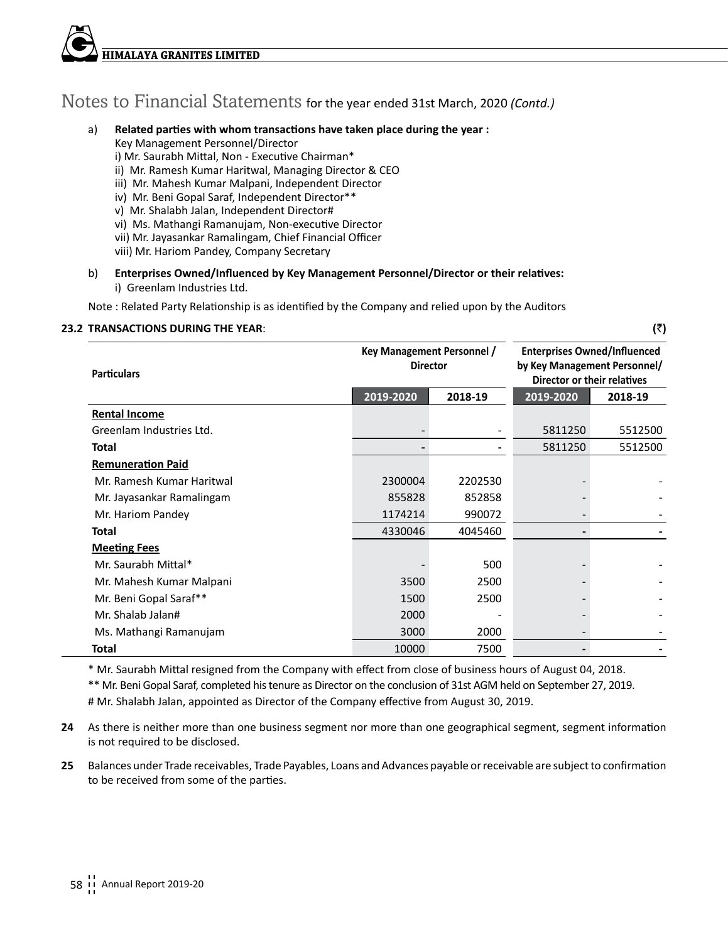#### **Himalaya Granites Limited**

### Notes to Financial Statements for the year ended 31st March, 2020 *(Contd.)*

#### a) **Related parties with whom transactions have taken place during the year :**

Key Management Personnel/Director

i) Mr. Saurabh Mittal, Non - Executive Chairman\*

- ii) Mr. Ramesh Kumar Haritwal, Managing Director & CEO
- iii) Mr. Mahesh Kumar Malpani, Independent Director
- iv) Mr. Beni Gopal Saraf, Independent Director\*\*
- v) Mr. Shalabh Jalan, Independent Director#
- vi) Ms. Mathangi Ramanujam, Non-executive Director
- vii) Mr. Jayasankar Ramalingam, Chief Financial Officer
- viii) Mr. Hariom Pandey, Company Secretary

#### b) **Enterprises Owned/Influenced by Key Management Personnel/Director or their relatives:**  i) Greenlam Industries Ltd.

Note : Related Party Relationship is as identified by the Company and relied upon by the Auditors

#### **23.2 TRANSACTIONS DURING THE YEAR**: **(**`**)**

**Particulars Key Management Personnel / Director Enterprises Owned/Influenced by Key Management Personnel/ Director or their relatives 2019-2020 2018-19 2019-2020 2018-19 Rental Income** Greenlam Industries Ltd. **- - 5811250 5512500 Total 5811250 5512500 Remuneration Paid** Mr. Ramesh Kumar Haritwal 2300004 2202530 Mr. Jayasankar Ramalingam 855828 852858 Mr. Hariom Pandey 20072 **Total** 4330046 4045460 **- - Meeting Fees** Mr. Saurabh Mittal\* - 500 - - 500 - 500 - 500 - 500 - 500 - 500 - 500 - 500 - 500 - 500 - 500 - 500 - 500 - 50 Mr. Mahesh Kumar Malpani 3500 2500 Mr. Beni Gopal Saraf\*\* 1500 2500 - - Mr. Shalab Jalan# 2000 Ms. Mathangi Ramanujam 3000 3000 2000 **Total** 10000 7500 **- -** 

\* Mr. Saurabh Mittal resigned from the Company with effect from close of business hours of August 04, 2018.

\*\* Mr. Beni Gopal Saraf, completed his tenure as Director on the conclusion of 31st AGM held on September 27, 2019. # Mr. Shalabh Jalan, appointed as Director of the Company effective from August 30, 2019.

- **24** As there is neither more than one business segment nor more than one geographical segment, segment information is not required to be disclosed.
- **25** Balances under Trade receivables, Trade Payables, Loans and Advances payable or receivable are subject to confirmation to be received from some of the parties.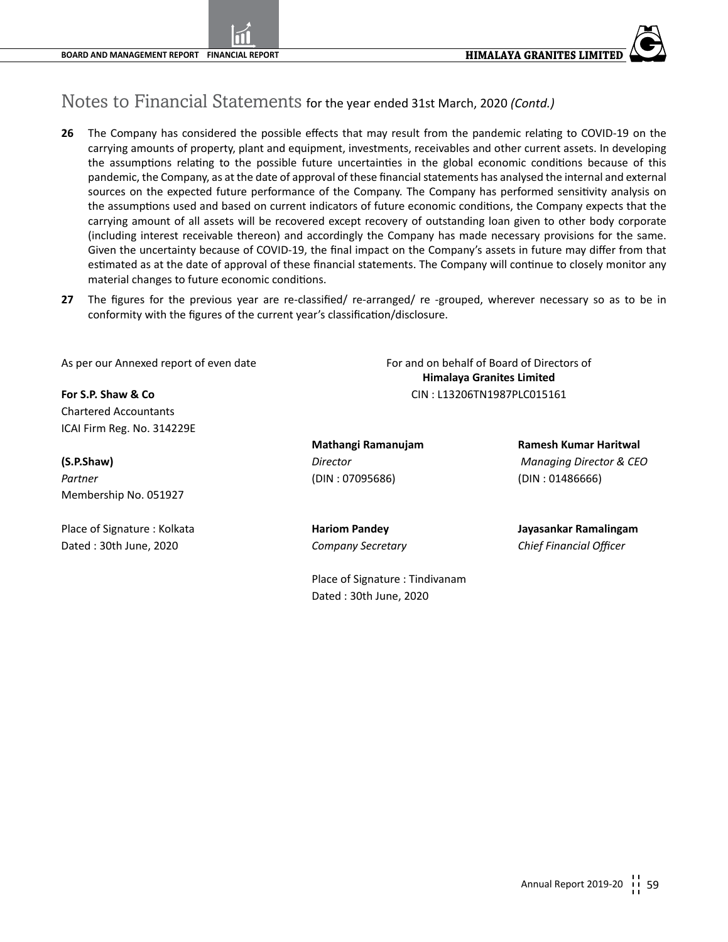- **26** The Company has considered the possible effects that may result from the pandemic relating to COVID-19 on the carrying amounts of property, plant and equipment, investments, receivables and other current assets. In developing the assumptions relating to the possible future uncertainties in the global economic conditions because of this pandemic, the Company, as at the date of approval of these financial statements has analysed the internal and external sources on the expected future performance of the Company. The Company has performed sensitivity analysis on the assumptions used and based on current indicators of future economic conditions, the Company expects that the carrying amount of all assets will be recovered except recovery of outstanding loan given to other body corporate (including interest receivable thereon) and accordingly the Company has made necessary provisions for the same. Given the uncertainty because of COVID-19, the final impact on the Company's assets in future may differ from that estimated as at the date of approval of these financial statements. The Company will continue to closely monitor any material changes to future economic conditions.
- **27** The figures for the previous year are re-classified/ re-arranged/ re -grouped, wherever necessary so as to be in conformity with the figures of the current year's classification/disclosure.

As per our Annexed report of even date For and on behalf of Board of Directors of

**For S.P. Shaw & Co** CIN : L13206TN1987PLC015161 Chartered Accountants ICAI Firm Reg. No. 314229E

*Partner* (DIN : 07095686) (DIN : 01486666) Membership No. 051927

Place of Signature : Kolkata **Hariom Pandey Jayasankar Ramalingam** Dated : 30th June, 2020 *Company Secretary Chief Financial Officer*

**Mathangi Ramanujam Ramesh Kumar Haritwal**

**(S.P.Shaw)** *Director Managing Director & CEO*

**Himalaya Granites Limited**

Place of Signature : Tindivanam Dated : 30th June, 2020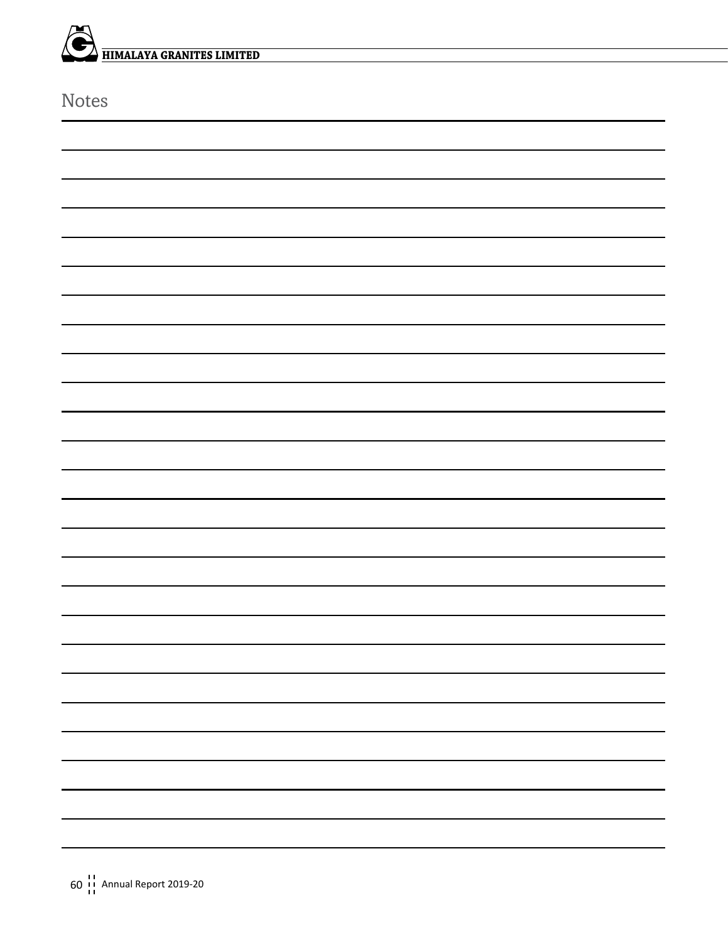| $\widehat{\bullet}$              |  |
|----------------------------------|--|
| <b>HIMALAYA GRANITES LIMITED</b> |  |
| <b>Notes</b>                     |  |
|                                  |  |
|                                  |  |
|                                  |  |
|                                  |  |
|                                  |  |
|                                  |  |
|                                  |  |
|                                  |  |
|                                  |  |
|                                  |  |
|                                  |  |
|                                  |  |
|                                  |  |
|                                  |  |
|                                  |  |
|                                  |  |
|                                  |  |
|                                  |  |
|                                  |  |
|                                  |  |
|                                  |  |
|                                  |  |